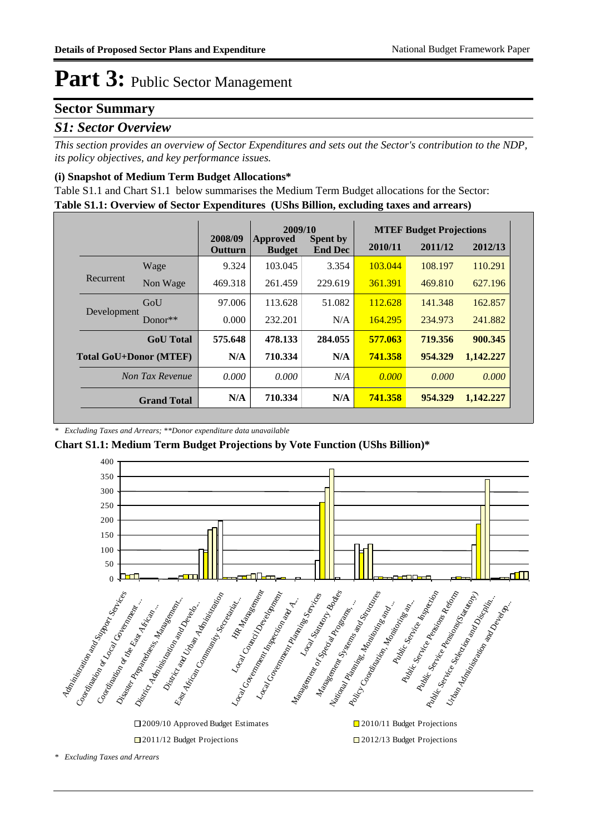### **Sector Summary**

### *S1: Sector Overview*

*This section provides an overview of Sector Expenditures and sets out the Sector's contribution to the NDP, its policy objectives, and key performance issues.* 

### **(i) Snapshot of Medium Term Budget Allocations\***

**Table S1.1: Overview of Sector Expenditures (UShs Billion, excluding taxes and arrears)** Table S1.1 and Chart S1.1 below summarises the Medium Term Budget allocations for the Sector:

|                               |                    |                           | 2009/10                   |                                   |         | <b>MTEF Budget Projections</b> |           |
|-------------------------------|--------------------|---------------------------|---------------------------|-----------------------------------|---------|--------------------------------|-----------|
|                               |                    | 2008/09<br><b>Outturn</b> | Approved<br><b>Budget</b> | <b>Spent by</b><br><b>End Dec</b> | 2010/11 | 2011/12                        | 2012/13   |
|                               | Wage               | 9.324                     | 103.045                   | 3.354                             | 103.044 | 108.197                        | 110.291   |
| Recurrent                     | Non Wage           | 469.318                   | 261.459                   | 229.619                           | 361.391 | 469.810                        | 627.196   |
| Development                   | GoU                | 97.006                    | 113.628                   | 51.082                            | 112.628 | 141.348                        | 162.857   |
|                               | Donor $**$         | 0.000                     | 232.201                   | N/A                               | 164.295 | 234.973                        | 241.882   |
|                               | <b>GoU</b> Total   | 575.648                   | 478.133                   | 284.055                           | 577.063 | 719.356                        | 900.345   |
| <b>Total GoU+Donor (MTEF)</b> |                    | N/A                       | 710.334                   | N/A                               | 741.358 | 954.329                        | 1,142.227 |
| Non Tax Revenue               |                    | 0.000                     | 0.000                     | N/A                               | 0.000   | 0.000                          | 0.000     |
|                               | <b>Grand Total</b> | N/A                       | 710.334                   | N/A                               | 741.358 | 954.329                        | 1,142.227 |

*\* Excluding Taxes and Arrears; \*\*Donor expenditure data unavailable*

**Chart S1.1: Medium Term Budget Projections by Vote Function (UShs Billion)\***



□2011/12 Budget Projections □2012/13 Budget Projections

*\* Excluding Taxes and Arrears*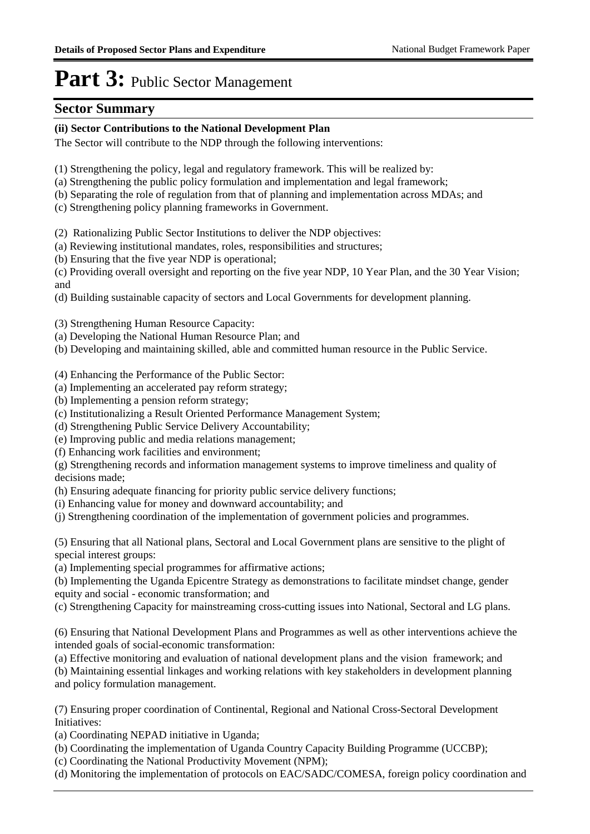### **Sector Summary**

### **(ii) Sector Contributions to the National Development Plan**

The Sector will contribute to the NDP through the following interventions:

- (1) Strengthening the policy, legal and regulatory framework. This will be realized by:
- (a) Strengthening the public policy formulation and implementation and legal framework;
- (b) Separating the role of regulation from that of planning and implementation across MDAs; and
- (c) Strengthening policy planning frameworks in Government.
- (2) Rationalizing Public Sector Institutions to deliver the NDP objectives:
- (a) Reviewing institutional mandates, roles, responsibilities and structures;
- (b) Ensuring that the five year NDP is operational;

(c) Providing overall oversight and reporting on the five year NDP, 10 Year Plan, and the 30 Year Vision; and

(d) Building sustainable capacity of sectors and Local Governments for development planning.

(3) Strengthening Human Resource Capacity:

- (a) Developing the National Human Resource Plan; and
- (b) Developing and maintaining skilled, able and committed human resource in the Public Service.

(4) Enhancing the Performance of the Public Sector:

- (a) Implementing an accelerated pay reform strategy;
- (b) Implementing a pension reform strategy;
- (c) Institutionalizing a Result Oriented Performance Management System;
- (d) Strengthening Public Service Delivery Accountability;
- (e) Improving public and media relations management;
- (f) Enhancing work facilities and environment;

(g) Strengthening records and information management systems to improve timeliness and quality of decisions made;

(h) Ensuring adequate financing for priority public service delivery functions;

- (i) Enhancing value for money and downward accountability; and
- (j) Strengthening coordination of the implementation of government policies and programmes.

(5) Ensuring that all National plans, Sectoral and Local Government plans are sensitive to the plight of special interest groups:

(a) Implementing special programmes for affirmative actions;

(b) Implementing the Uganda Epicentre Strategy as demonstrations to facilitate mindset change, gender equity and social - economic transformation; and

(c) Strengthening Capacity for mainstreaming cross-cutting issues into National, Sectoral and LG plans.

(6) Ensuring that National Development Plans and Programmes as well as other interventions achieve the intended goals of social-economic transformation:

(a) Effective monitoring and evaluation of national development plans and the vision framework; and

(b) Maintaining essential linkages and working relations with key stakeholders in development planning and policy formulation management.

(7) Ensuring proper coordination of Continental, Regional and National Cross-Sectoral Development Initiatives:

(a) Coordinating NEPAD initiative in Uganda;

- (b) Coordinating the implementation of Uganda Country Capacity Building Programme (UCCBP);
- (c) Coordinating the National Productivity Movement (NPM);

(d) Monitoring the implementation of protocols on EAC/SADC/COMESA, foreign policy coordination and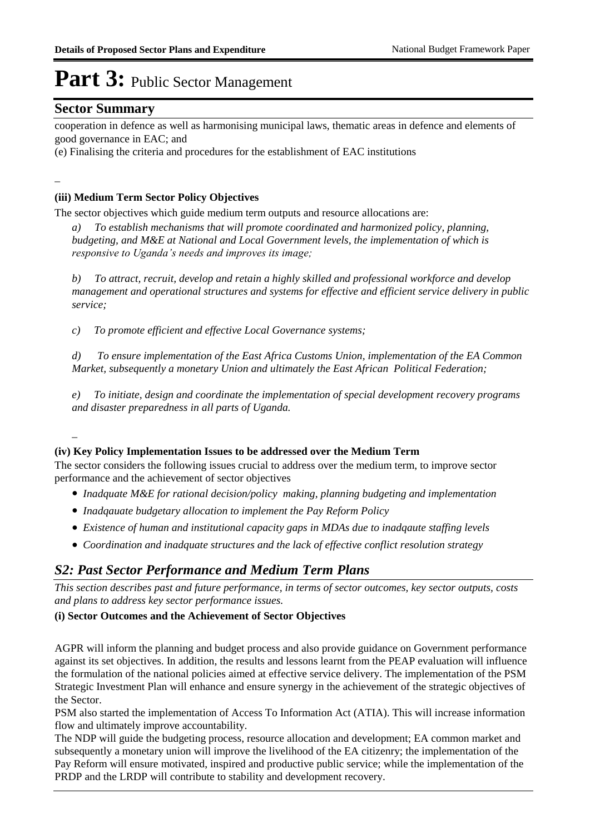### **Sector Summary**

cooperation in defence as well as harmonising municipal laws, thematic areas in defence and elements of good governance in EAC; and

(e) Finalising the criteria and procedures for the establishment of EAC institutions

\_

### **(iii) Medium Term Sector Policy Objectives**

The sector objectives which guide medium term outputs and resource allocations are:

*a) To establish mechanisms that will promote coordinated and harmonized policy, planning, budgeting, and M&E at National and Local Government levels, the implementation of which is responsive to Uganda's needs and improves its image;*

*b) To attract, recruit, develop and retain a highly skilled and professional workforce and develop management and operational structures and systems for effective and efficient service delivery in public service;*

*c) To promote efficient and effective Local Governance systems;*

*d) To ensure implementation of the East Africa Customs Union, implementation of the EA Common Market, subsequently a monetary Union and ultimately the East African Political Federation;*

*e) To initiate, design and coordinate the implementation of special development recovery programs and disaster preparedness in all parts of Uganda.*

### *\_*

### **(iv) Key Policy Implementation Issues to be addressed over the Medium Term**

The sector considers the following issues crucial to address over the medium term, to improve sector performance and the achievement of sector objectives

- *Inadquate M&E for rational decision/policy making, planning budgeting and implementation*
- *Inadqauate budgetary allocation to implement the Pay Reform Policy*
- *Existence of human and institutional capacity gaps in MDAs due to inadqaute staffing levels*
- *Coordination and inadquate structures and the lack of effective conflict resolution strategy*

### *S2: Past Sector Performance and Medium Term Plans*

*This section describes past and future performance, in terms of sector outcomes, key sector outputs, costs and plans to address key sector performance issues.* 

### **(i) Sector Outcomes and the Achievement of Sector Objectives**

AGPR will inform the planning and budget process and also provide guidance on Government performance against its set objectives. In addition, the results and lessons learnt from the PEAP evaluation will influence the formulation of the national policies aimed at effective service delivery. The implementation of the PSM Strategic Investment Plan will enhance and ensure synergy in the achievement of the strategic objectives of the Sector.

PSM also started the implementation of Access To Information Act (ATIA). This will increase information flow and ultimately improve accountability.

The NDP will guide the budgeting process, resource allocation and development; EA common market and subsequently a monetary union will improve the livelihood of the EA citizenry; the implementation of the Pay Reform will ensure motivated, inspired and productive public service; while the implementation of the PRDP and the LRDP will contribute to stability and development recovery.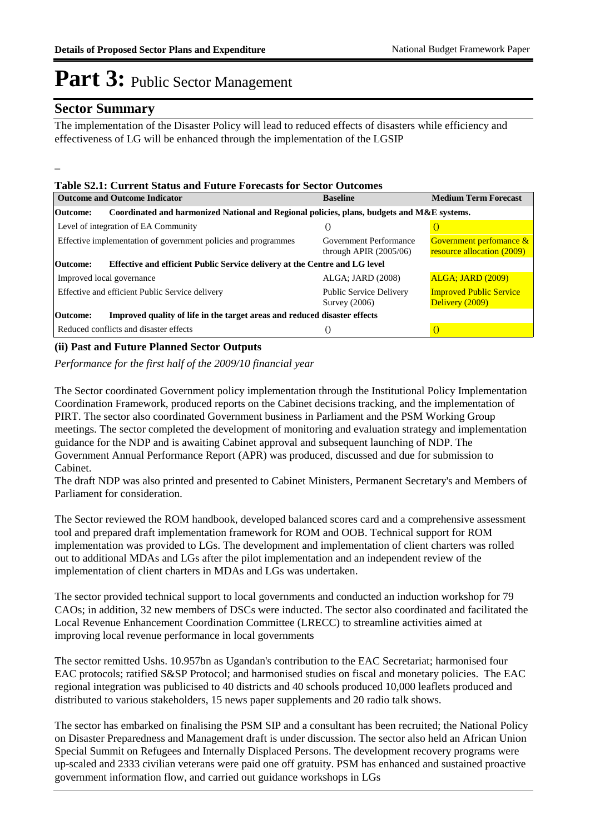### **Sector Summary**

\_

The implementation of the Disaster Policy will lead to reduced effects of disasters while efficiency and effectiveness of LG will be enhanced through the implementation of the LGSIP

### **Table S2.1: Current Status and Future Forecasts for Sector Outcomes**

| <b>Outcome and Outcome Indicator</b>                                                                   | <b>Baseline</b>                                    | <b>Medium Term Forecast</b>                                             |
|--------------------------------------------------------------------------------------------------------|----------------------------------------------------|-------------------------------------------------------------------------|
| Coordinated and harmonized National and Regional policies, plans, budgets and M&E systems.<br>Outcome: |                                                    |                                                                         |
| Level of integration of EA Community                                                                   | 0                                                  |                                                                         |
| Effective implementation of government policies and programmes                                         | Government Performance<br>through APIR $(2005/06)$ | <b>Government perfomance &amp;</b><br><b>resource allocation (2009)</b> |
| Effective and efficient Public Service delivery at the Centre and LG level<br><b>Outcome:</b>          |                                                    |                                                                         |
| Improved local governance                                                                              | ALGA; JARD (2008)                                  | <b>ALGA</b> ; <b>JARD</b> (2009)                                        |
| Effective and efficient Public Service delivery                                                        | <b>Public Service Delivery</b><br>Survey $(2006)$  | <b>Improved Public Service</b><br>Delivery (2009)                       |
| Improved quality of life in the target areas and reduced disaster effects<br>Outcome:                  |                                                    |                                                                         |
| Reduced conflicts and disaster effects                                                                 | ( )                                                |                                                                         |

#### **(ii) Past and Future Planned Sector Outputs**

*Performance for the first half of the 2009/10 financial year*

The Sector coordinated Government policy implementation through the Institutional Policy Implementation Coordination Framework, produced reports on the Cabinet decisions tracking, and the implementation of PIRT. The sector also coordinated Government business in Parliament and the PSM Working Group meetings. The sector completed the development of monitoring and evaluation strategy and implementation guidance for the NDP and is awaiting Cabinet approval and subsequent launching of NDP. The Government Annual Performance Report (APR) was produced, discussed and due for submission to Cabinet.

The draft NDP was also printed and presented to Cabinet Ministers, Permanent Secretary's and Members of Parliament for consideration.

The Sector reviewed the ROM handbook, developed balanced scores card and a comprehensive assessment tool and prepared draft implementation framework for ROM and OOB. Technical support for ROM implementation was provided to LGs. The development and implementation of client charters was rolled out to additional MDAs and LGs after the pilot implementation and an independent review of the implementation of client charters in MDAs and LGs was undertaken.

The sector provided technical support to local governments and conducted an induction workshop for 79 CAOs; in addition, 32 new members of DSCs were inducted. The sector also coordinated and facilitated the Local Revenue Enhancement Coordination Committee (LRECC) to streamline activities aimed at improving local revenue performance in local governments

The sector remitted Ushs. 10.957bn as Ugandan's contribution to the EAC Secretariat; harmonised four EAC protocols; ratified S&SP Protocol; and harmonised studies on fiscal and monetary policies. The EAC regional integration was publicised to 40 districts and 40 schools produced 10,000 leaflets produced and distributed to various stakeholders, 15 news paper supplements and 20 radio talk shows.

The sector has embarked on finalising the PSM SIP and a consultant has been recruited; the National Policy on Disaster Preparedness and Management draft is under discussion. The sector also held an African Union Special Summit on Refugees and Internally Displaced Persons. The development recovery programs were up-scaled and 2333 civilian veterans were paid one off gratuity. PSM has enhanced and sustained proactive government information flow, and carried out guidance workshops in LGs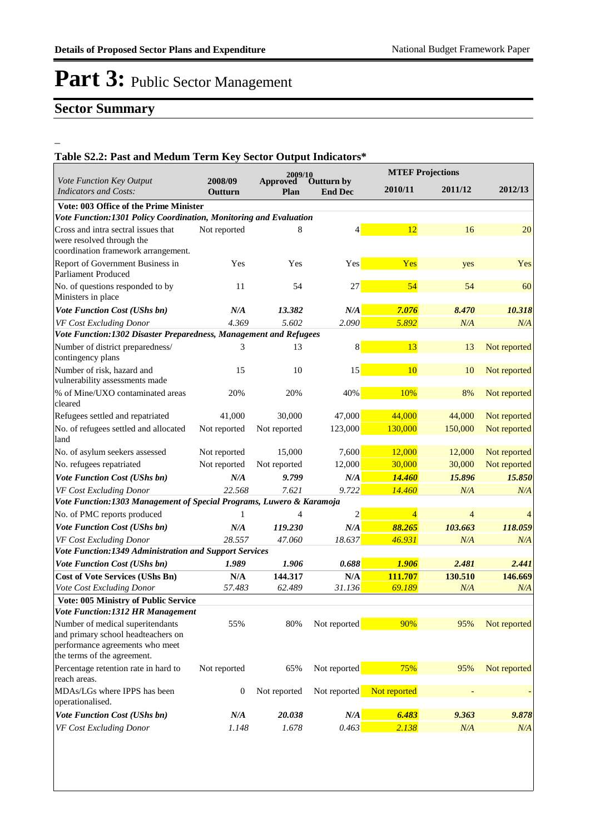### **Sector Summary**

\_

### **Table S2.2: Past and Medum Term Key Sector Output Indicators\***

|                                                                                                                                          |                           | 2009/10          |                              |                | <b>MTEF Projections</b> |              |  |  |  |
|------------------------------------------------------------------------------------------------------------------------------------------|---------------------------|------------------|------------------------------|----------------|-------------------------|--------------|--|--|--|
| Vote Function Key Output<br><b>Indicators and Costs:</b>                                                                                 | 2008/09<br><b>Outturn</b> | Approved<br>Plan | Outturn by<br><b>End Dec</b> | 2010/11        | 2011/12                 | 2012/13      |  |  |  |
| Vote: 003 Office of the Prime Minister                                                                                                   |                           |                  |                              |                |                         |              |  |  |  |
| Vote Function:1301 Policy Coordination, Monitoring and Evaluation                                                                        |                           |                  |                              |                |                         |              |  |  |  |
| Cross and intra sectral issues that<br>were resolved through the<br>coordination framework arrangement.                                  | Not reported              | 8                | $\overline{4}$               | 12             | 16                      | 20           |  |  |  |
| Report of Government Business in<br><b>Parliament Produced</b>                                                                           | Yes                       | Yes              | Yes                          | Yes            | yes                     | Yes          |  |  |  |
| No. of questions responded to by<br>Ministers in place                                                                                   | 11                        | 54               | 27                           | 54             | 54                      | 60           |  |  |  |
| Vote Function Cost (UShs bn)                                                                                                             | N/A                       | 13.382           | N/A                          | 7.076          | 8.470                   | 10.318       |  |  |  |
| VF Cost Excluding Donor                                                                                                                  | 4.369                     | 5.602            | 2.090                        | 5.892          | N/A                     | N/A          |  |  |  |
| Vote Function:1302 Disaster Preparedness, Management and Refugees                                                                        |                           |                  |                              |                |                         |              |  |  |  |
| Number of district preparedness/<br>contingency plans                                                                                    | 3                         | 13               | 8                            | 13             | 13                      | Not reported |  |  |  |
| Number of risk, hazard and<br>vulnerability assessments made                                                                             | 15                        | 10               | 15                           | 10             | 10                      | Not reported |  |  |  |
| % of Mine/UXO contaminated areas<br>cleared                                                                                              | 20%                       | 20%              | 40%                          | 10%            | 8%                      | Not reported |  |  |  |
| Refugees settled and repatriated                                                                                                         | 41,000                    | 30,000           | 47,000                       | 44,000         | 44,000                  | Not reported |  |  |  |
| No. of refugees settled and allocated<br>land                                                                                            | Not reported              | Not reported     | 123,000                      | 130,000        | 150,000                 | Not reported |  |  |  |
| No. of asylum seekers assessed                                                                                                           | Not reported              | 15,000           | 7,600                        | 12,000         | 12,000                  | Not reported |  |  |  |
| No. refugees repatriated                                                                                                                 | Not reported              | Not reported     | 12,000                       | 30,000         | 30,000                  | Not reported |  |  |  |
| <b>Vote Function Cost (UShs bn)</b>                                                                                                      | N/A                       | 9.799            | N/A                          | 14.460         | 15.896                  | 15.850       |  |  |  |
| VF Cost Excluding Donor                                                                                                                  | 22.568                    | 7.621            | 9.722                        | 14.460         | N/A                     | N/A          |  |  |  |
| Vote Function:1303 Management of Special Programs, Luwero & Karamoja                                                                     |                           |                  |                              |                |                         |              |  |  |  |
| No. of PMC reports produced                                                                                                              | 1                         | 4                | 2                            | $\overline{4}$ | $\overline{4}$          | 4            |  |  |  |
| <b>Vote Function Cost (UShs bn)</b>                                                                                                      | N/A                       | 119.230          | N/A                          | 88.265         | 103.663                 | 118.059      |  |  |  |
| VF Cost Excluding Donor                                                                                                                  | 28.557                    | 47.060           | 18.637                       | 46.931         | N/A                     | N/A          |  |  |  |
| Vote Function:1349 Administration and Support Services                                                                                   |                           |                  |                              |                |                         |              |  |  |  |
| Vote Function Cost (UShs bn)                                                                                                             | 1.989                     | 1.906            | 0.688                        | 1.906          | 2.481                   | 2.441        |  |  |  |
| <b>Cost of Vote Services (UShs Bn)</b>                                                                                                   | N/A                       | 144.317          | N/A                          | 111.707        | 130.510                 | 146.669      |  |  |  |
| Vote Cost Excluding Donor                                                                                                                | 57.483                    | 62.489           | 31.136                       | 69.189         | N/A                     | N/A          |  |  |  |
| <b>Vote: 005 Ministry of Public Service</b>                                                                                              |                           |                  |                              |                |                         |              |  |  |  |
| <b>Vote Function:1312 HR Management</b>                                                                                                  |                           |                  |                              |                |                         |              |  |  |  |
| Number of medical superitendants<br>and primary school headteachers on<br>performance agreements who meet<br>the terms of the agreement. | 55%                       | 80%              | Not reported                 | 90%            | 95%                     | Not reported |  |  |  |
| Percentage retention rate in hard to<br>reach areas.                                                                                     | Not reported              | 65%              | Not reported                 | 75%            | 95%                     | Not reported |  |  |  |
| MDAs/LGs where IPPS has been<br>operationalised.                                                                                         | $\boldsymbol{0}$          | Not reported     | Not reported                 | Not reported   |                         |              |  |  |  |
| <b>Vote Function Cost (UShs bn)</b>                                                                                                      | N/A                       | 20.038           | N/A                          | 6.483          | 9.363                   | 9.878        |  |  |  |
| VF Cost Excluding Donor                                                                                                                  | 1.148                     | 1.678            | 0.463                        | 2.138          | N/A                     | N/A          |  |  |  |
|                                                                                                                                          |                           |                  |                              |                |                         |              |  |  |  |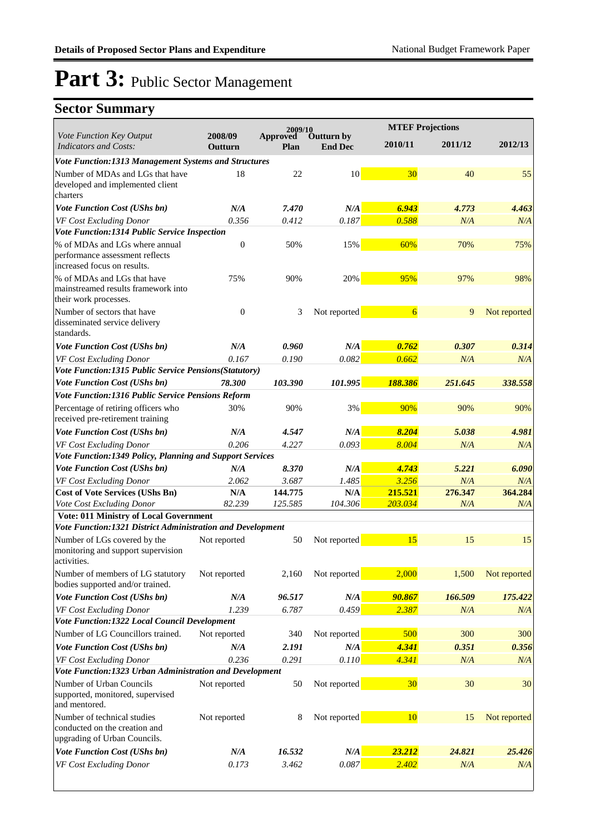|                                                                                                  | 2009/10            |                  |                              | <b>MTEF Projections</b> |         |              |
|--------------------------------------------------------------------------------------------------|--------------------|------------------|------------------------------|-------------------------|---------|--------------|
| Vote Function Key Output<br><b>Indicators and Costs:</b>                                         | 2008/09<br>Outturn | Approved<br>Plan | Outturn by<br><b>End Dec</b> | 2010/11                 | 2011/12 | 2012/13      |
| Vote Function:1313 Management Systems and Structures                                             |                    |                  |                              |                         |         |              |
| Number of MDAs and LGs that have<br>developed and implemented client<br>charters                 | 18                 | 22               | 10 <sup>1</sup>              | 30                      | 40      | 55           |
| Vote Function Cost (UShs bn)                                                                     | N/A                | 7.470            | N/A                          | 6.943                   | 4.773   | 4.463        |
| VF Cost Excluding Donor                                                                          | 0.356              | 0.412            | 0.187                        | 0.588                   | N/A     | N/A          |
| Vote Function:1314 Public Service Inspection                                                     |                    |                  |                              |                         |         |              |
| % of MDAs and LGs where annual<br>performance assessment reflects<br>increased focus on results. | $\theta$           | 50%              | 15%                          | 60%                     | 70%     | 75%          |
| % of MDAs and LGs that have<br>mainstreamed results framework into<br>their work processes.      | 75%                | 90%              | 20%                          | 95%                     | 97%     | 98%          |
| Number of sectors that have<br>disseminated service delivery<br>standards.                       | $\theta$           | 3                | Not reported                 | $\overline{6}$          | 9       | Not reported |
| <b>Vote Function Cost (UShs bn)</b>                                                              | N/A                | 0.960            | N/A                          | 0.762                   | 0.307   | 0.314        |
| VF Cost Excluding Donor                                                                          | 0.167              | 0.190            | 0.082                        | 0.662                   | N/A     | N/A          |
| Vote Function:1315 Public Service Pensions(Statutory)                                            |                    |                  |                              |                         |         |              |
| Vote Function Cost (UShs bn)                                                                     | 78.300             | 103.390          | 101.995                      | 188.386                 | 251.645 | 338.558      |
| Vote Function:1316 Public Service Pensions Reform                                                |                    |                  |                              |                         |         |              |
| Percentage of retiring officers who<br>received pre-retirement training                          | 30%                | 90%              | 3%                           | 90%                     | 90%     | 90%          |
| <b>Vote Function Cost (UShs bn)</b>                                                              | N/A                | 4.547            | N/A                          | 8.204                   | 5.038   | 4.981        |
| VF Cost Excluding Donor                                                                          | 0.206              | 4.227            | 0.093                        | 8.004                   | N/A     | N/A          |
| Vote Function:1349 Policy, Planning and Support Services                                         |                    |                  |                              |                         |         |              |
| <b>Vote Function Cost (UShs bn)</b>                                                              | N/A                | 8.370            | N/A                          | 4.743                   | 5.221   | 6.090        |
| VF Cost Excluding Donor                                                                          | 2.062              | 3.687            | 1.485                        | 3.256                   | N/A     | N/A          |
| <b>Cost of Vote Services (UShs Bn)</b>                                                           | N/A                | 144.775          | N/A                          | 215.521                 | 276.347 | 364.284      |
| Vote Cost Excluding Donor<br><b>Vote: 011 Ministry of Local Government</b>                       | 82.239             | 125.585          | 104.306                      | 203.034                 | N/A     | N/A          |
| Vote Function:1321 District Administration and Development                                       |                    |                  |                              |                         |         |              |
| Number of LGs covered by the<br>monitoring and support supervision<br>activities.                | Not reported       | 50               | Not reported                 | 15                      | 15      | 15           |
| Number of members of LG statutory<br>bodies supported and/or trained.                            | Not reported       | 2,160            | Not reported                 | 2,000                   | 1,500   | Not reported |
| Vote Function Cost (UShs bn)                                                                     | N/A                | 96.517           | N/A                          | 90.867                  | 166.509 | 175.422      |
| VF Cost Excluding Donor                                                                          | 1.239              | 6.787            | 0.459                        | 2.387                   | N/A     | N/A          |
| Vote Function:1322 Local Council Development                                                     |                    |                  |                              |                         |         |              |
| Number of LG Councillors trained.                                                                | Not reported       | 340              | Not reported                 | 500                     | 300     | 300          |
| Vote Function Cost (UShs bn)                                                                     | N/A                | 2.191            | $N\!/\!A$                    | 4.341                   | 0.351   | 0.356        |
| VF Cost Excluding Donor                                                                          | 0.236              | 0.291            | 0.110                        | 4.341                   | N/A     | N/A          |
| Vote Function:1323 Urban Administration and Development                                          |                    |                  |                              |                         |         |              |
| Number of Urban Councils<br>supported, monitored, supervised<br>and mentored.                    | Not reported       | 50               | Not reported                 | 30                      | 30      | 30           |
| Number of technical studies<br>conducted on the creation and<br>upgrading of Urban Councils.     | Not reported       | 8                | Not reported                 | <b>10</b>               | 15      | Not reported |
| Vote Function Cost (UShs bn)                                                                     | N/A                | 16.532           | N/A                          | 23.212                  | 24.821  | 25.426       |
| VF Cost Excluding Donor                                                                          | 0.173              | 3.462            | 0.087                        | 2.402                   | N/A     | N/A          |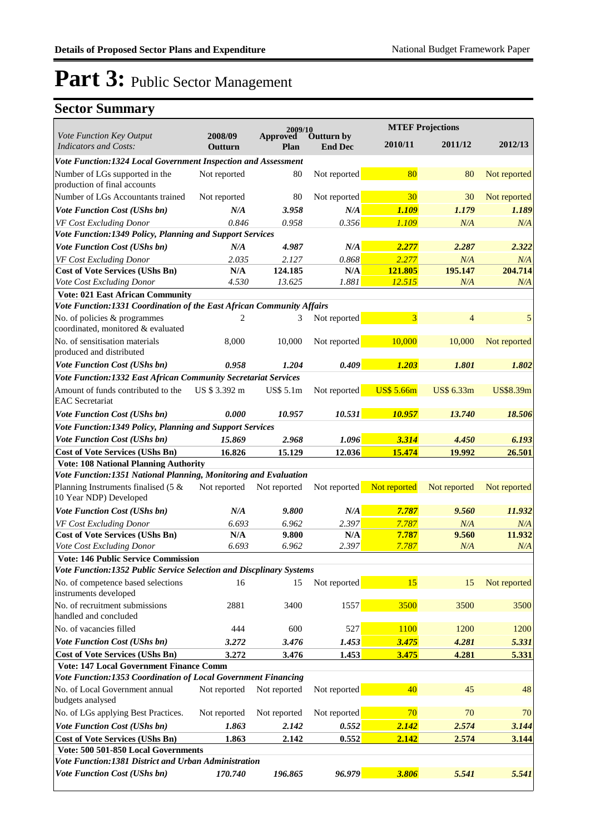|                                                                       | 2009/10            |                                                  |              | <b>MTEF Projections</b> |                |                  |
|-----------------------------------------------------------------------|--------------------|--------------------------------------------------|--------------|-------------------------|----------------|------------------|
| Vote Function Key Output<br><b>Indicators and Costs:</b>              | 2008/09<br>Outturn | Outturn by<br>Approved<br><b>End Dec</b><br>Plan |              | 2010/11                 | 2011/12        | 2012/13          |
| Vote Function:1324 Local Government Inspection and Assessment         |                    |                                                  |              |                         |                |                  |
| Number of LGs supported in the<br>production of final accounts        | Not reported       | 80                                               | Not reported | 80                      | 80             | Not reported     |
| Number of LGs Accountants trained                                     | Not reported       | 80                                               | Not reported | 30                      | 30             | Not reported     |
| <b>Vote Function Cost (UShs bn)</b>                                   | N/A                | 3.958                                            | N/A          | 1.109                   | 1.179          | 1.189            |
| VF Cost Excluding Donor                                               | 0.846              | 0.958                                            | 0.356        | 1.109                   | N/A            | N/A              |
| Vote Function:1349 Policy, Planning and Support Services              |                    |                                                  |              |                         |                |                  |
| <b>Vote Function Cost (UShs bn)</b>                                   | N/A                | 4.987                                            | N/A          | 2.277                   | 2.287          | 2.322            |
| VF Cost Excluding Donor                                               | 2.035              | 2.127                                            | 0.868        | 2.277                   | N/A            | N/A              |
| <b>Cost of Vote Services (UShs Bn)</b>                                | N/A                | 124.185                                          | N/A          | 121.805                 | 195.147        | 204.714          |
| Vote Cost Excluding Donor                                             | 4.530              | 13.625                                           | 1.881        | 12.515                  | N/A            | N/A              |
| <b>Vote: 021 East African Community</b>                               |                    |                                                  |              |                         |                |                  |
| Vote Function:1331 Coordination of the East African Community Affairs |                    |                                                  |              |                         |                |                  |
| No. of policies & programmes<br>coordinated, monitored & evaluated    | 2                  | 3                                                | Not reported | 3                       | $\overline{4}$ | 5                |
| No. of sensitisation materials<br>produced and distributed            | 8,000              | 10,000                                           | Not reported | 10,000                  | 10,000         | Not reported     |
| Vote Function Cost (UShs bn)                                          | 0.958              | 1.204                                            | 0.409        | 1.203                   | 1.801          | 1.802            |
| Vote Function:1332 East African Community Secretariat Services        |                    |                                                  |              |                         |                |                  |
| Amount of funds contributed to the<br><b>EAC</b> Secretariat          | US \$ 3.392 m      | US\$ 5.1m                                        | Not reported | <b>US\$ 5.66m</b>       | US\$ 6.33m     | <b>US\$8.39m</b> |
| <b>Vote Function Cost (UShs bn)</b>                                   | 0.000              | 10.957                                           | 10.531       | 10.957                  | 13.740         | 18.506           |
| Vote Function:1349 Policy, Planning and Support Services              |                    |                                                  |              |                         |                |                  |
| Vote Function Cost (UShs bn)                                          | 15.869             | 2.968                                            | 1.096        | 3.314                   | 4.450          | 6.193            |
| <b>Cost of Vote Services (UShs Bn)</b>                                | 16.826             | 15.129                                           | 12.036       | 15.474                  | 19.992         | 26.501           |
| <b>Vote: 108 National Planning Authority</b>                          |                    |                                                  |              |                         |                |                  |
| Vote Function:1351 National Planning, Monitoring and Evaluation       |                    |                                                  |              |                         |                |                  |
| Planning Instruments finalised (5 $\&$<br>10 Year NDP) Developed      | Not reported       | Not reported                                     | Not reported | Not reported            | Not reported   | Not reported     |
| <b>Vote Function Cost (UShs bn)</b>                                   | N/A                | 9.800                                            | N/A          | 7.787                   | 9.560          | 11.932           |
| VF Cost Excluding Donor                                               | 6.693              | 6.962                                            | 2.397        | 7.787                   | N/A            | N/A              |
| <b>Cost of Vote Services (UShs Bn)</b>                                | N/A                | 9.800                                            | N/A          | 7.787                   | 9.560          | 11.932           |
| Vote Cost Excluding Donor                                             | 6.693              | 6.962                                            | 2.397        | 7.787                   | N/A            | N/A              |
| Vote: 146 Public Service Commission                                   |                    |                                                  |              |                         |                |                  |
| Vote Function:1352 Public Service Selection and Discplinary Systems   |                    |                                                  |              |                         |                |                  |
| No. of competence based selections<br>instruments developed           | 16                 | 15                                               | Not reported | 15                      | 15             | Not reported     |
| No. of recruitment submissions<br>handled and concluded               | 2881               | 3400                                             | 1557         | 3500                    | 3500           | 3500             |
| No. of vacancies filled                                               | 444                | 600                                              | 527          | <b>1100</b>             | 1200           | 1200             |
| <b>Vote Function Cost (UShs bn)</b>                                   | 3.272              | 3.476                                            | 1.453        | 3.475                   | 4.281          | 5.331            |
| <b>Cost of Vote Services (UShs Bn)</b>                                | 3.272              | 3.476                                            | 1.453        | 3.475                   | 4.281          | 5.331            |
| <b>Vote: 147 Local Government Finance Comm</b>                        |                    |                                                  |              |                         |                |                  |
| Vote Function:1353 Coordination of Local Government Financing         |                    |                                                  |              |                         |                |                  |
| No. of Local Government annual<br>budgets analysed                    | Not reported       | Not reported                                     | Not reported | 40                      | 45             | 48               |
| No. of LGs applying Best Practices.                                   | Not reported       | Not reported                                     | Not reported | 70                      | 70             | 70               |
| Vote Function Cost (UShs bn)                                          | 1.863              | 2.142                                            | 0.552        | 2.142                   | 2.574          | 3.144            |
| <b>Cost of Vote Services (UShs Bn)</b>                                | 1.863              | 2.142                                            | 0.552        | 2.142                   | 2.574          | 3.144            |
| Vote: 500 501-850 Local Governments                                   |                    |                                                  |              |                         |                |                  |
| Vote Function: 1381 District and Urban Administration                 |                    |                                                  |              |                         |                |                  |
| Vote Function Cost (UShs bn)                                          | 170.740            | 196.865                                          | 96.979       | 3.806                   | 5.541          | 5.541            |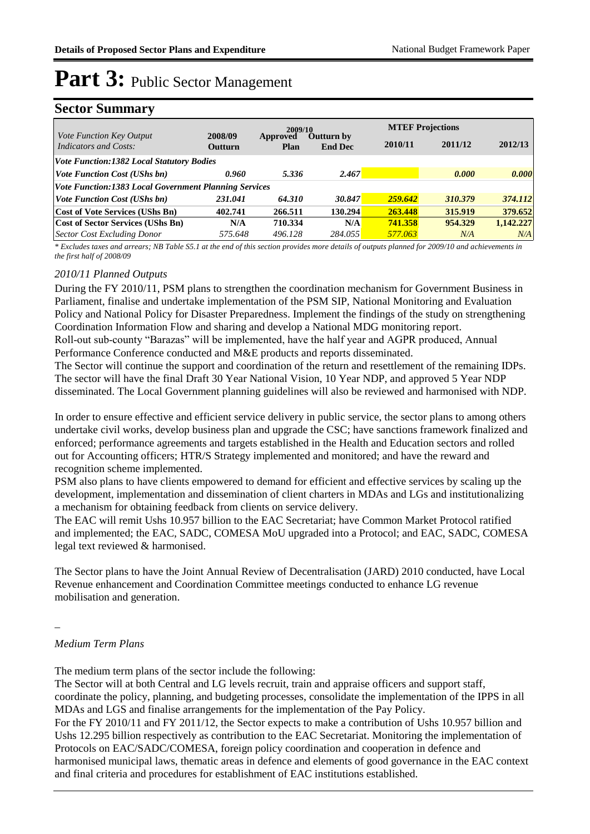### **Sector Summary**

|                                                              | 2009/10                   |                  |                              | <b>MTEF Projections</b> |         |           |  |  |
|--------------------------------------------------------------|---------------------------|------------------|------------------------------|-------------------------|---------|-----------|--|--|
| <i>Vote Function Key Output</i><br>Indicators and Costs:     | 2008/09<br><b>Outturn</b> | Approved<br>Plan | Outturn by<br><b>End Dec</b> | 2010/11                 | 2011/12 | 2012/13   |  |  |
| <b>Vote Function:1382 Local Statutory Bodies</b>             |                           |                  |                              |                         |         |           |  |  |
| <b>Vote Function Cost (UShs bn)</b>                          | 0.960                     | 5.336            | 2.467                        |                         | 0.000   | 0.000     |  |  |
| <b>Vote Function:1383 Local Government Planning Services</b> |                           |                  |                              |                         |         |           |  |  |
| <i>Vote Function Cost (UShs bn)</i>                          | 231.041                   | 64.310           | 30.847                       | 259.642                 | 310.379 | 374.112   |  |  |
| <b>Cost of Vote Services (UShs Bn)</b>                       | 402.741                   | 266.511          | 130.294                      | 263.448                 | 315.919 | 379.652   |  |  |
| <b>Cost of Sector Services (UShs Bn)</b>                     | N/A                       | 710.334          | N/A                          | 741.358                 | 954.329 | 1,142,227 |  |  |
| <b>Sector Cost Excluding Donor</b>                           | 575.648                   | 496.128          | 284.055                      | 577.063                 | N/A     | N/A       |  |  |

*\* Excludes taxes and arrears; NB Table S5.1 at the end of this section provides more details of outputs planned for 2009/10 and achievements in the first half of 2008/09*

### *2010/11 Planned Outputs*

During the FY 2010/11, PSM plans to strengthen the coordination mechanism for Government Business in Parliament, finalise and undertake implementation of the PSM SIP, National Monitoring and Evaluation Policy and National Policy for Disaster Preparedness. Implement the findings of the study on strengthening Coordination Information Flow and sharing and develop a National MDG monitoring report.

Roll-out sub-county "Barazas" will be implemented, have the half year and AGPR produced, Annual Performance Conference conducted and M&E products and reports disseminated.

The Sector will continue the support and coordination of the return and resettlement of the remaining IDPs. The sector will have the final Draft 30 Year National Vision, 10 Year NDP, and approved 5 Year NDP disseminated. The Local Government planning guidelines will also be reviewed and harmonised with NDP.

In order to ensure effective and efficient service delivery in public service, the sector plans to among others undertake civil works, develop business plan and upgrade the CSC; have sanctions framework finalized and enforced; performance agreements and targets established in the Health and Education sectors and rolled out for Accounting officers; HTR/S Strategy implemented and monitored; and have the reward and recognition scheme implemented.

PSM also plans to have clients empowered to demand for efficient and effective services by scaling up the development, implementation and dissemination of client charters in MDAs and LGs and institutionalizing a mechanism for obtaining feedback from clients on service delivery.

The EAC will remit Ushs 10.957 billion to the EAC Secretariat; have Common Market Protocol ratified and implemented; the EAC, SADC, COMESA MoU upgraded into a Protocol; and EAC, SADC, COMESA legal text reviewed & harmonised.

The Sector plans to have the Joint Annual Review of Decentralisation (JARD) 2010 conducted, have Local Revenue enhancement and Coordination Committee meetings conducted to enhance LG revenue mobilisation and generation.

\_

#### *Medium Term Plans*

The medium term plans of the sector include the following:

The Sector will at both Central and LG levels recruit, train and appraise officers and support staff, coordinate the policy, planning, and budgeting processes, consolidate the implementation of the IPPS in all MDAs and LGS and finalise arrangements for the implementation of the Pay Policy.

For the FY 2010/11 and FY 2011/12, the Sector expects to make a contribution of Ushs 10.957 billion and Ushs 12.295 billion respectively as contribution to the EAC Secretariat. Monitoring the implementation of Protocols on EAC/SADC/COMESA, foreign policy coordination and cooperation in defence and harmonised municipal laws, thematic areas in defence and elements of good governance in the EAC context

and final criteria and procedures for establishment of EAC institutions established.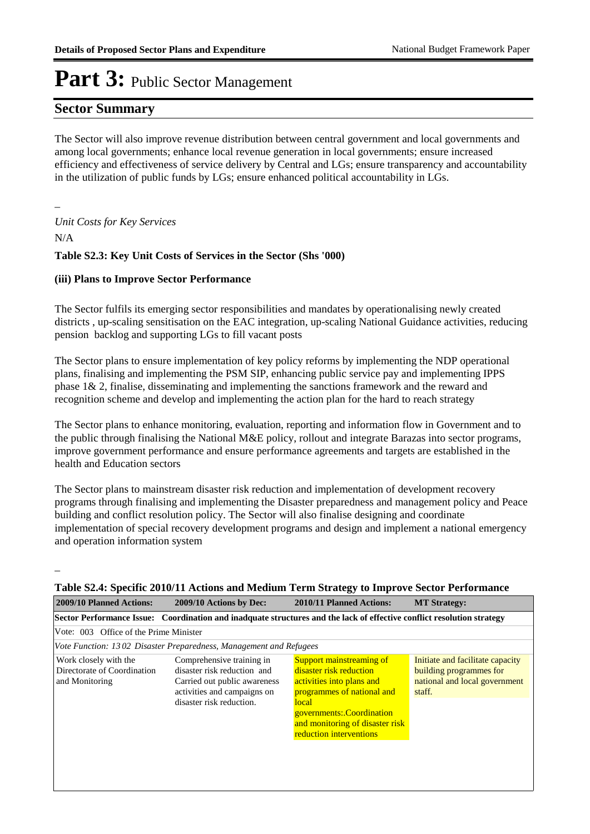### **Sector Summary**

The Sector will also improve revenue distribution between central government and local governments and among local governments; enhance local revenue generation in local governments; ensure increased efficiency and effectiveness of service delivery by Central and LGs; ensure transparency and accountability in the utilization of public funds by LGs; ensure enhanced political accountability in LGs.

### *Unit Costs for Key Services*

N/A

\_

\_

### **Table S2.3: Key Unit Costs of Services in the Sector (Shs '000)**

### **(iii) Plans to Improve Sector Performance**

The Sector fulfils its emerging sector responsibilities and mandates by operationalising newly created districts , up-scaling sensitisation on the EAC integration, up-scaling National Guidance activities, reducing pension backlog and supporting LGs to fill vacant posts

The Sector plans to ensure implementation of key policy reforms by implementing the NDP operational plans, finalising and implementing the PSM SIP, enhancing public service pay and implementing IPPS phase 1& 2, finalise, disseminating and implementing the sanctions framework and the reward and recognition scheme and develop and implementing the action plan for the hard to reach strategy

The Sector plans to enhance monitoring, evaluation, reporting and information flow in Government and to the public through finalising the National M&E policy, rollout and integrate Barazas into sector programs, improve government performance and ensure performance agreements and targets are established in the health and Education sectors

The Sector plans to mainstream disaster risk reduction and implementation of development recovery programs through finalising and implementing the Disaster preparedness and management policy and Peace building and conflict resolution policy. The Sector will also finalise designing and coordinate implementation of special recovery development programs and design and implement a national emergency and operation information system

| Table S2.4: Specific 2010/11 Actions and Medium Term Strategy to Improve Sector Performance                            |                                                                                                                                                     |                                                                                                                                                                                                                    |                                                                                                        |  |  |  |  |  |  |  |  |
|------------------------------------------------------------------------------------------------------------------------|-----------------------------------------------------------------------------------------------------------------------------------------------------|--------------------------------------------------------------------------------------------------------------------------------------------------------------------------------------------------------------------|--------------------------------------------------------------------------------------------------------|--|--|--|--|--|--|--|--|
| 2009/10 Planned Actions:                                                                                               | 2009/10 Actions by Dec:                                                                                                                             | 2010/11 Planned Actions:                                                                                                                                                                                           | <b>MT Strategy:</b>                                                                                    |  |  |  |  |  |  |  |  |
| Sector Performance Issue: Coordination and inadquate structures and the lack of effective conflict resolution strategy |                                                                                                                                                     |                                                                                                                                                                                                                    |                                                                                                        |  |  |  |  |  |  |  |  |
| Vote: 003 Office of the Prime Minister                                                                                 |                                                                                                                                                     |                                                                                                                                                                                                                    |                                                                                                        |  |  |  |  |  |  |  |  |
|                                                                                                                        | Vote Function: 1302 Disaster Preparedness, Management and Refugees                                                                                  |                                                                                                                                                                                                                    |                                                                                                        |  |  |  |  |  |  |  |  |
| Work closely with the<br>Directorate of Coordination<br>and Monitoring                                                 | Comprehensive training in<br>disaster risk reduction and<br>Carried out public awareness<br>activities and campaigns on<br>disaster risk reduction. | Support mainstreaming of<br>disaster risk reduction<br>activities into plans and<br>programmes of national and<br>local<br>governments: Coordination<br>and monitoring of disaster risk<br>reduction interventions | Initiate and facilitate capacity<br>building programmes for<br>national and local government<br>staff. |  |  |  |  |  |  |  |  |

### **Table S2.4: Specific 2010/11 Actions and Medium Term Strategy to Improve Sector Performance**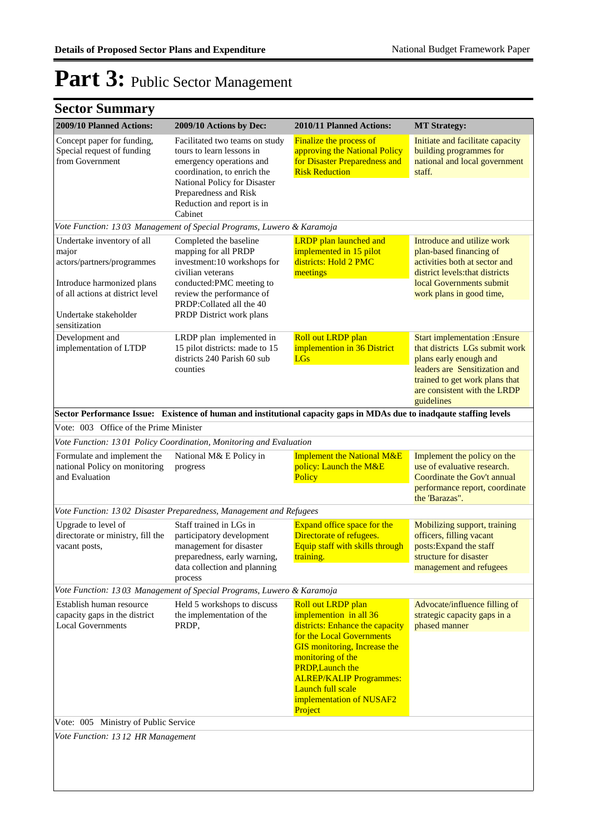| 2009/10 Planned Actions:                                                                                                                                     | 2009/10 Actions by Dec:                                                                                                                                                                                                  | 2010/11 Planned Actions:                                                                                                                                                                                       | <b>MT Strategy:</b>                                                                                                                                                                                               |
|--------------------------------------------------------------------------------------------------------------------------------------------------------------|--------------------------------------------------------------------------------------------------------------------------------------------------------------------------------------------------------------------------|----------------------------------------------------------------------------------------------------------------------------------------------------------------------------------------------------------------|-------------------------------------------------------------------------------------------------------------------------------------------------------------------------------------------------------------------|
| Concept paper for funding,<br>Special request of funding<br>from Government                                                                                  | Facilitated two teams on study<br>tours to learn lessons in<br>emergency operations and<br>coordination, to enrich the<br>National Policy for Disaster<br>Preparedness and Risk<br>Reduction and report is in<br>Cabinet | <b>Finalize the process of</b><br>approving the National Policy<br>for Disaster Preparedness and<br><b>Risk Reduction</b>                                                                                      | Initiate and facilitate capacity<br>building programmes for<br>national and local government<br>staff.                                                                                                            |
|                                                                                                                                                              | Vote Function: 1303 Management of Special Programs, Luwero & Karamoja                                                                                                                                                    |                                                                                                                                                                                                                |                                                                                                                                                                                                                   |
| Undertake inventory of all<br>major<br>actors/partners/programmes<br>Introduce harmonized plans<br>of all actions at district level<br>Undertake stakeholder | Completed the baseline<br>mapping for all PRDP<br>investment:10 workshops for<br>civilian veterans<br>conducted:PMC meeting to<br>review the performance of<br>PRDP:Collated all the 40<br>PRDP District work plans      | <b>LRDP</b> plan launched and<br>implemented in 15 pilot<br>districts: Hold 2 PMC<br>meetings                                                                                                                  | Introduce and utilize work<br>plan-based financing of<br>activities both at sector and<br>district levels: that districts<br>local Governments submit<br>work plans in good time,                                 |
| sensitization<br>Development and<br>implementation of LTDP                                                                                                   | LRDP plan implemented in<br>15 pilot districts: made to 15<br>districts 240 Parish 60 sub<br>counties                                                                                                                    | Roll out LRDP plan<br>implemention in 36 District<br><b>LGs</b>                                                                                                                                                | <b>Start implementation : Ensure</b><br>that districts LGs submit work<br>plans early enough and<br>leaders are Sensitization and<br>trained to get work plans that<br>are consistent with the LRDP<br>guidelines |
|                                                                                                                                                              |                                                                                                                                                                                                                          | Sector Performance Issue: Existence of human and institutional capacity gaps in MDAs due to inadqaute staffing levels                                                                                          |                                                                                                                                                                                                                   |
| Vote: 003 Office of the Prime Minister                                                                                                                       |                                                                                                                                                                                                                          |                                                                                                                                                                                                                |                                                                                                                                                                                                                   |
|                                                                                                                                                              | Vote Function: 1301 Policy Coordination, Monitoring and Evaluation                                                                                                                                                       |                                                                                                                                                                                                                |                                                                                                                                                                                                                   |
| Formulate and implement the<br>national Policy on monitoring<br>and Evaluation                                                                               | National M& E Policy in<br>progress                                                                                                                                                                                      | <b>Implement the National M&amp;E</b><br>policy: Launch the M&E<br>Policy                                                                                                                                      | Implement the policy on the<br>use of evaluative research.<br>Coordinate the Gov't annual<br>performance report, coordinate<br>the 'Barazas".                                                                     |
|                                                                                                                                                              | Vote Function: 1302 Disaster Preparedness, Management and Refugees                                                                                                                                                       |                                                                                                                                                                                                                |                                                                                                                                                                                                                   |
| Upgrade to level of<br>directorate or ministry, fill the<br>vacant posts,                                                                                    | Staff trained in LGs in<br>participatory development<br>management for disaster<br>preparedness, early warning,<br>data collection and planning                                                                          | Expand office space for the<br>Directorate of refugees.<br>Equip staff with skills through<br>training.                                                                                                        | Mobilizing support, training<br>officers, filling vacant<br>posts: Expand the staff<br>structure for disaster<br>management and refugees                                                                          |
|                                                                                                                                                              | process<br>Vote Function: 1303 Management of Special Programs, Luwero & Karamoja                                                                                                                                         |                                                                                                                                                                                                                |                                                                                                                                                                                                                   |
| Establish human resource<br>capacity gaps in the district<br><b>Local Governments</b>                                                                        | Held 5 workshops to discuss<br>the implementation of the<br>PRDP,                                                                                                                                                        | Roll out LRDP plan<br>implemention in all 36<br>districts: Enhance the capacity                                                                                                                                | Advocate/influence filling of<br>strategic capacity gaps in a<br>phased manner                                                                                                                                    |
|                                                                                                                                                              |                                                                                                                                                                                                                          | for the Local Governments<br><b>GIS</b> monitoring, Increase the<br>monitoring of the<br><b>PRDP, Launch the</b><br><b>ALREP/KALIP Programmes:</b><br>Launch full scale<br>implementation of NUSAF2<br>Project |                                                                                                                                                                                                                   |
| Vote: 005 Ministry of Public Service                                                                                                                         |                                                                                                                                                                                                                          |                                                                                                                                                                                                                |                                                                                                                                                                                                                   |
| Vote Function: 1312 HR Management                                                                                                                            |                                                                                                                                                                                                                          |                                                                                                                                                                                                                |                                                                                                                                                                                                                   |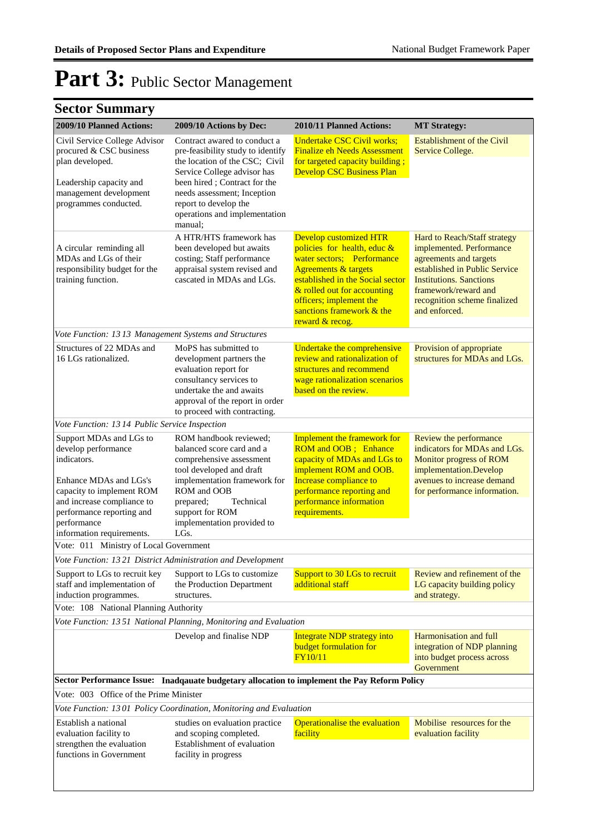| 2009/10 Planned Actions:                                                                                                                                                                       | 2009/10 Actions by Dec:                                                                                                                                                                                                                                                | 2010/11 Planned Actions:                                                                                                                                                                                                                                                      | <b>MT Strategy:</b>                                                                                                                                                                                                            |
|------------------------------------------------------------------------------------------------------------------------------------------------------------------------------------------------|------------------------------------------------------------------------------------------------------------------------------------------------------------------------------------------------------------------------------------------------------------------------|-------------------------------------------------------------------------------------------------------------------------------------------------------------------------------------------------------------------------------------------------------------------------------|--------------------------------------------------------------------------------------------------------------------------------------------------------------------------------------------------------------------------------|
| Civil Service College Advisor<br>procured & CSC business<br>plan developed.<br>Leadership capacity and<br>management development<br>programmes conducted.                                      | Contract awared to conduct a<br>pre-feasibility study to identify<br>the location of the CSC; Civil<br>Service College advisor has<br>been hired; Contract for the<br>needs assessment; Inception<br>report to develop the<br>operations and implementation<br>manual: | <b>Undertake CSC Civil works;</b><br><b>Finalize eh Needs Assessment</b><br>for targeted capacity building;<br><b>Develop CSC Business Plan</b>                                                                                                                               | <b>Establishment of the Civil</b><br>Service College.                                                                                                                                                                          |
| A circular reminding all<br>MDAs and LGs of their<br>responsibility budget for the<br>training function.                                                                                       | A HTR/HTS framework has<br>been developed but awaits<br>costing; Staff performance<br>appraisal system revised and<br>cascated in MDAs and LGs.                                                                                                                        | <b>Develop customized HTR</b><br>policies for health, educ $&$<br>water sectors; Performance<br><b>Agreements &amp; targets</b><br>established in the Social sector<br>& rolled out for accounting<br>officers; implement the<br>sanctions framework & the<br>reward & recog. | Hard to Reach/Staff strategy<br>implemented. Performance<br>agreements and targets<br>established in Public Service<br><b>Institutions. Sanctions</b><br>framework/reward and<br>recognition scheme finalized<br>and enforced. |
| Vote Function: 1313 Management Systems and Structures                                                                                                                                          |                                                                                                                                                                                                                                                                        |                                                                                                                                                                                                                                                                               |                                                                                                                                                                                                                                |
| Structures of 22 MDAs and<br>16 LGs rationalized.                                                                                                                                              | MoPS has submitted to<br>development partners the<br>evaluation report for<br>consultancy services to<br>undertake the and awaits<br>approval of the report in order<br>to proceed with contracting.                                                                   | Undertake the comprehensive<br>review and rationalization of<br>structures and recommend<br>wage rationalization scenarios<br>based on the review.                                                                                                                            | Provision of appropriate<br>structures for MDAs and LGs.                                                                                                                                                                       |
| Vote Function: 13 14 Public Service Inspection                                                                                                                                                 |                                                                                                                                                                                                                                                                        |                                                                                                                                                                                                                                                                               |                                                                                                                                                                                                                                |
| Support MDAs and LGs to<br>develop performance<br>indicators.<br>Enhance MDAs and LGs's<br>capacity to implement ROM<br>and increase compliance to<br>performance reporting and<br>performance | ROM handbook reviewed;<br>balanced score card and a<br>comprehensive assessment<br>tool developed and draft<br>implementation framework for<br>ROM and OOB<br>Technical<br>prepared;<br>support for ROM<br>implementation provided to                                  | Implement the framework for<br>ROM and OOB; Enhance<br>capacity of MDAs and LGs to<br>implement ROM and OOB.<br>Increase compliance to<br>performance reporting and<br>performance information<br>requirements.                                                               | Review the performance<br>indicators for MDAs and LGs.<br>Monitor progress of ROM<br>implementation.Develop<br>avenues to increase demand<br>for performance information.                                                      |
| information requirements.                                                                                                                                                                      | LG <sub>s</sub> .                                                                                                                                                                                                                                                      |                                                                                                                                                                                                                                                                               |                                                                                                                                                                                                                                |
| Vote: 011 Ministry of Local Government                                                                                                                                                         |                                                                                                                                                                                                                                                                        |                                                                                                                                                                                                                                                                               |                                                                                                                                                                                                                                |
| Vote Function: 1321 District Administration and Development<br>Support to LGs to recruit key<br>staff and implementation of                                                                    | Support to LGs to customize<br>the Production Department                                                                                                                                                                                                               | Support to 30 LGs to recruit<br>additional staff                                                                                                                                                                                                                              | Review and refinement of the<br>LG capacity building policy                                                                                                                                                                    |
| induction programmes.                                                                                                                                                                          | structures.                                                                                                                                                                                                                                                            |                                                                                                                                                                                                                                                                               | and strategy.                                                                                                                                                                                                                  |
| Vote: 108 National Planning Authority                                                                                                                                                          | Vote Function: 1351 National Planning, Monitoring and Evaluation                                                                                                                                                                                                       |                                                                                                                                                                                                                                                                               |                                                                                                                                                                                                                                |
|                                                                                                                                                                                                | Develop and finalise NDP                                                                                                                                                                                                                                               | <b>Integrate NDP strategy into</b>                                                                                                                                                                                                                                            | Harmonisation and full                                                                                                                                                                                                         |
|                                                                                                                                                                                                |                                                                                                                                                                                                                                                                        | <b>budget formulation for</b><br><b>FY10/11</b>                                                                                                                                                                                                                               | integration of NDP planning<br>into budget process across<br>Government                                                                                                                                                        |
|                                                                                                                                                                                                | Sector Performance Issue: Inadqauate budgetary allocation to implement the Pay Reform Policy                                                                                                                                                                           |                                                                                                                                                                                                                                                                               |                                                                                                                                                                                                                                |
| Vote: 003 Office of the Prime Minister                                                                                                                                                         |                                                                                                                                                                                                                                                                        |                                                                                                                                                                                                                                                                               |                                                                                                                                                                                                                                |
|                                                                                                                                                                                                | Vote Function: 1301 Policy Coordination, Monitoring and Evaluation                                                                                                                                                                                                     |                                                                                                                                                                                                                                                                               |                                                                                                                                                                                                                                |
| Establish a national<br>evaluation facility to<br>strengthen the evaluation<br>functions in Government                                                                                         | studies on evaluation practice<br>and scoping completed.<br>Establishment of evaluation<br>facility in progress                                                                                                                                                        | Operationalise the evaluation<br>facility                                                                                                                                                                                                                                     | Mobilise resources for the<br>evaluation facility                                                                                                                                                                              |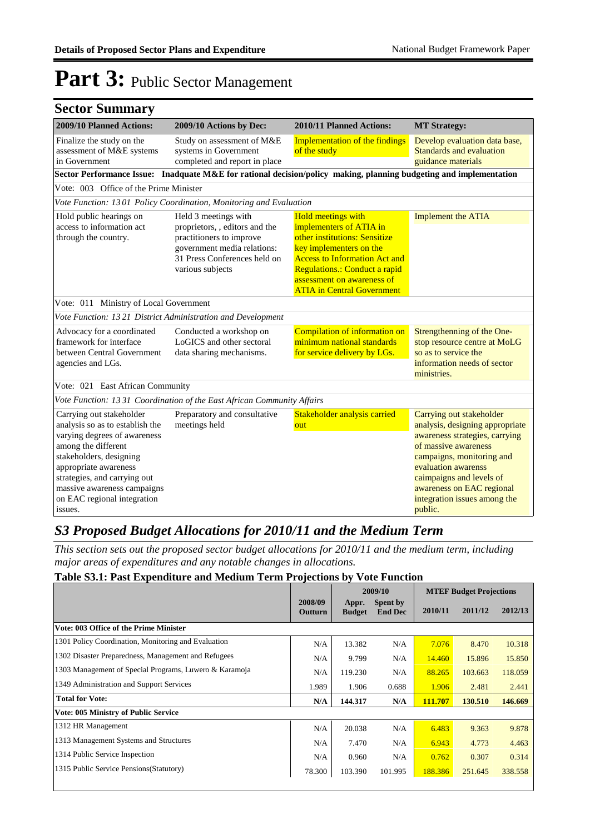| <b>Sector Summary</b>                                                                                                                                                                                                                                                           |                                                                                      |                                                                                                                                                                                                                                                              |                                                                                                                                                                                                                                                                               |  |
|---------------------------------------------------------------------------------------------------------------------------------------------------------------------------------------------------------------------------------------------------------------------------------|--------------------------------------------------------------------------------------|--------------------------------------------------------------------------------------------------------------------------------------------------------------------------------------------------------------------------------------------------------------|-------------------------------------------------------------------------------------------------------------------------------------------------------------------------------------------------------------------------------------------------------------------------------|--|
| 2009/10 Planned Actions:                                                                                                                                                                                                                                                        | 2009/10 Actions by Dec:                                                              | 2010/11 Planned Actions:                                                                                                                                                                                                                                     | <b>MT Strategy:</b>                                                                                                                                                                                                                                                           |  |
| Finalize the study on the<br>assessment of M&E systems<br>in Government                                                                                                                                                                                                         | Study on assessment of M&E<br>systems in Government<br>completed and report in place | <b>Implementation of the findings</b><br>of the study                                                                                                                                                                                                        | Develop evaluation data base,<br><b>Standards and evaluation</b><br>guidance materials                                                                                                                                                                                        |  |
|                                                                                                                                                                                                                                                                                 |                                                                                      | Sector Performance Issue: Inadquate M&E for rational decision/policy making, planning budgeting and implementation                                                                                                                                           |                                                                                                                                                                                                                                                                               |  |
| Vote: 003 Office of the Prime Minister                                                                                                                                                                                                                                          |                                                                                      |                                                                                                                                                                                                                                                              |                                                                                                                                                                                                                                                                               |  |
|                                                                                                                                                                                                                                                                                 | Vote Function: 1301 Policy Coordination, Monitoring and Evaluation                   |                                                                                                                                                                                                                                                              |                                                                                                                                                                                                                                                                               |  |
| Held 3 meetings with<br>Hold public hearings on<br>access to information act<br>proprietors, , editors and the<br>practitioners to improve<br>through the country.<br>government media relations:<br>31 Press Conferences held on<br>various subjects                           |                                                                                      | <b>Hold meetings with</b><br>implementers of ATIA in<br>other institutions: Sensitize<br>key implementers on the<br><b>Access to Information Act and</b><br>Regulations.: Conduct a rapid<br>assessment on awareness of<br><b>ATIA in Central Government</b> | <b>Implement the ATIA</b>                                                                                                                                                                                                                                                     |  |
| Vote: 011 Ministry of Local Government                                                                                                                                                                                                                                          |                                                                                      |                                                                                                                                                                                                                                                              |                                                                                                                                                                                                                                                                               |  |
| Vote Function: 1321 District Administration and Development                                                                                                                                                                                                                     |                                                                                      |                                                                                                                                                                                                                                                              |                                                                                                                                                                                                                                                                               |  |
| Advocacy for a coordinated<br>framework for interface<br>between Central Government<br>agencies and LGs.                                                                                                                                                                        | Conducted a workshop on<br>LoGICS and other sectoral<br>data sharing mechanisms.     | Compilation of information on<br>minimum national standards<br>for service delivery by LGs.                                                                                                                                                                  | Strengthenning of the One-<br>stop resource centre at MoLG<br>so as to service the<br>information needs of sector<br>ministries.                                                                                                                                              |  |
| Vote: 021 East African Community                                                                                                                                                                                                                                                |                                                                                      |                                                                                                                                                                                                                                                              |                                                                                                                                                                                                                                                                               |  |
|                                                                                                                                                                                                                                                                                 | Vote Function: 1331 Coordination of the East African Community Affairs               |                                                                                                                                                                                                                                                              |                                                                                                                                                                                                                                                                               |  |
| Carrying out stakeholder<br>analysis so as to establish the<br>varying degrees of awareness<br>among the different<br>stakeholders, designing<br>appropriate awareness<br>strategies, and carrying out<br>massive awareness campaigns<br>on EAC regional integration<br>issues. | Preparatory and consultative<br>meetings held                                        | Stakeholder analysis carried<br>out                                                                                                                                                                                                                          | Carrying out stakeholder<br>analysis, designing appropriate<br>awareness strategies, carrying<br>of massive awareness<br>campaigns, monitoring and<br>evaluation awarenss<br>caimpaigns and levels of<br>awareness on EAC regional<br>integration issues among the<br>public. |  |

### *S3 Proposed Budget Allocations for 2010/11 and the Medium Term*

*This section sets out the proposed sector budget allocations for 2010/11 and the medium term, including major areas of expenditures and any notable changes in allocations.* 

### **Table S3.1: Past Expenditure and Medium Term Projections by Vote Function**

|                                                        |                    |                        | 2009/10                    | <b>MTEF Budget Projections</b> |         |         |
|--------------------------------------------------------|--------------------|------------------------|----------------------------|--------------------------------|---------|---------|
|                                                        | 2008/09<br>Outturn | Appr.<br><b>Budget</b> | Spent by<br><b>End Dec</b> | 2010/11                        | 2011/12 | 2012/13 |
| Vote: 003 Office of the Prime Minister                 |                    |                        |                            |                                |         |         |
| 1301 Policy Coordination, Monitoring and Evaluation    | N/A                | 13.382                 | N/A                        | 7.076                          | 8.470   | 10.318  |
| 1302 Disaster Preparedness, Management and Refugees    | N/A                | 9.799                  | N/A                        | 14.460                         | 15.896  | 15.850  |
| 1303 Management of Special Programs, Luwero & Karamoja | N/A                | 119.230                | N/A                        | 88.265                         | 103.663 | 118.059 |
| 1349 Administration and Support Services               | 1.989              | 1.906                  | 0.688                      | 1.906                          | 2.481   | 2.441   |
| <b>Total for Vote:</b>                                 | N/A                | 144.317                | N/A                        | 111.707                        | 130.510 | 146.669 |
| <b>Vote: 005 Ministry of Public Service</b>            |                    |                        |                            |                                |         |         |
| 1312 HR Management                                     | N/A                | 20.038                 | N/A                        | 6.483                          | 9.363   | 9.878   |
| 1313 Management Systems and Structures                 | N/A                | 7.470                  | N/A                        | 6.943                          | 4.773   | 4.463   |
| 1314 Public Service Inspection                         | N/A                | 0.960                  | N/A                        | 0.762                          | 0.307   | 0.314   |
| 1315 Public Service Pensions (Statutory)               | 78.300             | 103.390                | 101.995                    | 188.386                        | 251.645 | 338.558 |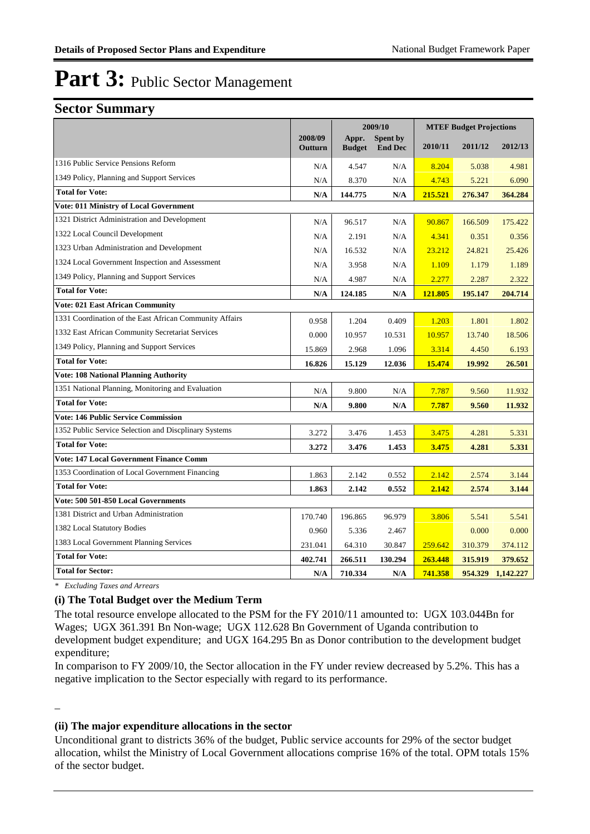### **Sector Summary**

|                                                         |                    | 2009/10                |                                   |         | <b>MTEF Budget Projections</b> |           |  |  |
|---------------------------------------------------------|--------------------|------------------------|-----------------------------------|---------|--------------------------------|-----------|--|--|
|                                                         | 2008/09<br>Outturn | Appr.<br><b>Budget</b> | <b>Spent by</b><br><b>End Dec</b> | 2010/11 | 2011/12                        | 2012/13   |  |  |
| 1316 Public Service Pensions Reform                     | N/A                | 4.547                  | N/A                               | 8.204   | 5.038                          | 4.981     |  |  |
| 1349 Policy, Planning and Support Services              | N/A                | 8.370                  | N/A                               | 4.743   | 5.221                          | 6.090     |  |  |
| <b>Total for Vote:</b>                                  | N/A                | 144.775                | N/A                               | 215.521 | 276.347                        | 364.284   |  |  |
| <b>Vote: 011 Ministry of Local Government</b>           |                    |                        |                                   |         |                                |           |  |  |
| 1321 District Administration and Development            | N/A                | 96.517                 | N/A                               | 90.867  | 166.509                        | 175.422   |  |  |
| 1322 Local Council Development                          | N/A                | 2.191                  | N/A                               | 4.341   | 0.351                          | 0.356     |  |  |
| 1323 Urban Administration and Development               | N/A                | 16.532                 | N/A                               | 23.212  | 24.821                         | 25.426    |  |  |
| 1324 Local Government Inspection and Assessment         | N/A                | 3.958                  | N/A                               | 1.109   | 1.179                          | 1.189     |  |  |
| 1349 Policy, Planning and Support Services              | N/A                | 4.987                  | N/A                               | 2.277   | 2.287                          | 2.322     |  |  |
| <b>Total for Vote:</b>                                  | N/A                | 124.185                | N/A                               | 121.805 | 195.147                        | 204.714   |  |  |
| <b>Vote: 021 East African Community</b>                 |                    |                        |                                   |         |                                |           |  |  |
| 1331 Coordination of the East African Community Affairs | 0.958              | 1.204                  | 0.409                             | 1.203   | 1.801                          | 1.802     |  |  |
| 1332 East African Community Secretariat Services        | 0.000              | 10.957                 | 10.531                            | 10.957  | 13.740                         | 18.506    |  |  |
| 1349 Policy, Planning and Support Services              | 15.869             | 2.968                  | 1.096                             | 3.314   | 4.450                          | 6.193     |  |  |
| <b>Total for Vote:</b>                                  | 16.826             | 15.129                 | 12.036                            | 15.474  | 19.992                         | 26.501    |  |  |
| <b>Vote: 108 National Planning Authority</b>            |                    |                        |                                   |         |                                |           |  |  |
| 1351 National Planning, Monitoring and Evaluation       | N/A                | 9.800                  | N/A                               | 7.787   | 9.560                          | 11.932    |  |  |
| <b>Total for Vote:</b>                                  | N/A                | 9.800                  | N/A                               | 7.787   | 9.560                          | 11.932    |  |  |
| <b>Vote: 146 Public Service Commission</b>              |                    |                        |                                   |         |                                |           |  |  |
| 1352 Public Service Selection and Discplinary Systems   | 3.272              | 3.476                  | 1.453                             | 3.475   | 4.281                          | 5.331     |  |  |
| <b>Total for Vote:</b>                                  | 3.272              | 3.476                  | 1.453                             | 3.475   | 4.281                          | 5.331     |  |  |
| <b>Vote: 147 Local Government Finance Comm</b>          |                    |                        |                                   |         |                                |           |  |  |
| 1353 Coordination of Local Government Financing         | 1.863              | 2.142                  | 0.552                             | 2.142   | 2.574                          | 3.144     |  |  |
| <b>Total for Vote:</b>                                  | 1.863              | 2.142                  | 0.552                             | 2.142   | 2.574                          | 3.144     |  |  |
| Vote: 500 501-850 Local Governments                     |                    |                        |                                   |         |                                |           |  |  |
| 1381 District and Urban Administration                  | 170.740            | 196.865                | 96.979                            | 3.806   | 5.541                          | 5.541     |  |  |
| 1382 Local Statutory Bodies                             | 0.960              | 5.336                  | 2.467                             |         | 0.000                          | 0.000     |  |  |
| 1383 Local Government Planning Services                 | 231.041            | 64.310                 | 30.847                            | 259.642 | 310.379                        | 374.112   |  |  |
| <b>Total for Vote:</b>                                  | 402.741            | 266.511                | 130.294                           | 263.448 | 315.919                        | 379.652   |  |  |
| <b>Total for Sector:</b>                                | N/A                | 710.334                | $\mathbf{N}/\mathbf{A}$           | 741.358 | 954.329                        | 1,142.227 |  |  |

*\* Excluding Taxes and Arrears*

\_

#### **(i) The Total Budget over the Medium Term**

The total resource envelope allocated to the PSM for the FY 2010/11 amounted to: UGX 103.044Bn for Wages; UGX 361.391 Bn Non-wage; UGX 112.628 Bn Government of Uganda contribution to development budget expenditure; and UGX 164.295 Bn as Donor contribution to the development budget expenditure;

In comparison to FY 2009/10, the Sector allocation in the FY under review decreased by 5.2%. This has a negative implication to the Sector especially with regard to its performance.

#### **(ii) The major expenditure allocations in the sector**

Unconditional grant to districts 36% of the budget, Public service accounts for 29% of the sector budget allocation, whilst the Ministry of Local Government allocations comprise 16% of the total. OPM totals 15% of the sector budget.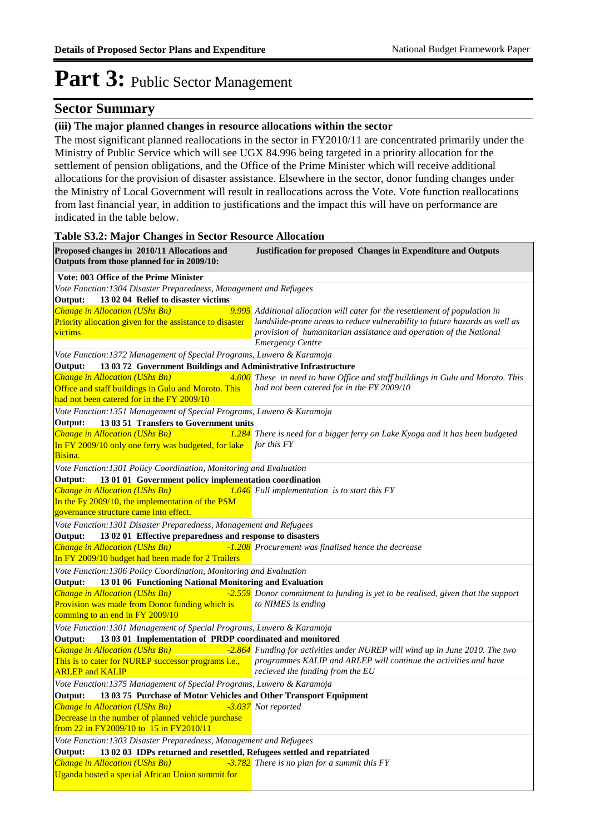### **Sector Summary**

#### **(iii) The major planned changes in resource allocations within the sector**

The most significant planned reallocations in the sector in FY2010/11 are concentrated primarily under the Ministry of Public Service which will see UGX 84.996 being targeted in a priority allocation for the settlement of pension obligations, and the Office of the Prime Minister which will receive additional allocations for the provision of disaster assistance. Elsewhere in the sector, donor funding changes under the Ministry of Local Government will result in reallocations across the Vote. Vote function reallocations from last financial year, in addition to justifications and the impact this will have on performance are indicated in the table below.

#### **Table S3.2: Major Changes in Sector Resource Allocation**

| Proposed changes in 2010/11 Allocations and<br>Outputs from those planned for in 2009/10: | <b>Justification for proposed Changes in Expenditure and Outputs</b>                                 |
|-------------------------------------------------------------------------------------------|------------------------------------------------------------------------------------------------------|
| Vote: 003 Office of the Prime Minister                                                    |                                                                                                      |
| Vote Function: 1304 Disaster Preparedness, Management and Refugees                        |                                                                                                      |
| 13 02 04 Relief to disaster victims<br>Output:                                            |                                                                                                      |
| Change in Allocation (UShs Bn)                                                            | 9.995 Additional allocation will cater for the resettlement of population in                         |
| Priority allocation given for the assistance to disaster                                  | landslide-prone areas to reduce vulnerability to future hazards as well as                           |
| victims                                                                                   | provision of humanitarian assistance and operation of the National<br><b>Emergency Centre</b>        |
| Vote Function: 1372 Management of Special Programs, Luwero & Karamoja                     |                                                                                                      |
| 13 03 72 Government Buildings and Administrative Infrastructure<br>Output:                |                                                                                                      |
| Change in Allocation (UShs Bn)<br><b>Service Service</b>                                  | 4.000 These in need to have Office and staff buildings in Gulu and Moroto. This                      |
| Office and staff buildings in Gulu and Moroto. This                                       | had not been catered for in the FY 2009/10                                                           |
| had not been catered for in the FY 2009/10                                                |                                                                                                      |
| Vote Function: 1351 Management of Special Programs, Luwero & Karamoja                     |                                                                                                      |
| 13 03 51 Transfers to Government units<br>Output:                                         |                                                                                                      |
| Change in Allocation (UShs Bn)                                                            | 1.284 There is need for a bigger ferry on Lake Kyoga and it has been budgeted                        |
| In FY 2009/10 only one ferry was budgeted, for lake                                       | for this FY                                                                                          |
| Bisina.                                                                                   |                                                                                                      |
| Vote Function: 1301 Policy Coordination, Monitoring and Evaluation                        |                                                                                                      |
| 13 01 01 Government policy implementation coordination<br>Output:                         |                                                                                                      |
| <b>Change in Allocation (UShs Bn)</b><br>In the Fy 2009/10, the implementation of the PSM | 1.046 Full implementation is to start this FY                                                        |
| governance structure came into effect.                                                    |                                                                                                      |
| Vote Function: 1301 Disaster Preparedness, Management and Refugees                        |                                                                                                      |
| 13 02 01 Effective preparedness and response to disasters<br>Output:                      |                                                                                                      |
| <b>Change in Allocation (UShs Bn)</b>                                                     | -1.208 Procurement was finalised hence the decrease                                                  |
| In FY 2009/10 budget had been made for 2 Trailers                                         |                                                                                                      |
| Vote Function: 1306 Policy Coordination, Monitoring and Evaluation                        |                                                                                                      |
| Output: 13 01 06 Functioning National Monitoring and Evaluation                           |                                                                                                      |
| Change in Allocation (UShs Bn)                                                            | -2.559 Donor commitment to funding is yet to be realised, given that the support                     |
| Provision was made from Donor funding which is                                            | to NIMES is ending                                                                                   |
| comming to an end in FY 2009/10                                                           |                                                                                                      |
| Vote Function: 1301 Management of Special Programs, Luwero & Karamoja                     |                                                                                                      |
| 13 03 01 Implementation of PRDP coordinated and monitored<br>Output:                      |                                                                                                      |
| Change in Allocation (UShs Bn)                                                            | -2.864 Funding for activities under NUREP will wind up in June 2010. The two                         |
| This is to cater for NUREP successor programs i.e.,<br><b>ARLEP</b> and <b>KALIP</b>      | programmes KALIP and ARLEP will continue the activities and have<br>recieved the funding from the EU |
| Vote Function: 1375 Management of Special Programs, Luwero & Karamoja                     |                                                                                                      |
| Output:<br>13 03 75 Purchase of Motor Vehicles and Other Transport Equipment              |                                                                                                      |
| Change in Allocation (UShs Bn)                                                            | -3.037 Not reported                                                                                  |
| Decrease in the number of planned vehicle purchase                                        |                                                                                                      |
| from 22 in FY2009/10 to 15 in FY2010/11                                                   |                                                                                                      |
| Vote Function: 1303 Disaster Preparedness, Management and Refugees                        |                                                                                                      |
| 13 02 03 IDPs returned and resettled, Refugees settled and repatriated<br>Output:         |                                                                                                      |
| Change in Allocation (UShs Bn)<br>Uganda hosted a special African Union summit for        | -3.782 There is no plan for a summit this FY                                                         |
|                                                                                           |                                                                                                      |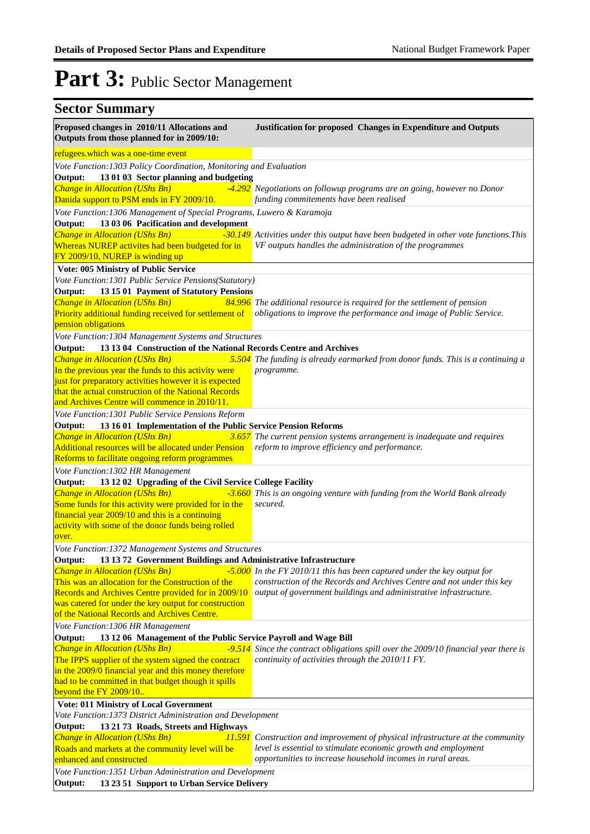| <b>Sector Summary</b>                                                                                                              |                                                                                                                                                  |
|------------------------------------------------------------------------------------------------------------------------------------|--------------------------------------------------------------------------------------------------------------------------------------------------|
| Proposed changes in 2010/11 Allocations and<br>Outputs from those planned for in 2009/10:                                          | <b>Justification for proposed Changes in Expenditure and Outputs</b>                                                                             |
| refugees.which was a one-time event                                                                                                |                                                                                                                                                  |
| Vote Function: 1303 Policy Coordination, Monitoring and Evaluation                                                                 |                                                                                                                                                  |
| 13 01 03 Sector planning and budgeting<br>Output:                                                                                  |                                                                                                                                                  |
| Change in Allocation (UShs Bn)<br>Danida support to PSM ends in FY 2009/10.                                                        | -4.292 Negotiations on followup programs are on going, however no Donor<br>funding commitements have been realised                               |
| Vote Function: 1306 Management of Special Programs, Luwero & Karamoja                                                              |                                                                                                                                                  |
| 13 03 06 Pacification and development<br>Output:                                                                                   |                                                                                                                                                  |
| Change in Allocation (UShs Bn)<br>Whereas NUREP activites had been budgeted for in<br>FY 2009/10, NUREP is winding up              | -30.149 Activities under this output have been budgeted in other vote functions. This<br>VF outputs handles the administration of the programmes |
| Vote: 005 Ministry of Public Service                                                                                               |                                                                                                                                                  |
| Vote Function: 1301 Public Service Pensions(Statutory)                                                                             |                                                                                                                                                  |
| 13 15 01 Payment of Statutory Pensions<br>Output:                                                                                  |                                                                                                                                                  |
| Change in Allocation (UShs Bn)                                                                                                     | 84.996 The additional resource is required for the settlement of pension                                                                         |
| Priority additional funding received for settlement of<br>pension obligations                                                      | obligations to improve the performance and image of Public Service.                                                                              |
| Vote Function: 1304 Management Systems and Structures                                                                              |                                                                                                                                                  |
| 13 13 04 Construction of the National Records Centre and Archives<br>Output:                                                       |                                                                                                                                                  |
| Change in Allocation (UShs Bn)                                                                                                     | 5.504 The funding is already earmarked from donor funds. This is a continuing a                                                                  |
| In the previous year the funds to this activity were                                                                               | programme.                                                                                                                                       |
| just for preparatory activities however it is expected                                                                             |                                                                                                                                                  |
| that the actual construction of the National Records                                                                               |                                                                                                                                                  |
| and Archives Centre will commence in 2010/11.                                                                                      |                                                                                                                                                  |
| Vote Function: 1301 Public Service Pensions Reform                                                                                 |                                                                                                                                                  |
| 13 16 01 Implementation of the Public Service Pension Reforms<br>Output:<br>Change in Allocation (UShs Bn)<br>3.657                | The current pension systems arrangement is inadequate and requires                                                                               |
| Additional resources will be allocated under Pension                                                                               | reform to improve efficiency and performance.                                                                                                    |
| Reforms to facilitate ongoing reform programmes                                                                                    |                                                                                                                                                  |
| Vote Function: 1302 HR Management                                                                                                  |                                                                                                                                                  |
| 13 12 02 Upgrading of the Civil Service College Facility<br>Output:                                                                |                                                                                                                                                  |
| Change in Allocation (UShs Bn)                                                                                                     | -3.660 This is an ongoing venture with funding from the World Bank already                                                                       |
| Some funds for this activity were provided for in the                                                                              | secured.                                                                                                                                         |
| financial year 2009/10 and this is a continuing                                                                                    |                                                                                                                                                  |
| activity with some of the donor funds being rolled                                                                                 |                                                                                                                                                  |
| over.                                                                                                                              |                                                                                                                                                  |
| Vote Function:1372 Management Systems and Structures<br>13 13 72 Government Buildings and Administrative Infrastructure<br>Output: |                                                                                                                                                  |
| <b>Change in Allocation (UShs Bn)</b>                                                                                              | -5.000 In the FY 2010/11 this has been captured under the key output for                                                                         |
| This was an allocation for the Construction of the                                                                                 | construction of the Records and Archives Centre and not under this key                                                                           |
| Records and Archives Centre provided for in 2009/10                                                                                | output of government buildings and administrative infrastructure.                                                                                |
| was catered for under the key output for construction                                                                              |                                                                                                                                                  |
| of the National Records and Archives Centre.                                                                                       |                                                                                                                                                  |
| Vote Function: 1306 HR Management                                                                                                  |                                                                                                                                                  |
| 13 12 06 Management of the Public Service Payroll and Wage Bill<br>Output:                                                         |                                                                                                                                                  |
| Change in Allocation (UShs Bn)                                                                                                     | -9.514 Since the contract obligations spill over the 2009/10 financial year there is                                                             |
| The IPPS supplier of the system signed the contract                                                                                | continuity of activities through the 2010/11 FY.                                                                                                 |
| in the 2009/0 financial year and this money therefore<br>had to be committed in that budget though it spills                       |                                                                                                                                                  |
| beyond the FY 2009/10                                                                                                              |                                                                                                                                                  |
| Vote: 011 Ministry of Local Government                                                                                             |                                                                                                                                                  |
| Vote Function: 1373 District Administration and Development                                                                        |                                                                                                                                                  |
| Output:<br>13 21 73 Roads, Streets and Highways                                                                                    |                                                                                                                                                  |
| Change in Allocation (UShs Bn)                                                                                                     | <b>11.591</b> Construction and improvement of physical infrastructure at the community                                                           |
| Roads and markets at the community level will be<br>enhanced and constructed                                                       | level is essential to stimulate economic growth and employment<br>opportunities to increase household incomes in rural areas.                    |
| Vote Function: 1351 Urban Administration and Development                                                                           |                                                                                                                                                  |
| Output:<br>13 23 51 Support to Urban Service Delivery                                                                              |                                                                                                                                                  |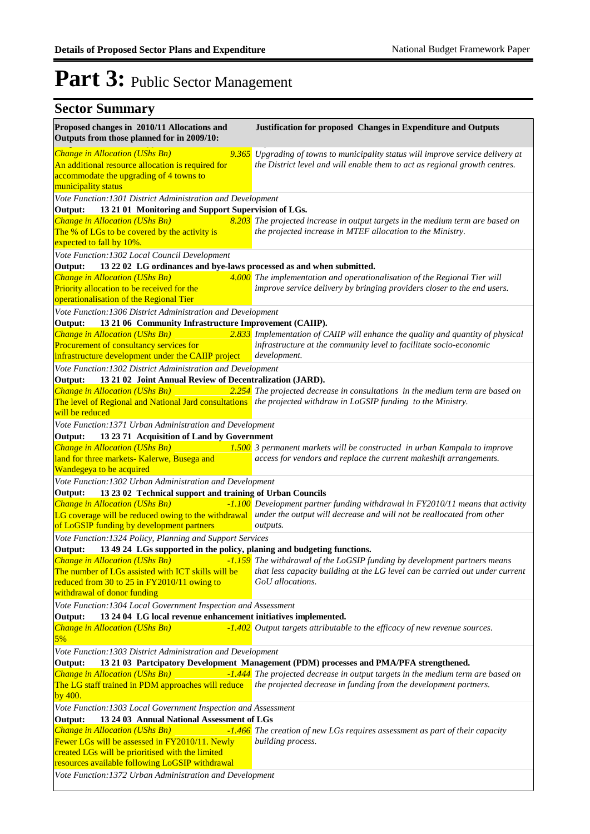| Proposed changes in 2010/11 Allocations and<br>Outputs from those planned for in 2009/10:                                                             | <b>Justification for proposed Changes in Expenditure and Outputs</b>                                                                                           |
|-------------------------------------------------------------------------------------------------------------------------------------------------------|----------------------------------------------------------------------------------------------------------------------------------------------------------------|
| Change in Allocation (UShs Bn)<br>An additional resource allocation is required for<br>accommodate the upgrading of 4 towns to<br>municipality status | 9.365 Upgrading of towns to municipality status will improve service delivery at<br>the District level and will enable them to act as regional growth centres. |
| Vote Function: 1301 District Administration and Development                                                                                           |                                                                                                                                                                |
| 13 21 01 Monitoring and Support Supervision of LGs.<br>Output:                                                                                        |                                                                                                                                                                |
| Change in Allocation (UShs Bn)                                                                                                                        | 8.203 The projected increase in output targets in the medium term are based on                                                                                 |
| The % of LGs to be covered by the activity is                                                                                                         | the projected increase in MTEF allocation to the Ministry.                                                                                                     |
| expected to fall by 10%.                                                                                                                              |                                                                                                                                                                |
| Vote Function: 1302 Local Council Development                                                                                                         |                                                                                                                                                                |
| 13 22 02 LG ordinances and bye-laws processed as and when submitted.<br>Output:                                                                       |                                                                                                                                                                |
| Change in Allocation (UShs Bn)                                                                                                                        |                                                                                                                                                                |
|                                                                                                                                                       | 4.000 The implementation and operationalisation of the Regional Tier will                                                                                      |
| Priority allocation to be received for the                                                                                                            | improve service delivery by bringing providers closer to the end users.                                                                                        |
| operationalisation of the Regional Tier                                                                                                               |                                                                                                                                                                |
| Vote Function: 1306 District Administration and Development                                                                                           |                                                                                                                                                                |
| 13 21 06 Community Infrastructure Improvement (CAIIP).<br>Output:                                                                                     |                                                                                                                                                                |
| Change in Allocation (UShs Bn)                                                                                                                        | 2.833 Implementation of CAIIP will enhance the quality and quantity of physical                                                                                |
| Procurement of consultancy services for                                                                                                               | infrastructure at the community level to facilitate socio-economic                                                                                             |
| infrastructure development under the CAIIP project                                                                                                    | development.                                                                                                                                                   |
| Vote Function: 1302 District Administration and Development                                                                                           |                                                                                                                                                                |
| 13 21 02 Joint Annual Review of Decentralization (JARD).<br>Output:                                                                                   |                                                                                                                                                                |
| Change in Allocation (UShs Bn)                                                                                                                        |                                                                                                                                                                |
|                                                                                                                                                       | 2.254 The projected decrease in consultations in the medium term are based on                                                                                  |
|                                                                                                                                                       | The level of Regional and National Jard consultations the projected withdraw in LoGSIP funding to the Ministry.                                                |
| will be reduced                                                                                                                                       |                                                                                                                                                                |
| Vote Function: 1371 Urban Administration and Development                                                                                              |                                                                                                                                                                |
| 13 23 71 Acquisition of Land by Government<br>Output:                                                                                                 |                                                                                                                                                                |
| Change in Allocation (UShs Bn)                                                                                                                        | 1.500 3 permanent markets will be constructed in urban Kampala to improve                                                                                      |
| land for three markets- Kalerwe, Busega and                                                                                                           | access for vendors and replace the current makeshift arrangements.                                                                                             |
| Wandegeya to be acquired                                                                                                                              |                                                                                                                                                                |
| Vote Function: 1302 Urban Administration and Development                                                                                              |                                                                                                                                                                |
| 13 23 02 Technical support and training of Urban Councils<br>Output:                                                                                  |                                                                                                                                                                |
| <b>Change in Allocation (UShs Bn)</b>                                                                                                                 | -1.100 Development partner funding withdrawal in FY2010/11 means that activity                                                                                 |
|                                                                                                                                                       | LG coverage will be reduced owing to the withdrawal under the output will decrease and will not be reallocated from other                                      |
| of LoGSIP funding by development partners                                                                                                             | outputs.                                                                                                                                                       |
|                                                                                                                                                       |                                                                                                                                                                |
| Vote Function: 1324 Policy, Planning and Support Services                                                                                             |                                                                                                                                                                |
| 13 49 24 LGs supported in the policy, planing and budgeting functions.<br>Output:                                                                     |                                                                                                                                                                |
| <b>Change in Allocation (UShs Bn)</b>                                                                                                                 | -1.159 The withdrawal of the LoGSIP funding by development partners means                                                                                      |
| The number of LGs assisted with ICT skills will be                                                                                                    | that less capacity building at the LG level can be carried out under current                                                                                   |
| reduced from 30 to 25 in FY2010/11 owing to                                                                                                           | GoU allocations.                                                                                                                                               |
| withdrawal of donor funding                                                                                                                           |                                                                                                                                                                |
| Vote Function: 1304 Local Government Inspection and Assessment                                                                                        |                                                                                                                                                                |
| 13 24 04 LG local revenue enhancement initiatives implemented.<br>Output:                                                                             |                                                                                                                                                                |
| Change in Allocation (UShs Bn)                                                                                                                        | -1.402 Output targets attributable to the efficacy of new revenue sources.                                                                                     |
| 5%                                                                                                                                                    |                                                                                                                                                                |
| Vote Function: 1303 District Administration and Development                                                                                           |                                                                                                                                                                |
| Output:                                                                                                                                               | 13 21 03 Partcipatory Development Management (PDM) processes and PMA/PFA strengthened.                                                                         |
| <b>Change in Allocation (UShs Bn)</b>                                                                                                                 | -1.444 The projected decrease in output targets in the medium term are based on                                                                                |
| The LG staff trained in PDM approaches will reduce                                                                                                    | the projected decrease in funding from the development partners.                                                                                               |
|                                                                                                                                                       |                                                                                                                                                                |
| by 400.                                                                                                                                               |                                                                                                                                                                |
| Vote Function: 1303 Local Government Inspection and Assessment                                                                                        |                                                                                                                                                                |
| 13 24 03 Annual National Assessment of LGs<br>Output:                                                                                                 |                                                                                                                                                                |
| Change in Allocation (UShs Bn)                                                                                                                        | -1.466 The creation of new LGs requires assessment as part of their capacity                                                                                   |
| Fewer LGs will be assessed in FY2010/11. Newly                                                                                                        | building process.                                                                                                                                              |
| created LGs will be prioritised with the limited                                                                                                      |                                                                                                                                                                |
| resources available following LoGSIP withdrawal                                                                                                       |                                                                                                                                                                |
| Vote Function: 1372 Urban Administration and Development                                                                                              |                                                                                                                                                                |
|                                                                                                                                                       |                                                                                                                                                                |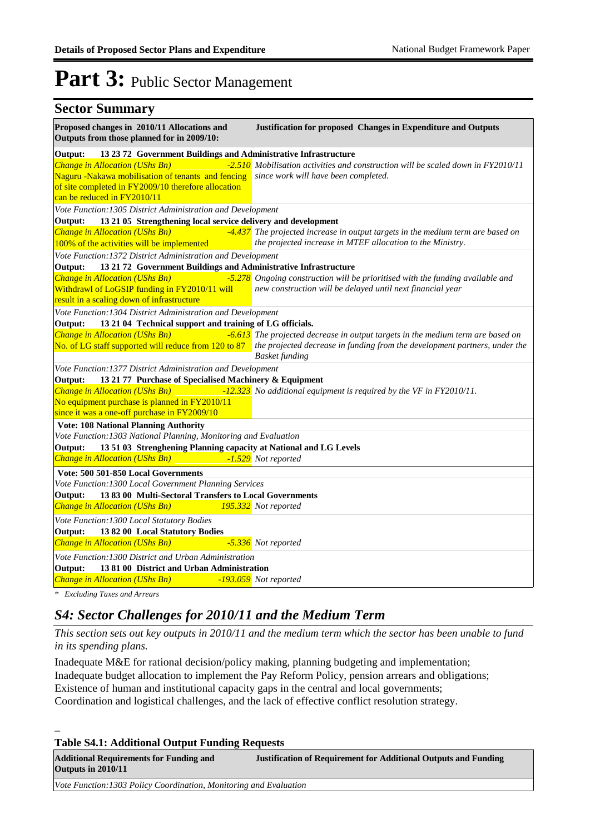| <b>Sector Summary</b>                                                                                            |                                                                                                                                 |
|------------------------------------------------------------------------------------------------------------------|---------------------------------------------------------------------------------------------------------------------------------|
| Proposed changes in 2010/11 Allocations and<br>Outputs from those planned for in 2009/10:                        | Justification for proposed Changes in Expenditure and Outputs                                                                   |
| 13 23 72 Government Buildings and Administrative Infrastructure<br>Output:                                       |                                                                                                                                 |
| Change in Allocation (UShs Bn)                                                                                   | -2.510 Mobilisation activities and construction will be scaled down in FY2010/11                                                |
| Naguru -Nakawa mobilisation of tenants and fencing                                                               | since work will have been completed.                                                                                            |
| of site completed in FY2009/10 therefore allocation<br>can be reduced in FY2010/11                               |                                                                                                                                 |
| Vote Function: 1305 District Administration and Development                                                      |                                                                                                                                 |
| Output:<br>13 21 05 Strengthening local service delivery and development                                         |                                                                                                                                 |
| Change in Allocation (UShs Bn)                                                                                   | -4.437 The projected increase in output targets in the medium term are based on                                                 |
| 100% of the activities will be implemented                                                                       | the projected increase in MTEF allocation to the Ministry.                                                                      |
| Vote Function: 1372 District Administration and Development                                                      |                                                                                                                                 |
| 13 21 72 Government Buildings and Administrative Infrastructure<br>Output:                                       |                                                                                                                                 |
| Change in Allocation (UShs Bn)                                                                                   | -5.278 Ongoing construction will be prioritised with the funding available and                                                  |
| Withdrawl of LoGSIP funding in FY2010/11 will<br>result in a scaling down of infrastructure                      | new construction will be delayed until next financial year                                                                      |
| Vote Function: 1304 District Administration and Development                                                      |                                                                                                                                 |
| 13 21 04 Technical support and training of LG officials.<br>Output:                                              |                                                                                                                                 |
| Change in Allocation (UShs Bn)                                                                                   | -6.613 The projected decrease in output targets in the medium term are based on                                                 |
|                                                                                                                  | No. of LG staff supported will reduce from 120 to 87 the projected decrease in funding from the development partners, under the |
|                                                                                                                  | <b>Basket funding</b>                                                                                                           |
| Vote Function: 1377 District Administration and Development                                                      |                                                                                                                                 |
| Output:<br>13 21 77 Purchase of Specialised Machinery & Equipment                                                |                                                                                                                                 |
| Change in Allocation (UShs Bn)                                                                                   | -12.323 No additional equipment is required by the VF in FY2010/11.                                                             |
| No equipment purchase is planned in FY2010/11                                                                    |                                                                                                                                 |
| since it was a one-off purchase in FY2009/10                                                                     |                                                                                                                                 |
| <b>Vote: 108 National Planning Authority</b>                                                                     |                                                                                                                                 |
| Vote Function: 1303 National Planning, Monitoring and Evaluation                                                 |                                                                                                                                 |
| 13 51 03 Strenghening Planning capacity at National and LG Levels<br>Output:                                     |                                                                                                                                 |
| Change in Allocation (UShs Bn)                                                                                   | -1.529 Not reported                                                                                                             |
| Vote: 500 501-850 Local Governments                                                                              |                                                                                                                                 |
| Vote Function: 1300 Local Government Planning Services<br>13 83 00 Multi-Sectoral Transfers to Local Governments |                                                                                                                                 |
| Output:<br>Change in Allocation (UShs Bn)                                                                        | 195.332 Not reported                                                                                                            |
|                                                                                                                  |                                                                                                                                 |
| Vote Function: 1300 Local Statutory Bodies                                                                       |                                                                                                                                 |
| Output:<br>13 82 00 Local Statutory Bodies<br>Change in Allocation (UShs Bn)                                     | -5.336 Not reported                                                                                                             |
|                                                                                                                  |                                                                                                                                 |
| Vote Function: 1300 District and Urban Administration                                                            |                                                                                                                                 |
| Output:<br>13 81 00 District and Urban Administration<br>Change in Allocation (UShs Bn)                          | -193.059 Not reported                                                                                                           |
|                                                                                                                  |                                                                                                                                 |

*\* Excluding Taxes and Arrears*

\_

### *S4: Sector Challenges for 2010/11 and the Medium Term*

*This section sets out key outputs in 2010/11 and the medium term which the sector has been unable to fund in its spending plans.*

Inadequate M&E for rational decision/policy making, planning budgeting and implementation; Inadequate budget allocation to implement the Pay Reform Policy, pension arrears and obligations; Existence of human and institutional capacity gaps in the central and local governments; Coordination and logistical challenges, and the lack of effective conflict resolution strategy.

**Table S4.1: Additional Output Funding Requests**

| <b>Additional Requirements for Funding and</b><br>Outputs in 2010/11 | <b>Justification of Requirement for Additional Outputs and Funding</b> |
|----------------------------------------------------------------------|------------------------------------------------------------------------|
| Vote Function: 1303 Policy Coordination, Monitoring and Evaluation   |                                                                        |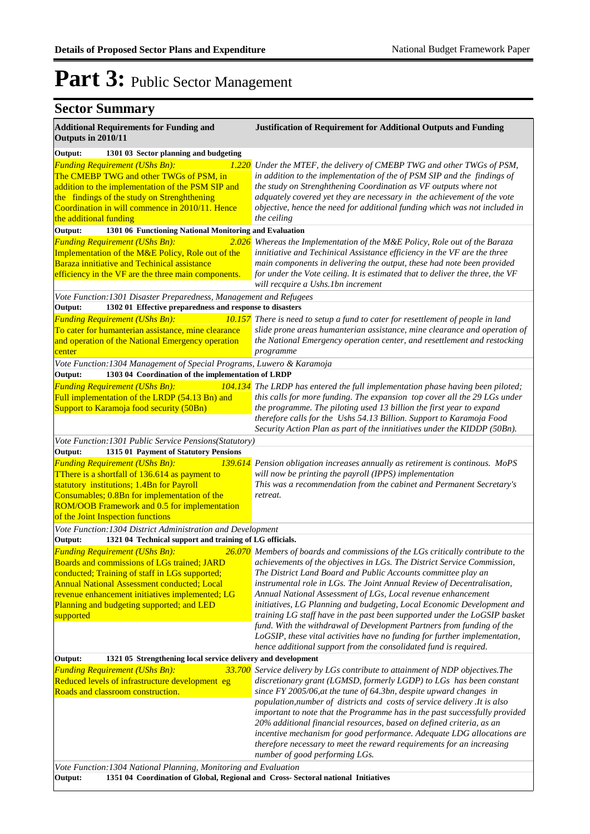| <b>Sector Summary</b>                                                                                                                                                                                                                                                                                     |                                                                                                                                                                                                                                                                                                                                                                                                                                                                                                                                                                                                                                                                                                                                                          |
|-----------------------------------------------------------------------------------------------------------------------------------------------------------------------------------------------------------------------------------------------------------------------------------------------------------|----------------------------------------------------------------------------------------------------------------------------------------------------------------------------------------------------------------------------------------------------------------------------------------------------------------------------------------------------------------------------------------------------------------------------------------------------------------------------------------------------------------------------------------------------------------------------------------------------------------------------------------------------------------------------------------------------------------------------------------------------------|
| <b>Additional Requirements for Funding and</b><br>Outputs in 2010/11                                                                                                                                                                                                                                      | <b>Justification of Requirement for Additional Outputs and Funding</b>                                                                                                                                                                                                                                                                                                                                                                                                                                                                                                                                                                                                                                                                                   |
| Output:<br>1301 03 Sector planning and budgeting<br><b>Funding Requirement (UShs Bn):</b><br><i>1.220</i><br>The CMEBP TWG and other TWGs of PSM, in<br>addition to the implementation of the PSM SIP and<br>the findings of the study on Strenghthening                                                  | Under the MTEF, the delivery of CMEBP TWG and other TWGs of PSM,<br>in addition to the implementation of the of PSM SIP and the findings of<br>the study on Strenghthening Coordination as VF outputs where not<br>adquately covered yet they are necessary in the achievement of the vote                                                                                                                                                                                                                                                                                                                                                                                                                                                               |
| Coordination in will commence in 2010/11. Hence<br>the additional funding                                                                                                                                                                                                                                 | objective, hence the need for additional funding which was not included in<br>the ceiling                                                                                                                                                                                                                                                                                                                                                                                                                                                                                                                                                                                                                                                                |
| Output:<br>1301 06 Functioning National Monitoring and Evaluation                                                                                                                                                                                                                                         |                                                                                                                                                                                                                                                                                                                                                                                                                                                                                                                                                                                                                                                                                                                                                          |
| <b>Funding Requirement (UShs Bn):</b><br>2.026<br>Implementation of the M&E Policy, Role out of the<br>Baraza innitiative and Techinical assistance<br>efficiency in the VF are the three main components.                                                                                                | Whereas the Implementation of the M&E Policy, Role out of the Baraza<br>innitiative and Techinical Assistance efficiency in the VF are the three<br>main components in delivering the output, these had note been provided<br>for under the Vote ceiling. It is estimated that to deliver the three, the VF<br>will recquire a Ushs.1bn increment                                                                                                                                                                                                                                                                                                                                                                                                        |
| Vote Function: 1301 Disaster Preparedness, Management and Refugees                                                                                                                                                                                                                                        |                                                                                                                                                                                                                                                                                                                                                                                                                                                                                                                                                                                                                                                                                                                                                          |
| 1302 01 Effective preparedness and response to disasters<br>Output:                                                                                                                                                                                                                                       |                                                                                                                                                                                                                                                                                                                                                                                                                                                                                                                                                                                                                                                                                                                                                          |
| <b>Funding Requirement (UShs Bn):</b><br>To cater for humanterian assistance, mine clearance<br>and operation of the National Emergency operation<br>center                                                                                                                                               | 10.157 There is need to setup a fund to cater for resettlement of people in land<br>slide prone areas humanterian assistance, mine clearance and operation of<br>the National Emergency operation center, and resettlement and restocking<br>programme                                                                                                                                                                                                                                                                                                                                                                                                                                                                                                   |
| Vote Function: 1304 Management of Special Programs, Luwero & Karamoja                                                                                                                                                                                                                                     |                                                                                                                                                                                                                                                                                                                                                                                                                                                                                                                                                                                                                                                                                                                                                          |
| 1303 04 Coordination of the implementation of LRDP<br>Output:<br><b>Funding Requirement (UShs Bn):</b><br>Full implementation of the LRDP (54.13 Bn) and<br>Support to Karamoja food security (50Bn)                                                                                                      | 104.134 The LRDP has entered the full implementation phase having been piloted;<br>this calls for more funding. The expansion top cover all the 29 LGs under<br>the programme. The piloting used 13 billion the first year to expand<br>therefore calls for the Ushs 54.13 Billion. Support to Karamoja Food<br>Security Action Plan as part of the innitiatives under the KIDDP (50Bn).                                                                                                                                                                                                                                                                                                                                                                 |
| Vote Function: 1301 Public Service Pensions(Statutory)                                                                                                                                                                                                                                                    |                                                                                                                                                                                                                                                                                                                                                                                                                                                                                                                                                                                                                                                                                                                                                          |
| Output:<br>1315 01 Payment of Statutory Pensions                                                                                                                                                                                                                                                          |                                                                                                                                                                                                                                                                                                                                                                                                                                                                                                                                                                                                                                                                                                                                                          |
| <b>Funding Requirement (UShs Bn):</b><br>139.614<br><b>There is a shortfall of 136.614 as payment to</b><br>statutory institutions; 1.4Bn for Payroll<br>Consumables; 0.8Bn for implementation of the<br>ROM/OOB Framework and 0.5 for implementation<br>of the Joint Inspection functions                | Pension obligation increases annually as retirement is continous. MoPS<br>will now be printing the payroll (IPPS) implementation<br>This was a recommendation from the cabinet and Permanent Secretary's<br>retreat.                                                                                                                                                                                                                                                                                                                                                                                                                                                                                                                                     |
| Vote Function: 1304 District Administration and Development                                                                                                                                                                                                                                               |                                                                                                                                                                                                                                                                                                                                                                                                                                                                                                                                                                                                                                                                                                                                                          |
| 1321 04 Technical support and training of LG officials.<br>Output:                                                                                                                                                                                                                                        |                                                                                                                                                                                                                                                                                                                                                                                                                                                                                                                                                                                                                                                                                                                                                          |
| <b>Funding Requirement (UShs Bn):</b><br>Boards and commissions of LGs trained; JARD<br>conducted; Training of staff in LGs supported;<br><b>Annual National Assessment conducted; Local</b><br>revenue enhancement initiatives implemented; LG<br>Planning and budgeting supported; and LED<br>supported | 26.070 Members of boards and commissions of the LGs critically contribute to the<br>achievements of the objectives in LGs. The District Service Commission,<br>The District Land Board and Public Accounts committee play an<br>instrumental role in LGs. The Joint Annual Review of Decentralisation,<br>Annual National Assessment of LGs, Local revenue enhancement<br>initiatives, LG Planning and budgeting, Local Economic Development and<br>training LG staff have in the past been supported under the LoGSIP basket<br>fund. With the withdrawal of Development Partners from funding of the<br>LoGSIP, these vital activities have no funding for further implementation,<br>hence additional support from the consolidated fund is required. |
| Output:<br>1321 05 Strengthening local service delivery and development                                                                                                                                                                                                                                   |                                                                                                                                                                                                                                                                                                                                                                                                                                                                                                                                                                                                                                                                                                                                                          |
| <b>Funding Requirement (UShs Bn):</b><br><b>33.700</b><br>Reduced levels of infrastructure development eg<br>Roads and classroom construction.                                                                                                                                                            | Service delivery by LGs contribute to attainment of NDP objectives. The<br>discretionary grant (LGMSD, formerly LGDP) to LGs has been constant<br>since FY 2005/06, at the tune of 64.3bn, despite upward changes in<br>population, number of districts and costs of service delivery. It is also<br>important to note that the Programme has in the past successfully provided<br>20% additional financial resources, based on defined criteria, as an<br>incentive mechanism for good performance. Adequate LDG allocations are<br>therefore necessary to meet the reward requirements for an increasing<br>number of good performing LGs.                                                                                                             |
| Vote Function: 1304 National Planning, Monitoring and Evaluation<br>1351 04 Coordination of Global, Regional and Cross- Sectoral national Initiatives<br>Output:                                                                                                                                          |                                                                                                                                                                                                                                                                                                                                                                                                                                                                                                                                                                                                                                                                                                                                                          |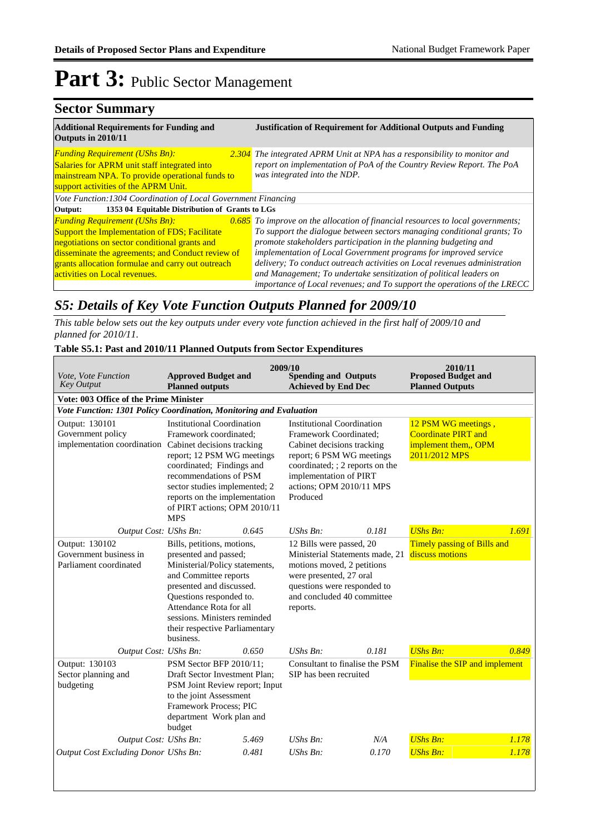### **Sector Summary**

| <b>Additional Requirements for Funding and</b><br>Outputs in 2010/11                                                                                                                    | <b>Justification of Requirement for Additional Outputs and Funding</b>                                                                                                             |
|-----------------------------------------------------------------------------------------------------------------------------------------------------------------------------------------|------------------------------------------------------------------------------------------------------------------------------------------------------------------------------------|
| <b>Funding Requirement (UShs Bn):</b><br><b>Salaries for APRM unit staff integrated into</b><br>mainstream NPA. To provide operational funds to<br>support activities of the APRM Unit. | 2.304 The integrated APRM Unit at NPA has a responsibility to monitor and<br>report on implementation of PoA of the Country Review Report. The PoA<br>was integrated into the NDP. |
| Vote Function: 1304 Coordination of Local Government Financing                                                                                                                          |                                                                                                                                                                                    |
| 1353 04 Equitable Distribution of Grants to LGs<br>Output:                                                                                                                              |                                                                                                                                                                                    |
| <b>Funding Requirement (UShs Bn):</b>                                                                                                                                                   | $0.685$ To improve on the allocation of financial resources to local governments;                                                                                                  |
| <b>Support the Implementation of FDS; Facilitate</b>                                                                                                                                    | To support the dialogue between sectors managing conditional grants; To                                                                                                            |
| negotiations on sector conditional grants and                                                                                                                                           | promote stakeholders participation in the planning budgeting and                                                                                                                   |
| disseminate the agreements; and Conduct review of                                                                                                                                       | implementation of Local Government programs for improved service                                                                                                                   |
| grants allocation formulae and carry out outreach                                                                                                                                       | delivery; To conduct outreach activities on Local revenues administration                                                                                                          |
| activities on Local revenues.                                                                                                                                                           | and Management; To undertake sensitization of political leaders on                                                                                                                 |
|                                                                                                                                                                                         | importance of Local revenues; and To support the operations of the LRECC                                                                                                           |

### *S5: Details of Key Vote Function Outputs Planned for 2009/10*

*This table below sets out the key outputs under every vote function achieved in the first half of 2009/10 and planned for 2010/11.*

#### **Table S5.1: Past and 2010/11 Planned Outputs from Sector Expenditures**

| Vote, Vote Function<br><b>Key Output</b>                                                      | <b>Approved Budget and</b><br><b>Planned outputs</b>                                                                                                                                                                                                                            | 2009/10 | <b>Spending and Outputs</b><br><b>Achieved by End Dec</b>                                                                                                                                                                   |       | 2010/11<br><b>Proposed Budget and</b><br><b>Planned Outputs</b>                            |       |
|-----------------------------------------------------------------------------------------------|---------------------------------------------------------------------------------------------------------------------------------------------------------------------------------------------------------------------------------------------------------------------------------|---------|-----------------------------------------------------------------------------------------------------------------------------------------------------------------------------------------------------------------------------|-------|--------------------------------------------------------------------------------------------|-------|
| Vote: 003 Office of the Prime Minister                                                        |                                                                                                                                                                                                                                                                                 |         |                                                                                                                                                                                                                             |       |                                                                                            |       |
| Vote Function: 1301 Policy Coordination, Monitoring and Evaluation                            |                                                                                                                                                                                                                                                                                 |         |                                                                                                                                                                                                                             |       |                                                                                            |       |
| Output: 130101<br>Government policy<br>implementation coordination Cabinet decisions tracking | <b>Institutional Coordination</b><br>Framework coordinated;<br>report; 12 PSM WG meetings<br>coordinated; Findings and<br>recommendations of PSM<br>sector studies implemented; 2<br>reports on the implementation<br>of PIRT actions; OPM 2010/11<br><b>MPS</b>                |         | <b>Institutional Coordination</b><br>Framework Coordinated;<br>Cabinet decisions tracking<br>report; 6 PSM WG meetings<br>coordinated; ; 2 reports on the<br>implementation of PIRT<br>actions; OPM 2010/11 MPS<br>Produced |       | 12 PSM WG meetings,<br><b>Coordinate PIRT and</b><br>implement them,, OPM<br>2011/2012 MPS |       |
| Output Cost: UShs Bn:                                                                         |                                                                                                                                                                                                                                                                                 | 0.645   | UShs Bn:                                                                                                                                                                                                                    | 0.181 | <b>UShs Bn:</b>                                                                            | 1.691 |
| Output: 130102<br>Government business in<br>Parliament coordinated                            | Bills, petitions, motions,<br>presented and passed;<br>Ministerial/Policy statements,<br>and Committee reports<br>presented and discussed.<br>Questions responded to.<br>Attendance Rota for all<br>sessions. Ministers reminded<br>their respective Parliamentary<br>business. |         | 12 Bills were passed, 20<br>Ministerial Statements made, 21<br>motions moved, 2 petitions<br>were presented, 27 oral<br>questions were responded to<br>and concluded 40 committee<br>reports.                               |       | <b>Timely passing of Bills and</b><br>discuss motions                                      |       |
| Output Cost: UShs Bn:                                                                         |                                                                                                                                                                                                                                                                                 | 0.650   | UShs Bn:                                                                                                                                                                                                                    | 0.181 | <b>UShs Bn:</b>                                                                            | 0.849 |
| Output: 130103<br>Sector planning and<br>budgeting                                            | PSM Sector BFP 2010/11:<br>Draft Sector Investment Plan;<br>PSM Joint Review report; Input<br>to the joint Assessment<br>Framework Process; PIC<br>department Work plan and<br>budget                                                                                           |         | Consultant to finalise the PSM<br>SIP has been recruited                                                                                                                                                                    |       | Finalise the SIP and implement                                                             |       |
| Output Cost: UShs Bn:                                                                         |                                                                                                                                                                                                                                                                                 | 5.469   | $UShs Bn$ :                                                                                                                                                                                                                 | N/A   | <b>UShs Bn:</b>                                                                            | 1.178 |
| Output Cost Excluding Donor UShs Bn:                                                          |                                                                                                                                                                                                                                                                                 | 0.481   | UShs Bn:                                                                                                                                                                                                                    | 0.170 | <b>UShs Bn:</b>                                                                            | 1.178 |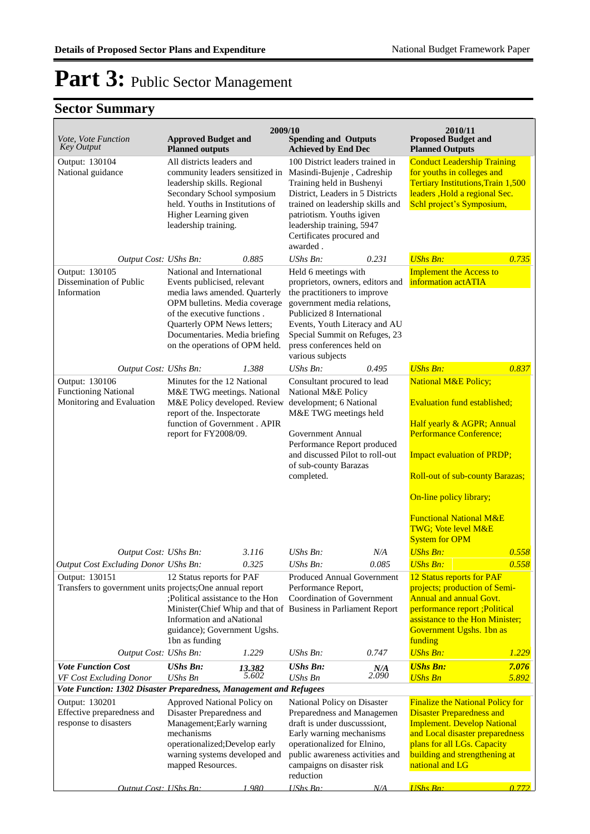|                                                                                                |                                                                                                                                                                                                                                                              | 2009/10         |                                                                                                                                                                                                                                                                          |              | 2010/11                                                                                                                                                                                                                                                    |                                                                                                                                                                                                          |  |
|------------------------------------------------------------------------------------------------|--------------------------------------------------------------------------------------------------------------------------------------------------------------------------------------------------------------------------------------------------------------|-----------------|--------------------------------------------------------------------------------------------------------------------------------------------------------------------------------------------------------------------------------------------------------------------------|--------------|------------------------------------------------------------------------------------------------------------------------------------------------------------------------------------------------------------------------------------------------------------|----------------------------------------------------------------------------------------------------------------------------------------------------------------------------------------------------------|--|
| Vote, Vote Function<br><b>Key Output</b>                                                       | <b>Approved Budget and</b><br><b>Planned outputs</b>                                                                                                                                                                                                         |                 | <b>Spending and Outputs</b><br><b>Achieved by End Dec</b>                                                                                                                                                                                                                |              | <b>Proposed Budget and</b><br><b>Planned Outputs</b>                                                                                                                                                                                                       |                                                                                                                                                                                                          |  |
| Output: 130104<br>National guidance                                                            | All districts leaders and<br>community leaders sensitized in<br>leadership skills. Regional<br>Secondary School symposium<br>held. Youths in Institutions of<br>Higher Learning given<br>leadership training.                                                |                 | 100 District leaders trained in<br>Masindi-Bujenje, Cadreship<br>Training held in Bushenyi<br>District, Leaders in 5 Districts<br>trained on leadership skills and<br>patriotism. Youths igiven<br>leadership training, 5947<br>Certificates procured and<br>awarded.    |              | <b>Conduct Leadership Training</b><br>for youths in colleges and<br><b>Tertiary Institutions, Train 1,500</b><br>leaders, Hold a regional Sec.<br>Schl project's Symposium,                                                                                |                                                                                                                                                                                                          |  |
| Output Cost: UShs Bn:                                                                          |                                                                                                                                                                                                                                                              | 0.885           | $UShs Bn$ :                                                                                                                                                                                                                                                              | 0.231        | <b>UShs Bn:</b>                                                                                                                                                                                                                                            | 0.735                                                                                                                                                                                                    |  |
| Output: 130105<br>Dissemination of Public<br>Information                                       | National and International<br>Events publicised, relevant<br>media laws amended. Quarterly<br>OPM bulletins. Media coverage<br>of the executive functions.<br>Quarterly OPM News letters;<br>Documentaries. Media briefing<br>on the operations of OPM held. |                 | Held 6 meetings with<br>proprietors, owners, editors and<br>the practitioners to improve<br>government media relations,<br>Publicized 8 International<br>Events, Youth Literacy and AU<br>Special Summit on Refuges, 23<br>press conferences held on<br>various subjects |              | <b>Implement the Access to</b><br>information actATIA                                                                                                                                                                                                      |                                                                                                                                                                                                          |  |
| Output Cost: UShs Bn:                                                                          |                                                                                                                                                                                                                                                              | 1.388           | UShs Bn:                                                                                                                                                                                                                                                                 | 0.495        | <b>UShs Bn:</b>                                                                                                                                                                                                                                            | 0.837                                                                                                                                                                                                    |  |
| Output: 130106<br><b>Functioning National</b><br>Monitoring and Evaluation                     | Minutes for the 12 National<br>M&E TWG meetings. National<br>M&E Policy developed. Review<br>report of the. Inspectorate<br>function of Government . APIR<br>report for FY2008/09.                                                                           |                 | Consultant procured to lead<br>National M&E Policy<br>development; 6 National<br>M&E TWG meetings held<br>Government Annual<br>Performance Report produced<br>and discussed Pilot to roll-out<br>of sub-county Barazas<br>completed.                                     |              | <b>National M&amp;E Policy;</b><br><b>Evaluation fund established;</b><br>Half yearly & AGPR; Annual<br>Performance Conference;<br><b>Impact evaluation of PRDP;</b><br><b>Roll-out of sub-county Barazas;</b>                                             |                                                                                                                                                                                                          |  |
|                                                                                                |                                                                                                                                                                                                                                                              |                 |                                                                                                                                                                                                                                                                          |              | On-line policy library;<br><b>Functional National M&amp;E</b><br>TWG; Vote level M&E<br><b>System for OPM</b>                                                                                                                                              |                                                                                                                                                                                                          |  |
| Output Cost: UShs Bn:<br>Output Cost Excluding Donor UShs Bn:                                  |                                                                                                                                                                                                                                                              | 3.116           | $UShs Bn$ :<br>UShs Bn:                                                                                                                                                                                                                                                  | N/A<br>0.085 | <b>UShs Bn:</b><br><b>UShs Bn:</b>                                                                                                                                                                                                                         | 0.558<br>0.558                                                                                                                                                                                           |  |
| Output: 130151                                                                                 | 0.325<br>12 Status reports for PAF<br>;Political assistance to the Hon<br>Information and aNational<br>guidance); Government Ugshs.<br>1bn as funding                                                                                                        |                 | <b>Produced Annual Government</b><br>Transfers to government units projects; One annual report<br>Performance Report,<br>Coordination of Government<br>Minister(Chief Whip and that of Business in Parliament Report                                                     |              |                                                                                                                                                                                                                                                            | 12 Status reports for PAF<br>projects; production of Semi-<br><b>Annual and annual Govt.</b><br>performance report ; Political<br>assistance to the Hon Minister;<br>Government Ugshs. 1bn as<br>funding |  |
| Output Cost: UShs Bn:                                                                          |                                                                                                                                                                                                                                                              | 1.229           | UShs Bn:                                                                                                                                                                                                                                                                 | 0.747        | <b>UShs Bn:</b>                                                                                                                                                                                                                                            | 1.229                                                                                                                                                                                                    |  |
| <b>Vote Function Cost</b><br>VF Cost Excluding Donor                                           | <b>UShs Bn:</b><br>UShs Bn                                                                                                                                                                                                                                   | 13.382<br>5.602 | <b>UShs Bn:</b><br><b>UShs Bn</b>                                                                                                                                                                                                                                        | N/A<br>2.090 | <b>UShs Bn:</b><br><b>UShs Bn</b>                                                                                                                                                                                                                          | 7.076<br>5.892                                                                                                                                                                                           |  |
| Vote Function: 1302 Disaster Preparedness, Management and Refugees                             |                                                                                                                                                                                                                                                              |                 |                                                                                                                                                                                                                                                                          |              |                                                                                                                                                                                                                                                            |                                                                                                                                                                                                          |  |
| Output: 130201<br>Effective preparedness and<br>response to disasters<br>Output Cost: UShs Bn: | Approved National Policy on<br>Disaster Preparedness and<br>Management; Early warning<br>mechanisms<br>operationalized; Develop early<br>warning systems developed and<br>mapped Resources.                                                                  | 1.980           | National Policy on Disaster<br>Preparedness and Managemen<br>draft is under duscusssiont,<br>Early warning mechanisms<br>operationalized for Elnino,<br>public awareness activities and<br>campaigns on disaster risk<br>reduction<br>$UShs Bn$ :                        | N/A          | <b>Finalize the National Policy for</b><br><b>Disaster Preparedness and</b><br><b>Implement. Develop National</b><br>and Local disaster preparedness<br>plans for all LGs. Capacity<br>building and strengthening at<br>national and LG<br><b>UShs Bn:</b> | 0.772                                                                                                                                                                                                    |  |
|                                                                                                |                                                                                                                                                                                                                                                              |                 |                                                                                                                                                                                                                                                                          |              |                                                                                                                                                                                                                                                            |                                                                                                                                                                                                          |  |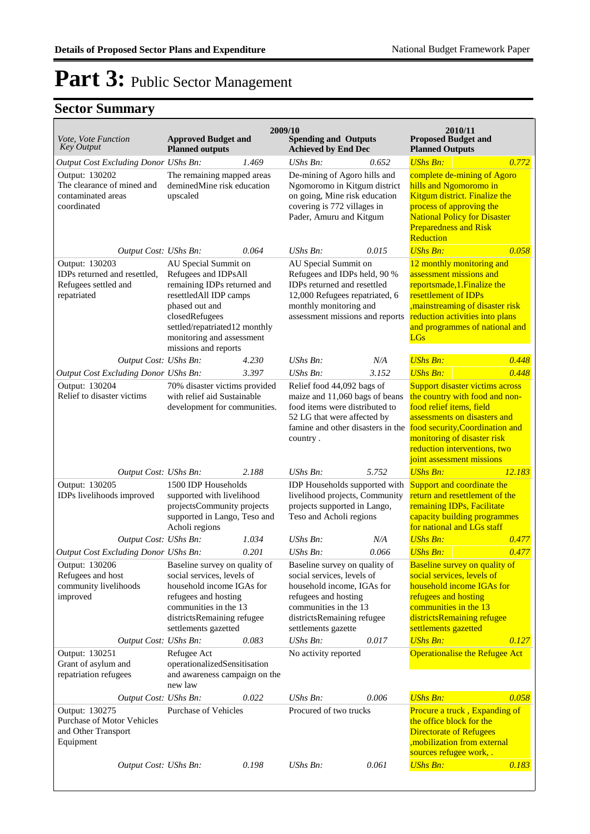| Vote, Vote Function                                                                   | <b>Approved Budget and</b>                                                                                                                                                                                                      |       | 2009/10<br><b>Spending and Outputs</b>                                                                                                                                                                         |       | 2010/11<br><b>Proposed Budget and</b>                                                                                                                                                                                               |        |
|---------------------------------------------------------------------------------------|---------------------------------------------------------------------------------------------------------------------------------------------------------------------------------------------------------------------------------|-------|----------------------------------------------------------------------------------------------------------------------------------------------------------------------------------------------------------------|-------|-------------------------------------------------------------------------------------------------------------------------------------------------------------------------------------------------------------------------------------|--------|
| <b>Key Output</b>                                                                     | <b>Planned outputs</b>                                                                                                                                                                                                          |       | <b>Achieved by End Dec</b>                                                                                                                                                                                     |       | <b>Planned Outputs</b>                                                                                                                                                                                                              |        |
| Output Cost Excluding Donor UShs Bn:                                                  |                                                                                                                                                                                                                                 | 1.469 | <b>UShs Bn:</b>                                                                                                                                                                                                | 0.652 | <b>UShs Bn:</b>                                                                                                                                                                                                                     | 0.772  |
| Output: 130202<br>The clearance of mined and<br>contaminated areas<br>coordinated     | The remaining mapped areas<br>deminedMine risk education<br>upscaled                                                                                                                                                            |       | De-mining of Agoro hills and<br>Ngomoromo in Kitgum district<br>on going, Mine risk education<br>covering is 772 villages in<br>Pader, Amuru and Kitgum                                                        |       | complete de-mining of Agoro<br>hills and Ngomoromo in<br>Kitgum district. Finalize the<br>process of approving the<br><b>National Policy for Disaster</b><br><b>Preparedness and Risk</b><br>Reduction                              |        |
| Output Cost: UShs Bn:                                                                 |                                                                                                                                                                                                                                 | 0.064 | <b>UShs Bn:</b>                                                                                                                                                                                                | 0.015 | <b>UShs Bn:</b>                                                                                                                                                                                                                     | 0.058  |
| Output: 130203<br>IDPs returned and resettled,<br>Refugees settled and<br>repatriated | AU Special Summit on<br>Refugees and IDPsAll<br>remaining IDPs returned and<br>resettledAll IDP camps<br>phased out and<br>closedRefugees<br>settled/repatriated12 monthly<br>monitoring and assessment<br>missions and reports |       | AU Special Summit on<br>Refugees and IDPs held, 90 %<br>IDPs returned and resettled<br>12,000 Refugees repatriated, 6<br>monthly monitoring and<br>assessment missions and reports                             |       | 12 monthly monitoring and<br>assessment missions and<br>reportsmade, 1. Finalize the<br>resettlement of IDPs<br>, mainstreaming of disaster risk<br>reduction activities into plans<br>and programmes of national and<br><b>LGs</b> |        |
| Output Cost: UShs Bn:                                                                 |                                                                                                                                                                                                                                 | 4.230 | $UShs Bn$ :                                                                                                                                                                                                    | N/A   | <b>UShs Bn:</b>                                                                                                                                                                                                                     | 0.448  |
| Output Cost Excluding Donor UShs Bn:                                                  |                                                                                                                                                                                                                                 | 3.397 | UShs Bn:                                                                                                                                                                                                       | 3.152 | <b>UShs Bn:</b>                                                                                                                                                                                                                     | 0.448  |
| Output: 130204<br>Relief to disaster victims                                          | 70% disaster victims provided<br>with relief aid Sustainable<br>development for communities.                                                                                                                                    |       | Relief food 44,092 bags of<br>maize and 11,060 bags of beans<br>food items were distributed to<br>52 LG that were affected by<br>famine and other disasters in the food security, Coordination and<br>country. |       | Support disaster victims across<br>the country with food and non-<br>food relief items, field<br>assessments on disasters and<br>monitoring of disaster risk<br>reduction interventions, two<br>joint assessment missions           |        |
| Output Cost: UShs Bn:                                                                 |                                                                                                                                                                                                                                 | 2.188 | $UShs Bn$ :                                                                                                                                                                                                    | 5.752 | <b>UShs Bn:</b>                                                                                                                                                                                                                     | 12.183 |
| Output: 130205<br>IDPs livelihoods improved                                           | 1500 IDP Households<br>supported with livelihood<br>projectsCommunity projects<br>supported in Lango, Teso and<br>Acholi regions                                                                                                |       | IDP Households supported with<br>livelihood projects, Community<br>projects supported in Lango,<br>Teso and Acholi regions                                                                                     |       | Support and coordinate the<br>return and resettlement of the<br>remaining IDPs, Facilitate<br>capacity building programmes<br>for national and LGs staff                                                                            |        |
| Output Cost: UShs Bn:                                                                 |                                                                                                                                                                                                                                 | 1.034 | UShs Bn:                                                                                                                                                                                                       | N/A   | <b>UShs Bn:</b>                                                                                                                                                                                                                     | 0.477  |
| Output Cost Excluding Donor UShs Bn:                                                  |                                                                                                                                                                                                                                 | 0.201 | $UShs Bn$ :                                                                                                                                                                                                    | 0.066 | <b>UShs Bn:</b>                                                                                                                                                                                                                     | 0.477  |
| Output: 130206<br>Refugees and host<br>community livelihoods<br>improved              | Baseline survey on quality of<br>social services, levels of<br>household income IGAs for<br>refugees and hosting<br>communities in the 13<br>districtsRemaining refugee<br>settlements gazetted                                 |       | Baseline survey on quality of<br>social services, levels of<br>household income, IGAs for<br>refugees and hosting<br>communities in the 13<br>districtsRemaining refugee<br>settlements gazette                |       | <b>Baseline survey on quality of</b><br>social services, levels of<br>household income IGAs for<br>refugees and hosting<br>communities in the 13<br>districtsRemaining refugee<br>settlements gazetted                              |        |
| Output Cost: UShs Bn:                                                                 |                                                                                                                                                                                                                                 | 0.083 | UShs Bn:                                                                                                                                                                                                       | 0.017 | <b>UShs Bn:</b>                                                                                                                                                                                                                     | 0.127  |
| Output: 130251<br>Grant of asylum and<br>repatriation refugees                        | Refugee Act<br>operationalizedSensitisation<br>and awareness campaign on the<br>new law                                                                                                                                         |       | No activity reported                                                                                                                                                                                           |       | <b>Operationalise the Refugee Act</b>                                                                                                                                                                                               |        |
| Output Cost: UShs Bn:                                                                 |                                                                                                                                                                                                                                 | 0.022 | UShs Bn:                                                                                                                                                                                                       | 0.006 | <b>UShs Bn:</b>                                                                                                                                                                                                                     | 0.058  |
| Output: 130275<br>Purchase of Motor Vehicles<br>and Other Transport<br>Equipment      | <b>Purchase of Vehicles</b>                                                                                                                                                                                                     |       | Procured of two trucks                                                                                                                                                                                         |       | Procure a truck, Expanding of<br>the office block for the<br><b>Directorate of Refugees</b><br>, mobilization from external<br>sources refugee work,.                                                                               |        |
| Output Cost: UShs Bn:                                                                 |                                                                                                                                                                                                                                 | 0.198 | UShs Bn:                                                                                                                                                                                                       | 0.061 | <b>UShs Bn:</b>                                                                                                                                                                                                                     | 0.183  |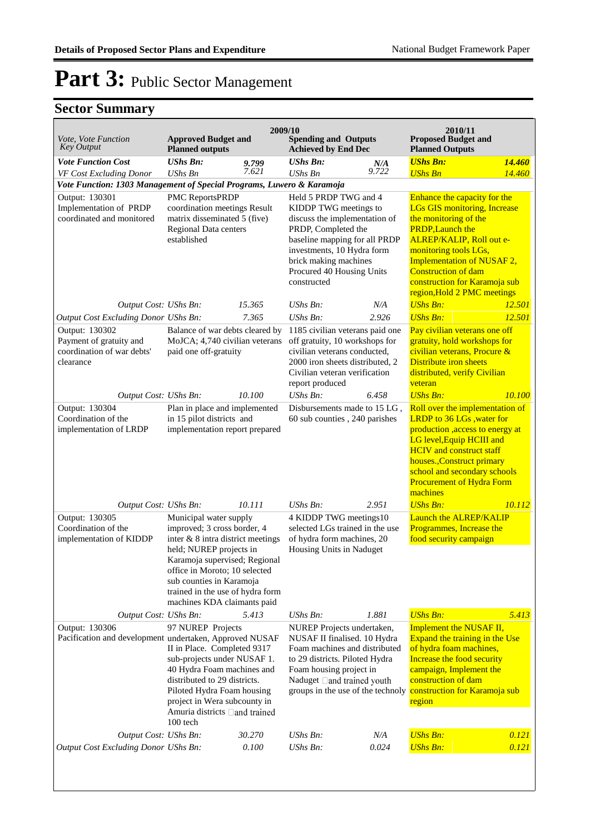|                                                                                                  |                                                                                                                                                                                                                                                                                        |                | 2009/10                                                                                                                                                                                                                                    |                        | 2010/11                                                                                                                                                                                                                                                                                                  |        |
|--------------------------------------------------------------------------------------------------|----------------------------------------------------------------------------------------------------------------------------------------------------------------------------------------------------------------------------------------------------------------------------------------|----------------|--------------------------------------------------------------------------------------------------------------------------------------------------------------------------------------------------------------------------------------------|------------------------|----------------------------------------------------------------------------------------------------------------------------------------------------------------------------------------------------------------------------------------------------------------------------------------------------------|--------|
| Vote, Vote Function<br><b>Key Output</b>                                                         | <b>Approved Budget and</b><br><b>Planned outputs</b>                                                                                                                                                                                                                                   |                | <b>Spending and Outputs</b><br><b>Achieved by End Dec</b>                                                                                                                                                                                  |                        | <b>Proposed Budget and</b><br><b>Planned Outputs</b>                                                                                                                                                                                                                                                     |        |
| <b>Vote Function Cost</b>                                                                        | <b>UShs Bn:</b>                                                                                                                                                                                                                                                                        | 9.799<br>7.621 | <b>UShs Bn:</b>                                                                                                                                                                                                                            | $\frac{N}{4}$<br>9.722 | <b>UShs Bn:</b>                                                                                                                                                                                                                                                                                          | 14.460 |
| VF Cost Excluding Donor<br>Vote Function: 1303 Management of Special Programs, Luwero & Karamoja | <b>UShs Bn</b>                                                                                                                                                                                                                                                                         |                | UShs Bn                                                                                                                                                                                                                                    |                        | <b>UShs Bn</b>                                                                                                                                                                                                                                                                                           | 14.460 |
| Output: 130301<br>Implementation of PRDP<br>coordinated and monitored                            | PMC ReportsPRDP<br>coordination meetings Result<br>matrix disseminated 5 (five)<br>Regional Data centers<br>established                                                                                                                                                                |                | Held 5 PRDP TWG and 4<br>KIDDP TWG meetings to<br>discuss the implementation of<br>PRDP, Completed the<br>baseline mapping for all PRDP<br>investments, 10 Hydra form<br>brick making machines<br>Procured 40 Housing Units<br>constructed |                        | Enhance the capacity for the<br><b>LGs GIS monitoring, Increase</b><br>the monitoring of the<br><b>PRDP, Launch the</b><br>ALREP/KALIP, Roll out e-<br>monitoring tools LGs,<br>Implementation of NUSAF 2,<br><b>Construction of dam</b><br>construction for Karamoja sub<br>region, Hold 2 PMC meetings |        |
| Output Cost: UShs Bn:                                                                            |                                                                                                                                                                                                                                                                                        | 15.365         | UShs Bn:                                                                                                                                                                                                                                   | N/A                    | <b>UShs Bn:</b>                                                                                                                                                                                                                                                                                          | 12.501 |
| Output Cost Excluding Donor UShs Bn:                                                             |                                                                                                                                                                                                                                                                                        | 7.365          | UShs Bn:                                                                                                                                                                                                                                   | 2.926                  | <b>UShs Bn:</b>                                                                                                                                                                                                                                                                                          | 12.501 |
| Output: 130302<br>Payment of gratuity and<br>coordination of war debts'<br>clearance             | Balance of war debts cleared by<br>MoJCA; 4,740 civilian veterans<br>paid one off-gratuity                                                                                                                                                                                             |                | 1185 civilian veterans paid one<br>off gratuity, 10 workshops for<br>civilian veterans conducted,<br>2000 iron sheets distributed, 2<br>Civilian veteran verification<br>report produced                                                   |                        | Pay civilian veterans one off<br>gratuity, hold workshops for<br>civilian veterans, Procure &<br>Distribute iron sheets<br>distributed, verify Civilian<br>veteran                                                                                                                                       |        |
| Output Cost: UShs Bn:                                                                            |                                                                                                                                                                                                                                                                                        | 10.100         | UShs Bn:                                                                                                                                                                                                                                   | 6.458                  | <b>UShs Bn:</b>                                                                                                                                                                                                                                                                                          | 10.100 |
| Output: 130304<br>Coordination of the<br>implementation of LRDP                                  | Plan in place and implemented<br>in 15 pilot districts and<br>implementation report prepared                                                                                                                                                                                           |                | Disbursements made to 15 LG,<br>60 sub counties, 240 parishes                                                                                                                                                                              |                        | Roll over the implementation of<br>LRDP to 36 LGs , water for<br>production , access to energy at<br>LG level, Equip HCIII and<br><b>HCIV</b> and construct staff<br>houses., Construct primary<br>school and secondary schools<br><b>Procurement of Hydra Form</b><br>machines                          |        |
| Output Cost: UShs Bn:                                                                            |                                                                                                                                                                                                                                                                                        | 10.111         | UShs Bn:                                                                                                                                                                                                                                   | 2.951                  | <b>UShs Bn:</b>                                                                                                                                                                                                                                                                                          | 10.112 |
| Output: 130305<br>Coordination of the<br>implementation of KIDDP                                 | Municipal water supply<br>improved; 3 cross border, 4<br>inter & 8 intra district meetings<br>held; NUREP projects in<br>Karamoja supervised; Regional<br>office in Moroto; 10 selected<br>sub counties in Karamoja<br>trained in the use of hydra form<br>machines KDA claimants paid |                | 4 KIDDP TWG meetings10<br>selected LGs trained in the use<br>of hydra form machines, 20<br>Housing Units in Naduget                                                                                                                        |                        | Launch the ALREP/KALIP<br>Programmes, Increase the<br>food security campaign                                                                                                                                                                                                                             |        |
| Output Cost: UShs Bn:                                                                            |                                                                                                                                                                                                                                                                                        | 5.413          | UShs Bn:                                                                                                                                                                                                                                   | 1.881                  | <b>UShs Bn:</b>                                                                                                                                                                                                                                                                                          | 5.413  |
| Output: 130306<br>Pacification and development undertaken, Approved NUSAF                        | 97 NUREP Projects<br>II in Place. Completed 9317<br>sub-projects under NUSAF 1.<br>40 Hydra Foam machines and<br>distributed to 29 districts.<br>Piloted Hydra Foam housing<br>project in Wera subcounty in<br>Amuria districts □ and trained<br>100 tech                              |                | NUREP Projects undertaken,<br>NUSAF II finalised. 10 Hydra<br>Foam machines and distributed<br>to 29 districts. Piloted Hydra<br>Foam housing project in<br>Naduget and trained youth<br>groups in the use of the technoly                 |                        | Implement the NUSAF II,<br>Expand the training in the Use<br>of hydra foam machines,<br>Increase the food security<br>campaign, Implement the<br>construction of dam<br>construction for Karamoja sub<br>region                                                                                          |        |
| Output Cost: UShs Bn:                                                                            |                                                                                                                                                                                                                                                                                        | 30.270         | UShs Bn:                                                                                                                                                                                                                                   | N/A                    | <b>UShs Bn:</b>                                                                                                                                                                                                                                                                                          | 0.121  |
| <b>Output Cost Excluding Donor UShs Bn:</b>                                                      |                                                                                                                                                                                                                                                                                        | 0.100          | <b>UShs Bn:</b>                                                                                                                                                                                                                            | 0.024                  | <b>UShs Bn:</b>                                                                                                                                                                                                                                                                                          | 0.121  |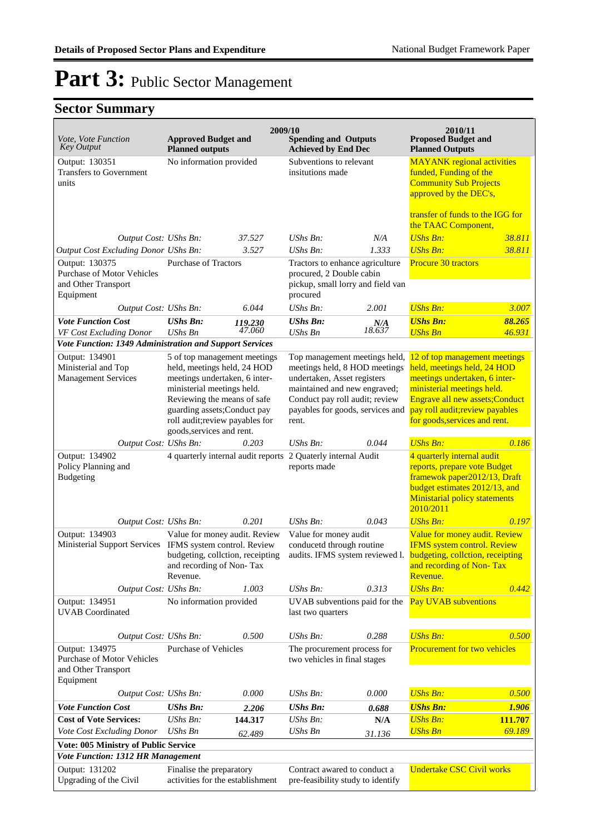| Vote, Vote Function                                                                     | <b>Approved Budget and</b>                                                                                                                                            | 2009/10                 | <b>Spending and Outputs</b>                                                                                                   |                                                         | 2010/11<br><b>Proposed Budget and</b>                                                                                                                                            |                  |
|-----------------------------------------------------------------------------------------|-----------------------------------------------------------------------------------------------------------------------------------------------------------------------|-------------------------|-------------------------------------------------------------------------------------------------------------------------------|---------------------------------------------------------|----------------------------------------------------------------------------------------------------------------------------------------------------------------------------------|------------------|
| <b>Key Output</b>                                                                       | <b>Planned outputs</b>                                                                                                                                                |                         | <b>Achieved by End Dec</b>                                                                                                    |                                                         | <b>Planned Outputs</b>                                                                                                                                                           |                  |
| Output: 130351<br><b>Transfers to Government</b><br>units                               |                                                                                                                                                                       | No information provided |                                                                                                                               | Subventions to relevant<br>insitutions made             | <b>MAYANK</b> regional activities<br>funded, Funding of the<br><b>Community Sub Projects</b><br>approved by the DEC's,                                                           |                  |
|                                                                                         |                                                                                                                                                                       |                         |                                                                                                                               | transfer of funds to the IGG for<br>the TAAC Component, |                                                                                                                                                                                  |                  |
| Output Cost: UShs Bn:                                                                   |                                                                                                                                                                       | 37.527                  | UShs Bn:                                                                                                                      | N/A                                                     | <b>UShs Bn:</b>                                                                                                                                                                  | 38.811           |
| Output Cost Excluding Donor UShs Bn:                                                    |                                                                                                                                                                       | 3.527                   | UShs Bn:                                                                                                                      | 1.333                                                   | <b>UShs Bn:</b>                                                                                                                                                                  | 38.811           |
| Output: 130375<br>Purchase of Motor Vehicles<br>and Other Transport<br>Equipment        | <b>Purchase of Tractors</b>                                                                                                                                           |                         | Tractors to enhance agriculture<br>procured, 2 Double cabin<br>pickup, small lorry and field van<br>procured                  |                                                         | Procure 30 tractors                                                                                                                                                              |                  |
| Output Cost: UShs Bn:                                                                   |                                                                                                                                                                       | 6.044                   | UShs Bn:                                                                                                                      | 2.001                                                   | <b>UShs Bn:</b>                                                                                                                                                                  | 3.007            |
| <b>Vote Function Cost</b><br>VF Cost Excluding Donor                                    | <b>UShs Bn:</b><br><b>UShs Bn</b>                                                                                                                                     | 119.230<br>47.060       | <b>UShs Bn:</b><br>UShs Bn                                                                                                    | $N\!/\!A$<br>18.637                                     | <b>UShs Bn:</b><br><b>UShs Bn</b>                                                                                                                                                | 88.265<br>46.931 |
| Vote Function: 1349 Administration and Support Services                                 |                                                                                                                                                                       |                         |                                                                                                                               |                                                         |                                                                                                                                                                                  |                  |
| Output: 134901<br>Ministerial and Top<br><b>Management Services</b>                     | 5 of top management meetings<br>held, meetings held, 24 HOD<br>meetings undertaken, 6 inter-<br>ministerial meetings held.                                            |                         | Top management meetings held,<br>meetings held, 8 HOD meetings<br>undertaken, Asset registers<br>maintained and new engraved; |                                                         | 12 of top management meetings<br>held, meetings held, 24 HOD<br>meetings undertaken, 6 inter-<br>ministerial meetings held.                                                      |                  |
|                                                                                         | Reviewing the means of safe                                                                                                                                           |                         | Conduct pay roll audit; review                                                                                                |                                                         | Engrave all new assets; Conduct                                                                                                                                                  |                  |
|                                                                                         | guarding assets; Conduct pay                                                                                                                                          |                         | payables for goods, services and                                                                                              |                                                         | pay roll audit; review payables                                                                                                                                                  |                  |
|                                                                                         | roll audit; review payables for<br>goods, services and rent.                                                                                                          |                         | rent.                                                                                                                         |                                                         | for goods, services and rent.                                                                                                                                                    |                  |
| Output Cost: UShs Bn:                                                                   |                                                                                                                                                                       | 0.203                   | UShs Bn:                                                                                                                      | 0.044                                                   | <b>UShs Bn:</b>                                                                                                                                                                  | 0.186            |
| Output: 134902<br>Policy Planning and<br><b>Budgeting</b>                               | 4 quarterly internal audit reports 2 Quaterly internal Audit                                                                                                          |                         | reports made                                                                                                                  |                                                         | 4 quarterly internal audit<br>reports, prepare vote Budget<br>framewok paper2012/13, Draft<br>budget estimates 2012/13, and<br><b>Ministarial policy statements</b><br>2010/2011 |                  |
| Output Cost: UShs Bn:                                                                   |                                                                                                                                                                       | 0.201                   | UShs Bn:                                                                                                                      | 0.043                                                   | <b>UShs Bn:</b>                                                                                                                                                                  | 0.197            |
| Output: 134903                                                                          | Value for money audit. Review<br>Ministerial Support Services IFMS system control. Review<br>budgeting, collction, receipting<br>and recording of Non-Tax<br>Revenue. |                         | Value for money audit<br>conducetd through routine<br>audits. IFMS system reviewed l.                                         |                                                         | Value for money audit. Review<br><b>IFMS</b> system control. Review<br>budgeting, collction, receipting<br>and recording of Non-Tax<br>Revenue.                                  |                  |
| Output Cost: UShs Bn:                                                                   |                                                                                                                                                                       | 1.003                   | <b>UShs Bn:</b>                                                                                                               | 0.313                                                   | <b>UShs Bn:</b>                                                                                                                                                                  | 0.442            |
| Output: 134951<br><b>UVAB</b> Coordinated                                               | No information provided                                                                                                                                               |                         | UVAB subventions paid for the<br>last two quarters                                                                            |                                                         | Pay UVAB subventions                                                                                                                                                             |                  |
| Output Cost: UShs Bn:                                                                   |                                                                                                                                                                       | 0.500                   | UShs Bn:                                                                                                                      | 0.288                                                   | <b>UShs Bn:</b>                                                                                                                                                                  | 0.500            |
| Output: 134975<br><b>Purchase of Motor Vehicles</b><br>and Other Transport<br>Equipment | <b>Purchase of Vehicles</b>                                                                                                                                           |                         | The procurement process for<br>two vehicles in final stages                                                                   |                                                         | <b>Procurement for two vehicles</b>                                                                                                                                              |                  |
| Output Cost: UShs Bn:                                                                   |                                                                                                                                                                       | 0.000                   | UShs Bn:                                                                                                                      | 0.000                                                   | <b>UShs Bn:</b>                                                                                                                                                                  | 0.500            |
| <b>Vote Function Cost</b>                                                               | <b>UShs Bn:</b>                                                                                                                                                       | 2.206                   | <b>UShs Bn:</b>                                                                                                               | 0.688                                                   | <b>UShs Bn:</b>                                                                                                                                                                  | 1.906            |
| <b>Cost of Vote Services:</b>                                                           | UShs Bn:                                                                                                                                                              | 144.317                 | UShs Bn:                                                                                                                      | N/A                                                     | <b>UShs Bn:</b>                                                                                                                                                                  | 111.707          |
| Vote Cost Excluding Donor                                                               | <b>UShs Bn</b>                                                                                                                                                        | 62.489                  | <b>UShs Bn</b>                                                                                                                | 31.136                                                  | <b>UShs Bn</b>                                                                                                                                                                   | 69.189           |
| Vote: 005 Ministry of Public Service<br><b>Vote Function: 1312 HR Management</b>        |                                                                                                                                                                       |                         |                                                                                                                               |                                                         |                                                                                                                                                                                  |                  |
| Output: 131202<br>Upgrading of the Civil                                                | Finalise the preparatory<br>activities for the establishment                                                                                                          |                         | Contract awared to conduct a<br>pre-feasibility study to identify                                                             |                                                         | <b>Undertake CSC Civil works</b>                                                                                                                                                 |                  |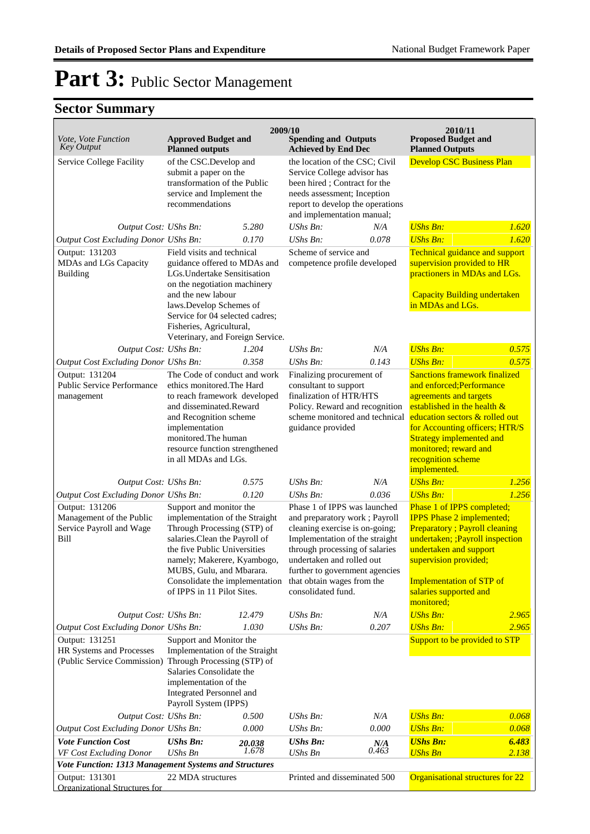|                                                                                                                        |                                                                                                                                                                                                                                                                                               |                 | 2009/10                                                                                                                                                                                                                                                                                                     |              | 2010/11                                                                                                                                                                                                                                                                                               |                |
|------------------------------------------------------------------------------------------------------------------------|-----------------------------------------------------------------------------------------------------------------------------------------------------------------------------------------------------------------------------------------------------------------------------------------------|-----------------|-------------------------------------------------------------------------------------------------------------------------------------------------------------------------------------------------------------------------------------------------------------------------------------------------------------|--------------|-------------------------------------------------------------------------------------------------------------------------------------------------------------------------------------------------------------------------------------------------------------------------------------------------------|----------------|
| Vote, Vote Function<br><b>Key Output</b>                                                                               | <b>Approved Budget and</b><br><b>Planned outputs</b>                                                                                                                                                                                                                                          |                 | <b>Spending and Outputs</b><br><b>Achieved by End Dec</b>                                                                                                                                                                                                                                                   |              | <b>Proposed Budget and</b><br><b>Planned Outputs</b>                                                                                                                                                                                                                                                  |                |
| Service College Facility                                                                                               | of the CSC.Develop and<br>submit a paper on the<br>transformation of the Public<br>service and Implement the<br>recommendations                                                                                                                                                               |                 | the location of the CSC; Civil<br>Service College advisor has<br>been hired; Contract for the<br>needs assessment; Inception<br>report to develop the operations<br>and implementation manual;                                                                                                              |              | <b>Develop CSC Business Plan</b>                                                                                                                                                                                                                                                                      |                |
| Output Cost: UShs Bn:                                                                                                  |                                                                                                                                                                                                                                                                                               | 5.280           | <b>UShs Bn:</b>                                                                                                                                                                                                                                                                                             | N/A          | <b>UShs Bn:</b>                                                                                                                                                                                                                                                                                       | 1.620          |
| Output Cost Excluding Donor UShs Bn:                                                                                   |                                                                                                                                                                                                                                                                                               | 0.170           | $UShs Bn$ :                                                                                                                                                                                                                                                                                                 | 0.078        | <b>UShs Bn:</b>                                                                                                                                                                                                                                                                                       | 1.620          |
| Output: 131203<br>MDAs and LGs Capacity<br>Building                                                                    | Field visits and technical<br>guidance offered to MDAs and<br>LGs. Undertake Sensitisation<br>on the negotiation machinery<br>and the new labour<br>laws.Develop Schemes of<br>Service for 04 selected cadres;                                                                                |                 | Scheme of service and<br>competence profile developed                                                                                                                                                                                                                                                       |              | Technical guidance and support<br>supervision provided to HR<br>practioners in MDAs and LGs.<br><b>Capacity Building undertaken</b><br>in MDAs and LGs.                                                                                                                                               |                |
|                                                                                                                        | Fisheries, Agricultural,<br>Veterinary, and Foreign Service.                                                                                                                                                                                                                                  |                 |                                                                                                                                                                                                                                                                                                             |              |                                                                                                                                                                                                                                                                                                       |                |
| Output Cost: UShs Bn:                                                                                                  |                                                                                                                                                                                                                                                                                               | 1.204           | UShs Bn:                                                                                                                                                                                                                                                                                                    | N/A          | <b>UShs Bn:</b>                                                                                                                                                                                                                                                                                       | 0.575          |
| Output Cost Excluding Donor UShs Bn:                                                                                   |                                                                                                                                                                                                                                                                                               | 0.358           | <b>UShs Bn:</b>                                                                                                                                                                                                                                                                                             | 0.143        | <b>UShs Bn:</b>                                                                                                                                                                                                                                                                                       | 0.575          |
| Output: 131204<br><b>Public Service Performance</b><br>management                                                      | The Code of conduct and work<br>ethics monitored. The Hard<br>to reach framework developed<br>and disseminated.Reward<br>and Recognition scheme<br>implementation<br>monitored. The human<br>resource function strengthened<br>in all MDAs and LGs.                                           |                 | Finalizing procurement of<br>consultant to support<br>finalization of HTR/HTS<br>Policy. Reward and recognition<br>scheme monitored and technical<br>guidance provided                                                                                                                                      |              | <b>Sanctions framework finalized</b><br>and enforced; Performance<br>agreements and targets<br>established in the health $\&$<br>education sectors & rolled out<br>for Accounting officers; HTR/S<br><b>Strategy implemented and</b><br>monitored; reward and<br>recognition scheme<br>implemented.   |                |
| Output Cost: UShs Bn:                                                                                                  |                                                                                                                                                                                                                                                                                               | 0.575           | UShs Bn:                                                                                                                                                                                                                                                                                                    | N/A          | <b>UShs Bn:</b>                                                                                                                                                                                                                                                                                       | 1.256          |
| Output Cost Excluding Donor UShs Bn:<br>Output: 131206<br>Management of the Public<br>Service Payroll and Wage<br>Bill | 0.120<br>Support and monitor the<br>implementation of the Straight<br>Through Processing (STP) of<br>salaries.Clean the Payroll of<br>the five Public Universities<br>namely; Makerere, Kyambogo,<br>MUBS, Gulu, and Mbarara.<br>Consolidate the implementation<br>of IPPS in 11 Pilot Sites. |                 | UShs Bn:<br>0.036<br>Phase 1 of IPPS was launched<br>and preparatory work; Payroll<br>cleaning exercise is on-going;<br>Implementation of the straight<br>through processing of salaries<br>undertaken and rolled out<br>further to government agencies<br>that obtain wages from the<br>consolidated fund. |              | 1.256<br><b>UShs Bn:</b><br>Phase 1 of IPPS completed;<br><b>IPPS</b> Phase 2 implemented;<br><b>Preparatory</b> ; Payroll cleaning<br>undertaken; ; Payroll inspection<br>undertaken and support<br>supervision provided;<br><b>Implementation of STP of</b><br>salaries supported and<br>monitored; |                |
| Output Cost: UShs Bn:                                                                                                  |                                                                                                                                                                                                                                                                                               | 12.479          | <b>UShs Bn:</b>                                                                                                                                                                                                                                                                                             | N/A          | <b>UShs Bn:</b>                                                                                                                                                                                                                                                                                       | 2.965          |
| Output Cost Excluding Donor UShs Bn:<br>Output: 131251<br>HR Systems and Processes                                     | 1.030<br>Support and Monitor the<br>Implementation of the Straight<br>(Public Service Commission) Through Processing (STP) of<br>Salaries Consolidate the<br>implementation of the<br>Integrated Personnel and<br>Payroll System (IPPS)                                                       |                 | <b>UShs Bn:</b>                                                                                                                                                                                                                                                                                             | 0.207        | <b>UShs Bn:</b><br>Support to be provided to STP                                                                                                                                                                                                                                                      | 2.965          |
| Output Cost: UShs Bn:                                                                                                  |                                                                                                                                                                                                                                                                                               | 0.500           | UShs Bn:                                                                                                                                                                                                                                                                                                    | N/A          | <b>UShs Bn:</b>                                                                                                                                                                                                                                                                                       | 0.068          |
| <b>Output Cost Excluding Donor UShs Bn:</b>                                                                            |                                                                                                                                                                                                                                                                                               | 0.000           | <b>UShs Bn:</b>                                                                                                                                                                                                                                                                                             | 0.000        | <b>UShs Bn:</b>                                                                                                                                                                                                                                                                                       | 0.068          |
| <b>Vote Function Cost</b><br>VF Cost Excluding Donor                                                                   | <b>UShs Bn:</b><br><b>UShs Bn</b>                                                                                                                                                                                                                                                             | 20.038<br>1.678 | <b>UShs Bn:</b><br>UShs Bn                                                                                                                                                                                                                                                                                  | N/A<br>0.463 | <b>UShs Bn:</b><br><b>UShs Bn</b>                                                                                                                                                                                                                                                                     | 6.483<br>2.138 |
| Vote Function: 1313 Management Systems and Structures<br>Output: 131301<br>Organizational Structures for               | 22 MDA structures                                                                                                                                                                                                                                                                             |                 | Printed and disseminated 500                                                                                                                                                                                                                                                                                |              | Organisational structures for 22                                                                                                                                                                                                                                                                      |                |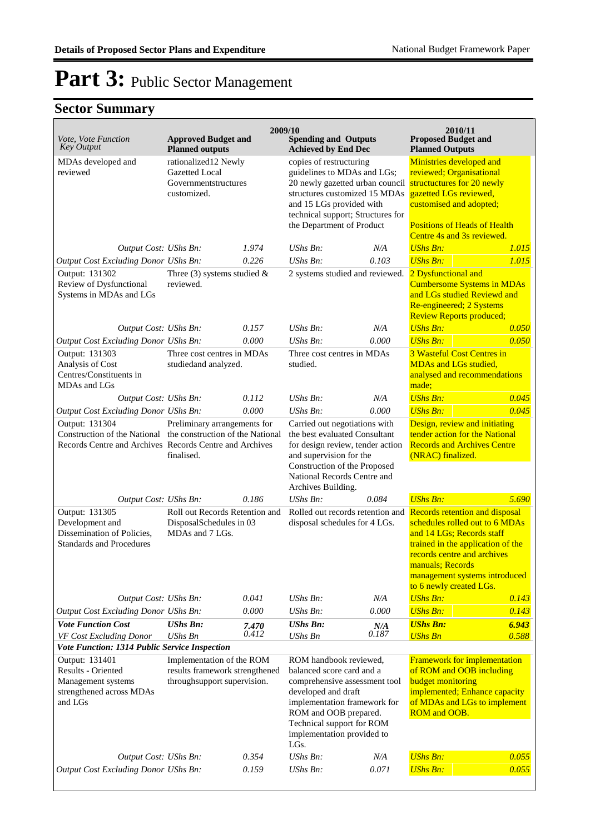| <i>Vote, Vote Function</i><br><b>Key Output</b>                                                    | <b>Approved Budget and</b><br><b>Planned outputs</b>                                                                                                                   |                | 2009/10<br><b>Spending and Outputs</b><br><b>Achieved by End Dec</b>                                                                                                                                                                    |              | 2010/11<br><b>Proposed Budget and</b><br><b>Planned Outputs</b>                                                                                                                                                                                   |                |
|----------------------------------------------------------------------------------------------------|------------------------------------------------------------------------------------------------------------------------------------------------------------------------|----------------|-----------------------------------------------------------------------------------------------------------------------------------------------------------------------------------------------------------------------------------------|--------------|---------------------------------------------------------------------------------------------------------------------------------------------------------------------------------------------------------------------------------------------------|----------------|
| MDAs developed and<br>reviewed                                                                     | rationalized12 Newly<br><b>Gazetted Local</b><br>Governmentstructures<br>customized.                                                                                   |                | copies of restructuring<br>guidelines to MDAs and LGs;<br>20 newly gazetted urban council<br>structures customized 15 MDAs<br>and 15 LGs provided with<br>technical support; Structures for<br>the Department of Product                |              | Ministries developed and<br>reviewed; Organisational<br>structuctures for 20 newly<br>gazetted LGs reviewed,<br>customised and adopted;<br><b>Positions of Heads of Health</b><br>Centre 4s and 3s reviewed.                                      |                |
| Output Cost: UShs Bn:                                                                              |                                                                                                                                                                        | 1.974          | $UShs Bn$ :                                                                                                                                                                                                                             | N/A          | <b>UShs Bn:</b>                                                                                                                                                                                                                                   | 1.015          |
| Output Cost Excluding Donor UShs Bn:                                                               |                                                                                                                                                                        | 0.226          | $UShs Bn$ :                                                                                                                                                                                                                             | 0.103        | <b>UShs Bn:</b>                                                                                                                                                                                                                                   | 1.015          |
| Output: 131302<br>Review of Dysfunctional<br>Systems in MDAs and LGs                               | Three (3) systems studied $&$<br>reviewed.                                                                                                                             |                | 2 systems studied and reviewed.                                                                                                                                                                                                         |              | 2 Dysfunctional and<br><b>Cumbersome Systems in MDAs</b><br>and LGs studied Reviewd and<br>Re-engineered; 2 Systems<br><b>Review Reports produced;</b>                                                                                            |                |
| Output Cost: UShs Bn:                                                                              |                                                                                                                                                                        | 0.157          | $UShs Bn$ :                                                                                                                                                                                                                             | N/A          | <b>UShs Bn:</b>                                                                                                                                                                                                                                   | 0.050          |
| Output Cost Excluding Donor UShs Bn:                                                               |                                                                                                                                                                        | 0.000          | $UShs Bn$ :                                                                                                                                                                                                                             | 0.000        | <b>UShs Bn:</b>                                                                                                                                                                                                                                   | 0.050          |
| Output: 131303<br>Analysis of Cost<br>Centres/Constituents in<br>MDAs and LGs                      | Three cost centres in MDAs<br>studiedand analyzed.                                                                                                                     |                | Three cost centres in MDAs<br>studied.                                                                                                                                                                                                  |              | 3 Wasteful Cost Centres in<br><b>MDAs and LGs studied,</b><br>analysed and recommendations<br>made;                                                                                                                                               |                |
| Output Cost: UShs Bn:                                                                              |                                                                                                                                                                        | 0.112          | $UShs Bn$ :                                                                                                                                                                                                                             | N/A          | <b>UShs Bn:</b>                                                                                                                                                                                                                                   | 0.045          |
| Output Cost Excluding Donor UShs Bn:                                                               |                                                                                                                                                                        | 0.000          | $UShs Bn$ :                                                                                                                                                                                                                             | 0.000        | <b>UShs Bn:</b>                                                                                                                                                                                                                                   | 0.045          |
| Output: 131304                                                                                     | Preliminary arrangements for<br>Construction of the National the construction of the National<br>Records Centre and Archives Records Centre and Archives<br>finalised. |                | Carried out negotiations with<br>the best evaluated Consultant<br>for design review, tender action<br>and supervision for the<br>Construction of the Proposed<br>National Records Centre and<br>Archives Building.                      |              | Design, review and initiating<br>tender action for the National<br><b>Records and Archives Centre</b><br>(NRAC) finalized.                                                                                                                        |                |
| Output Cost: UShs Bn:                                                                              |                                                                                                                                                                        | 0.186          | $UShs Bn$ :                                                                                                                                                                                                                             | 0.084        | <b>UShs Bn:</b>                                                                                                                                                                                                                                   | 5.690          |
| Output: 131305<br>Development and<br>Dissemination of Policies,<br><b>Standards and Procedures</b> | Roll out Records Retention and<br>DisposalSchedules in 03<br>MDAs and 7 LGs.                                                                                           |                | Rolled out records retention and<br>disposal schedules for 4 LGs.                                                                                                                                                                       |              | Records retention and disposal<br>schedules rolled out to 6 MDAs<br>and 14 LGs; Records staff<br>trained in the application of the<br>records centre and archives<br>manuals; Records<br>management systems introduced<br>to 6 newly created LGs. |                |
| Output Cost: UShs Bn:                                                                              |                                                                                                                                                                        | 0.041          | $UShs Bn$ :                                                                                                                                                                                                                             | N/A          | <b>UShs Bn:</b>                                                                                                                                                                                                                                   | 0.143          |
| Output Cost Excluding Donor UShs Bn:                                                               |                                                                                                                                                                        | 0.000          | UShs Bn:                                                                                                                                                                                                                                | 0.000        | <b>UShs Bn:</b>                                                                                                                                                                                                                                   | 0.143          |
| <b>Vote Function Cost</b><br>VF Cost Excluding Donor                                               | <b>UShs Bn:</b><br><b>UShs Bn</b>                                                                                                                                      | 7.470<br>0.412 | <b>UShs Bn:</b><br><b>UShs Bn</b>                                                                                                                                                                                                       | N/A<br>0.187 | <b>UShs Bn:</b><br><b>UShs Bn</b>                                                                                                                                                                                                                 | 6.943<br>0.588 |
| Vote Function: 1314 Public Service Inspection                                                      |                                                                                                                                                                        |                |                                                                                                                                                                                                                                         |              |                                                                                                                                                                                                                                                   |                |
| Output: 131401<br>Results - Oriented<br>Management systems<br>strengthened across MDAs<br>and LGs  | Implementation of the ROM<br>results framework strengthened<br>through<br>support supervision.                                                                         |                | ROM handbook reviewed,<br>balanced score card and a<br>comprehensive assessment tool<br>developed and draft<br>implementation framework for<br>ROM and OOB prepared.<br>Technical support for ROM<br>implementation provided to<br>LGs. |              | Framework for implementation<br>of ROM and OOB including<br><b>budget monitoring</b><br>implemented; Enhance capacity<br>of MDAs and LGs to implement<br>ROM and OOB.                                                                             |                |
| Output Cost: UShs Bn:                                                                              |                                                                                                                                                                        | 0.354          | $UShs Bn$ :                                                                                                                                                                                                                             | N/A          | <b>UShs Bn:</b>                                                                                                                                                                                                                                   | 0.055          |
| Output Cost Excluding Donor UShs Bn:                                                               |                                                                                                                                                                        | 0.159          | UShs Bn:                                                                                                                                                                                                                                | 0.071        | <b>UShs Bn:</b>                                                                                                                                                                                                                                   | 0.055          |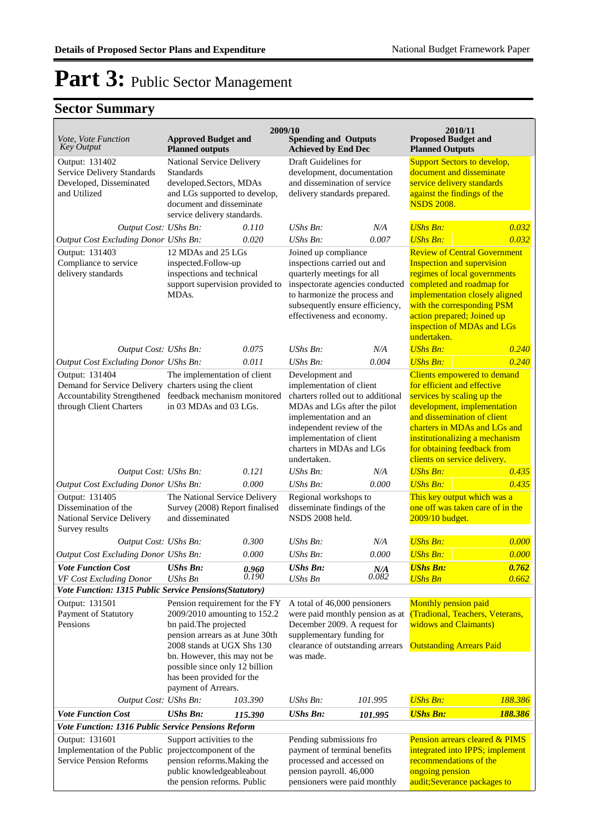| <i>Vote, Vote Function</i><br><b>Key Output</b>                                                          | <b>Approved Budget and</b><br><b>Planned outputs</b>                                                                                                                                                                                                                                                                                      |         | 2009/10<br><b>Spending and Outputs</b><br><b>Achieved by End Dec</b>                                                                                                                                                                          |         | 2010/11<br><b>Proposed Budget and</b><br><b>Planned Outputs</b>                                                                                                                                                                                                                         |         |
|----------------------------------------------------------------------------------------------------------|-------------------------------------------------------------------------------------------------------------------------------------------------------------------------------------------------------------------------------------------------------------------------------------------------------------------------------------------|---------|-----------------------------------------------------------------------------------------------------------------------------------------------------------------------------------------------------------------------------------------------|---------|-----------------------------------------------------------------------------------------------------------------------------------------------------------------------------------------------------------------------------------------------------------------------------------------|---------|
| Output: 131402<br><b>Service Delivery Standards</b><br>Developed, Disseminated<br>and Utilized           | National Service Delivery<br><b>Standards</b><br>developed.Sectors, MDAs<br>and LGs supported to develop,<br>document and disseminate<br>service delivery standards.                                                                                                                                                                      |         | Draft Guidelines for<br>development, documentation<br>and dissemination of service<br>delivery standards prepared.                                                                                                                            |         | <b>Support Sectors to develop,</b><br>document and disseminate<br>service delivery standards<br>against the findings of the<br><b>NSDS 2008.</b>                                                                                                                                        |         |
| Output Cost: UShs Bn:                                                                                    |                                                                                                                                                                                                                                                                                                                                           | 0.110   | UShs Bn:                                                                                                                                                                                                                                      | N/A     | <b>UShs Bn:</b>                                                                                                                                                                                                                                                                         | 0.032   |
| Output Cost Excluding Donor UShs Bn:                                                                     |                                                                                                                                                                                                                                                                                                                                           | 0.020   | UShs Bn:                                                                                                                                                                                                                                      | 0.007   | <b>UShs Bn:</b>                                                                                                                                                                                                                                                                         | 0.032   |
| Output: 131403<br>Compliance to service<br>delivery standards                                            | 12 MDAs and 25 LGs<br>inspected.Follow-up<br>inspections and technical<br>support supervision provided to<br>MDAs.                                                                                                                                                                                                                        |         | Joined up compliance<br>inspections carried out and<br>quarterly meetings for all<br>inspectorate agencies conducted<br>to harmonize the process and<br>subsequently ensure efficiency,<br>effectiveness and economy.                         |         | <b>Review of Central Government</b><br><b>Inspection and supervision</b><br>regimes of local governments<br>completed and roadmap for<br>implementation closely aligned<br>with the corresponding PSM<br>action prepared; Joined up<br>inspection of MDAs and LGs<br>undertaken.        |         |
| Output Cost: UShs Bn:                                                                                    |                                                                                                                                                                                                                                                                                                                                           | 0.075   | $UShs Bn$ :                                                                                                                                                                                                                                   | N/A     | <b>UShs Bn:</b>                                                                                                                                                                                                                                                                         | 0.240   |
| Output Cost Excluding Donor UShs Bn:                                                                     |                                                                                                                                                                                                                                                                                                                                           | 0.011   | UShs Bn:                                                                                                                                                                                                                                      | 0.004   | <b>UShs Bn:</b>                                                                                                                                                                                                                                                                         | 0.240   |
| Output: 131404<br>Demand for Service Delivery charters using the client<br>through Client Charters       | The implementation of client<br>Accountability Strengthened feedback mechanism monitored<br>in 03 MDAs and 03 LGs.                                                                                                                                                                                                                        |         | Development and<br>implementation of client<br>charters rolled out to additional<br>MDAs and LGs after the pilot<br>implementation and an<br>independent review of the<br>implementation of client<br>charters in MDAs and LGs<br>undertaken. |         | Clients empowered to demand<br>for efficient and effective<br>services by scaling up the<br>development, implementation<br>and dissemination of client<br>charters in MDAs and LGs and<br>institutionalizing a mechanism<br>for obtaining feedback from<br>clients on service delivery. |         |
| Output Cost: UShs Bn:                                                                                    |                                                                                                                                                                                                                                                                                                                                           | 0.121   | UShs Bn:                                                                                                                                                                                                                                      | N/A     | <b>UShs Bn:</b>                                                                                                                                                                                                                                                                         | 0.435   |
| Output Cost Excluding Donor UShs Bn:                                                                     |                                                                                                                                                                                                                                                                                                                                           | 0.000   | UShs Bn:                                                                                                                                                                                                                                      | 0.000   | <b>UShs Bn:</b>                                                                                                                                                                                                                                                                         | 0.435   |
| Output: 131405<br>Dissemination of the<br>National Service Delivery<br>Survey results                    | The National Service Delivery<br>Survey (2008) Report finalised<br>and disseminated                                                                                                                                                                                                                                                       |         | Regional workshops to<br>disseminate findings of the<br>NSDS 2008 held.                                                                                                                                                                       |         | This key output which was a<br>one off was taken care of in the<br>2009/10 budget.                                                                                                                                                                                                      |         |
| Output Cost: UShs Bn:                                                                                    |                                                                                                                                                                                                                                                                                                                                           | 0.300   | UShs Bn:                                                                                                                                                                                                                                      | N/A     | <b>UShs Bn:</b>                                                                                                                                                                                                                                                                         | 0.000   |
| Output Cost Excluding Donor UShs Bn:                                                                     |                                                                                                                                                                                                                                                                                                                                           | 0.000   | UShs Bn:                                                                                                                                                                                                                                      | 0.000   | <b>UShs Bn:</b>                                                                                                                                                                                                                                                                         | 0.000   |
| <b>Vote Function Cost</b>                                                                                | <b>UShs Bn:</b>                                                                                                                                                                                                                                                                                                                           | 0.960   | <b>UShs Bn:</b>                                                                                                                                                                                                                               | N/A     | <b>UShs Bn:</b>                                                                                                                                                                                                                                                                         | 0.762   |
| VF Cost Excluding Donor                                                                                  | <b>UShs Bn</b>                                                                                                                                                                                                                                                                                                                            | 0.190   | <b>UShs Bn</b>                                                                                                                                                                                                                                | 0.082   | <b>UShs Bn</b>                                                                                                                                                                                                                                                                          | 0.662   |
| Output: 131501<br>Payment of Statutory<br>Pensions                                                       | Vote Function: 1315 Public Service Pensions(Statutory)<br>Pension requirement for the FY<br>2009/2010 amounting to 152.2<br>bn paid. The projected<br>pension arrears as at June 30th<br>2008 stands at UGX Shs 130<br>bn. However, this may not be<br>possible since only 12 billion<br>has been provided for the<br>payment of Arrears. |         | A total of 46,000 pensioners<br>were paid monthly pension as at<br>December 2009. A request for<br>supplementary funding for<br>clearance of outstanding arrears<br>was made.                                                                 |         | Monthly pension paid<br>(Tradional, Teachers, Veterans,<br>widows and Claimants)<br><b>Outstanding Arrears Paid</b>                                                                                                                                                                     |         |
| Output Cost: UShs Bn:                                                                                    |                                                                                                                                                                                                                                                                                                                                           | 103.390 | UShs Bn:                                                                                                                                                                                                                                      | 101.995 | <b>UShs Bn:</b>                                                                                                                                                                                                                                                                         | 188.386 |
| <b>Vote Function Cost</b>                                                                                | <b>UShs Bn:</b>                                                                                                                                                                                                                                                                                                                           | 115.390 | <b>UShs Bn:</b>                                                                                                                                                                                                                               | 101.995 | <b>UShs Bn:</b>                                                                                                                                                                                                                                                                         | 188.386 |
| Vote Function: 1316 Public Service Pensions Reform                                                       |                                                                                                                                                                                                                                                                                                                                           |         |                                                                                                                                                                                                                                               |         |                                                                                                                                                                                                                                                                                         |         |
| Output: 131601<br>Implementation of the Public projectcomponent of the<br><b>Service Pension Reforms</b> | Support activities to the<br>pension reforms. Making the<br>public knowledgeableabout<br>the pension reforms. Public                                                                                                                                                                                                                      |         | Pending submissions fro<br>payment of terminal benefits<br>processed and accessed on<br>pension payroll. 46,000<br>pensioners were paid monthly                                                                                               |         | <b>Pension arrears cleared &amp; PIMS</b><br>integrated into IPPS; implement<br>recommendations of the<br>ongoing pension<br>audit;Severance packages to                                                                                                                                |         |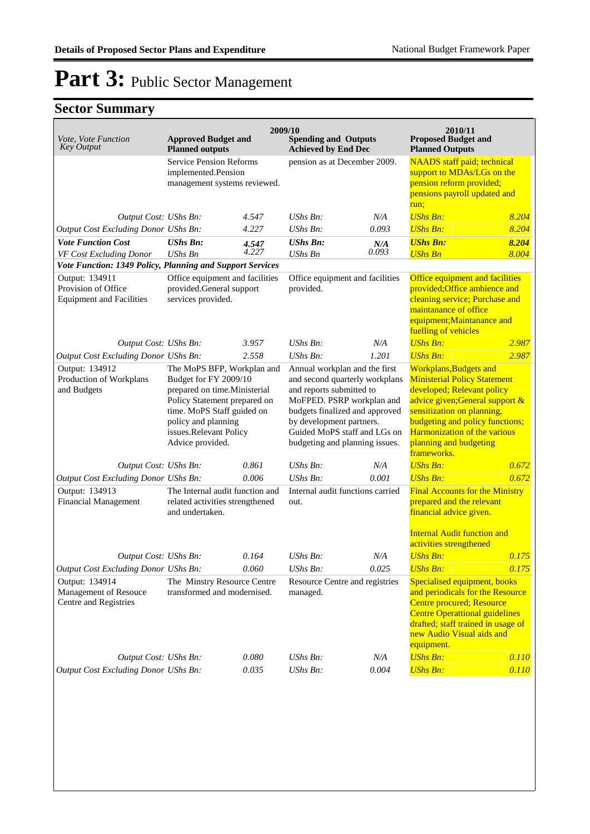| Vote, Vote Function<br><b>Key Output</b>                                 | <b>Approved Budget and</b><br><b>Planned outputs</b>                                                                                                                                                                   | 2009/10                                                                               |                                                                                                                                                                                                                                                          | <b>Spending and Outputs</b><br><b>Achieved by End Dec</b> |                                                                                                                                                                                                                                                                                |                                                                                                                                      |  |
|--------------------------------------------------------------------------|------------------------------------------------------------------------------------------------------------------------------------------------------------------------------------------------------------------------|---------------------------------------------------------------------------------------|----------------------------------------------------------------------------------------------------------------------------------------------------------------------------------------------------------------------------------------------------------|-----------------------------------------------------------|--------------------------------------------------------------------------------------------------------------------------------------------------------------------------------------------------------------------------------------------------------------------------------|--------------------------------------------------------------------------------------------------------------------------------------|--|
|                                                                          |                                                                                                                                                                                                                        | <b>Service Pension Reforms</b><br>implemented.Pension<br>management systems reviewed. |                                                                                                                                                                                                                                                          | pension as at December 2009.                              |                                                                                                                                                                                                                                                                                | <b>NAADS</b> staff paid; technical<br>support to MDAs/LGs on the<br>pension reform provided;<br>pensions payroll updated and<br>run; |  |
| Output Cost: UShs Bn:                                                    |                                                                                                                                                                                                                        | 4.547                                                                                 | $UShs Bn$ :                                                                                                                                                                                                                                              | N/A                                                       | <b>UShs Bn:</b>                                                                                                                                                                                                                                                                | 8.204                                                                                                                                |  |
| Output Cost Excluding Donor UShs Bn:                                     |                                                                                                                                                                                                                        | 4.227                                                                                 | $UShs Bn$ :                                                                                                                                                                                                                                              | 0.093                                                     | <b>UShs Bn:</b>                                                                                                                                                                                                                                                                | 8.204                                                                                                                                |  |
| <b>Vote Function Cost</b><br>VF Cost Excluding Donor                     | <b>UShs Bn:</b><br>UShs Bn                                                                                                                                                                                             | 4.547<br>4.227                                                                        | <b>UShs Bn:</b><br>UShs $\it{Bn}$                                                                                                                                                                                                                        | N/A<br>0.093                                              | <b>UShs Bn:</b><br><b>UShs Bn</b>                                                                                                                                                                                                                                              | 8.204<br>8.004                                                                                                                       |  |
| Vote Function: 1349 Policy, Planning and Support Services                |                                                                                                                                                                                                                        |                                                                                       |                                                                                                                                                                                                                                                          |                                                           |                                                                                                                                                                                                                                                                                |                                                                                                                                      |  |
| Output: 134911<br>Provision of Office<br><b>Equipment and Facilities</b> | Office equipment and facilities<br>provided.General support<br>services provided.                                                                                                                                      |                                                                                       | Office equipment and facilities<br>provided.                                                                                                                                                                                                             |                                                           | Office equipment and facilities<br>provided; Office ambience and<br>cleaning service; Purchase and<br>maintanance of office<br>equipment; Maintanance and<br>fuelling of vehicles                                                                                              |                                                                                                                                      |  |
| Output Cost: UShs Bn:                                                    |                                                                                                                                                                                                                        | 3.957                                                                                 | $UShs Bn$ :                                                                                                                                                                                                                                              | N/A                                                       | <b>UShs Bn:</b>                                                                                                                                                                                                                                                                | 2.987                                                                                                                                |  |
| Output Cost Excluding Donor UShs Bn:                                     |                                                                                                                                                                                                                        | 2.558                                                                                 | UShs Bn:                                                                                                                                                                                                                                                 | 1.201                                                     | <b>UShs Bn:</b>                                                                                                                                                                                                                                                                | 2.987                                                                                                                                |  |
| Output: 134912<br>Production of Workplans<br>and Budgets                 | The MoPS BFP, Workplan and<br>Budget for FY 2009/10<br>prepared on time.Ministerial<br>Policy Statement prepared on<br>time. MoPS Staff guided on<br>policy and planning<br>issues.Relevant Policy<br>Advice provided. |                                                                                       | Annual workplan and the first<br>and second quarterly workplans<br>and reports submitted to<br>MoFPED. PSRP workplan and<br>budgets finalized and approved<br>by development partners.<br>Guided MoPS staff and LGs on<br>budgeting and planning issues. |                                                           | <b>Workplans, Budgets and</b><br><b>Ministerial Policy Statement</b><br>developed; Relevant policy<br>advice given;General support &<br>sensitization on planning,<br>budgeting and policy functions;<br>Harmonization of the various<br>planning and budgeting<br>frameworks. |                                                                                                                                      |  |
| Output Cost: UShs Bn:                                                    |                                                                                                                                                                                                                        | 0.861                                                                                 | $UShs Bn$ :                                                                                                                                                                                                                                              | N/A                                                       | <b>UShs Bn:</b>                                                                                                                                                                                                                                                                | 0.672                                                                                                                                |  |
| Output Cost Excluding Donor UShs Bn:                                     |                                                                                                                                                                                                                        | 0.006                                                                                 | $UShs Bn$ :                                                                                                                                                                                                                                              | 0.001                                                     | <b>UShs Bn:</b>                                                                                                                                                                                                                                                                | 0.672                                                                                                                                |  |
| Output: 134913<br><b>Financial Management</b>                            | The Internal audit function and<br>related activities strengthened<br>and undertaken.                                                                                                                                  |                                                                                       | Internal audit functions carried<br>out.                                                                                                                                                                                                                 |                                                           | <b>Final Accounts for the Ministry</b><br>prepared and the relevant<br>financial advice given.<br><b>Internal Audit function and</b>                                                                                                                                           |                                                                                                                                      |  |
|                                                                          |                                                                                                                                                                                                                        |                                                                                       |                                                                                                                                                                                                                                                          |                                                           | activities strengthened                                                                                                                                                                                                                                                        |                                                                                                                                      |  |
| Output Cost: UShs Bn:                                                    |                                                                                                                                                                                                                        | 0.164                                                                                 | $UShs Bn$ :                                                                                                                                                                                                                                              | N/A                                                       | <b>UShs Bn:</b>                                                                                                                                                                                                                                                                | 0.175                                                                                                                                |  |
| Output Cost Excluding Donor UShs Bn:                                     |                                                                                                                                                                                                                        | 0.060                                                                                 | UShs Bn:                                                                                                                                                                                                                                                 | 0.025                                                     | <b>UShs Bn:</b>                                                                                                                                                                                                                                                                | 0.175                                                                                                                                |  |
| Output: 134914<br>Management of Resouce<br>Centre and Registries         | The Minstry Resource Centre<br>transformed and modernised.                                                                                                                                                             |                                                                                       | Resource Centre and registries<br>managed.                                                                                                                                                                                                               |                                                           | Specialised equipment, books<br>and periodicals for the Resource<br>Centre procured; Resource<br><b>Centre Operattional guidelines</b><br>drafted; staff trained in usage of<br>new Audio Visual aids and<br>equipment.                                                        |                                                                                                                                      |  |
| Output Cost: UShs Bn:                                                    |                                                                                                                                                                                                                        | 0.080                                                                                 | UShs Bn:                                                                                                                                                                                                                                                 | $N\!/\!A$                                                 | <b>UShs Bn:</b>                                                                                                                                                                                                                                                                | 0.110                                                                                                                                |  |
| Output Cost Excluding Donor UShs Bn:                                     |                                                                                                                                                                                                                        | 0.035                                                                                 | UShs Bn:                                                                                                                                                                                                                                                 | 0.004                                                     | <b>UShs Bn:</b>                                                                                                                                                                                                                                                                | 0.110                                                                                                                                |  |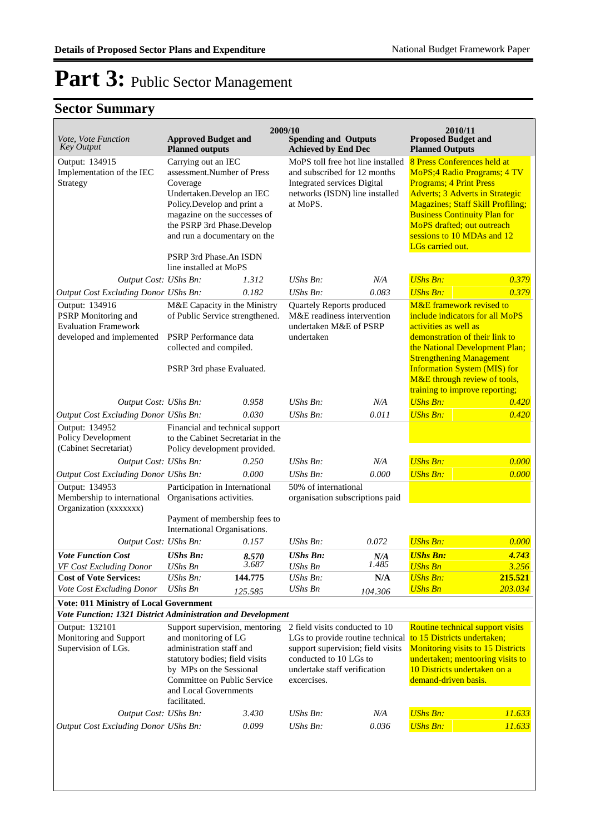|                                                                                                   |                                                                                                                                                                                                                                                                                        |                                                                                                                                                                                                                                                                                                                                                                                               | 2009/10<br>2010/11                                                                                                                                                               |                                                                                                                                                                                                                                                                                                                     |                                                                                                                                                                                                                                                                                                      |                  |  |  |  |  |  |
|---------------------------------------------------------------------------------------------------|----------------------------------------------------------------------------------------------------------------------------------------------------------------------------------------------------------------------------------------------------------------------------------------|-----------------------------------------------------------------------------------------------------------------------------------------------------------------------------------------------------------------------------------------------------------------------------------------------------------------------------------------------------------------------------------------------|----------------------------------------------------------------------------------------------------------------------------------------------------------------------------------|---------------------------------------------------------------------------------------------------------------------------------------------------------------------------------------------------------------------------------------------------------------------------------------------------------------------|------------------------------------------------------------------------------------------------------------------------------------------------------------------------------------------------------------------------------------------------------------------------------------------------------|------------------|--|--|--|--|--|
| Vote, Vote Function<br><b>Key Output</b>                                                          | <b>Approved Budget and</b><br><b>Planned outputs</b>                                                                                                                                                                                                                                   |                                                                                                                                                                                                                                                                                                                                                                                               | <b>Spending and Outputs</b><br><b>Achieved by End Dec</b>                                                                                                                        |                                                                                                                                                                                                                                                                                                                     | <b>Proposed Budget and</b><br><b>Planned Outputs</b>                                                                                                                                                                                                                                                 |                  |  |  |  |  |  |
| Output: 134915<br>Implementation of the IEC<br>Strategy                                           | Coverage                                                                                                                                                                                                                                                                               | Carrying out an IEC<br>MoPS toll free hot line installed<br>assessment.Number of Press<br>and subscribed for 12 months<br><b>Integrated services Digital</b><br>Undertaken.Develop an IEC<br>networks (ISDN) line installed<br>Policy.Develop and print a<br>at MoPS.<br>magazine on the successes of<br>the PSRP 3rd Phase.Develop<br>and run a documentary on the<br>PSRP 3rd Phase.An ISDN |                                                                                                                                                                                  | 8 Press Conferences held at<br><b>MoPS</b> ; 4 Radio Programs; 4 TV<br><b>Programs; 4 Print Press</b><br><b>Adverts</b> ; 3 Adverts in Strategic<br><b>Magazines; Staff Skill Profiling;</b><br><b>Business Continuity Plan for</b><br>MoPS drafted; out outreach<br>sessions to 10 MDAs and 12<br>LGs carried out. |                                                                                                                                                                                                                                                                                                      |                  |  |  |  |  |  |
|                                                                                                   | line installed at MoPS                                                                                                                                                                                                                                                                 |                                                                                                                                                                                                                                                                                                                                                                                               |                                                                                                                                                                                  |                                                                                                                                                                                                                                                                                                                     |                                                                                                                                                                                                                                                                                                      |                  |  |  |  |  |  |
| Output Cost: UShs Bn:                                                                             |                                                                                                                                                                                                                                                                                        | 1.312                                                                                                                                                                                                                                                                                                                                                                                         | UShs Bn:                                                                                                                                                                         | N/A                                                                                                                                                                                                                                                                                                                 | <b>UShs Bn:</b>                                                                                                                                                                                                                                                                                      | 0.379            |  |  |  |  |  |
| Output Cost Excluding Donor UShs Bn:                                                              |                                                                                                                                                                                                                                                                                        | 0.182                                                                                                                                                                                                                                                                                                                                                                                         | UShs Bn:                                                                                                                                                                         | 0.083                                                                                                                                                                                                                                                                                                               | <b>UShs Bn:</b>                                                                                                                                                                                                                                                                                      | 0.379            |  |  |  |  |  |
| Output: 134916<br>PSRP Monitoring and<br><b>Evaluation Framework</b><br>developed and implemented | M&E Capacity in the Ministry<br>of Public Service strengthened.<br>PSRP Performance data<br>collected and compiled.<br>PSRP 3rd phase Evaluated.                                                                                                                                       |                                                                                                                                                                                                                                                                                                                                                                                               | Quartely Reports produced<br>M&E readiness intervention<br>undertaken M&E of PSRP<br>undertaken                                                                                  |                                                                                                                                                                                                                                                                                                                     | M&E framework revised to<br>include indicators for all MoPS<br>activities as well as<br>demonstration of their link to<br>the National Development Plan;<br><b>Strengthening Management</b><br><b>Information System (MIS) for</b><br>M&E through review of tools,<br>training to improve reporting; |                  |  |  |  |  |  |
| Output Cost: UShs Bn:                                                                             |                                                                                                                                                                                                                                                                                        | 0.958                                                                                                                                                                                                                                                                                                                                                                                         | $UShs Bn$ :                                                                                                                                                                      | N/A                                                                                                                                                                                                                                                                                                                 | <b>UShs Bn:</b>                                                                                                                                                                                                                                                                                      | 0.420            |  |  |  |  |  |
| <b>Output Cost Excluding Donor UShs Bn:</b>                                                       |                                                                                                                                                                                                                                                                                        | 0.030                                                                                                                                                                                                                                                                                                                                                                                         | UShs Bn:                                                                                                                                                                         | 0.011                                                                                                                                                                                                                                                                                                               | <b>UShs Bn:</b>                                                                                                                                                                                                                                                                                      | 0.420            |  |  |  |  |  |
| Output: 134952<br>Policy Development<br>(Cabinet Secretariat)                                     | Financial and technical support<br>to the Cabinet Secretariat in the<br>Policy development provided.                                                                                                                                                                                   |                                                                                                                                                                                                                                                                                                                                                                                               |                                                                                                                                                                                  |                                                                                                                                                                                                                                                                                                                     |                                                                                                                                                                                                                                                                                                      |                  |  |  |  |  |  |
| Output Cost: UShs Bn:                                                                             |                                                                                                                                                                                                                                                                                        | 0.250                                                                                                                                                                                                                                                                                                                                                                                         | UShs Bn:                                                                                                                                                                         | N/A                                                                                                                                                                                                                                                                                                                 | <b>UShs Bn:</b>                                                                                                                                                                                                                                                                                      | 0.000            |  |  |  |  |  |
| Output Cost Excluding Donor UShs Bn:                                                              |                                                                                                                                                                                                                                                                                        | 0.000                                                                                                                                                                                                                                                                                                                                                                                         | UShs Bn:                                                                                                                                                                         | 0.000                                                                                                                                                                                                                                                                                                               | <b>UShs Bn:</b>                                                                                                                                                                                                                                                                                      | 0.000            |  |  |  |  |  |
| Output: 134953<br>Membership to international Organisations activities.<br>Organization (xxxxxxx) | Participation in International<br>Payment of membership fees to                                                                                                                                                                                                                        |                                                                                                                                                                                                                                                                                                                                                                                               | 50% of international<br>organisation subscriptions paid                                                                                                                          |                                                                                                                                                                                                                                                                                                                     |                                                                                                                                                                                                                                                                                                      |                  |  |  |  |  |  |
|                                                                                                   | International Organisations.                                                                                                                                                                                                                                                           |                                                                                                                                                                                                                                                                                                                                                                                               |                                                                                                                                                                                  |                                                                                                                                                                                                                                                                                                                     |                                                                                                                                                                                                                                                                                                      |                  |  |  |  |  |  |
| Output Cost: UShs Bn:                                                                             |                                                                                                                                                                                                                                                                                        | 0.157                                                                                                                                                                                                                                                                                                                                                                                         | UShs Bn:                                                                                                                                                                         | 0.072                                                                                                                                                                                                                                                                                                               | <b>UShs Bn:</b>                                                                                                                                                                                                                                                                                      | 0.000            |  |  |  |  |  |
| <b>Vote Function Cost</b>                                                                         | <b>UShs Bn:</b>                                                                                                                                                                                                                                                                        | 8.570                                                                                                                                                                                                                                                                                                                                                                                         | <b>UShs Bn:</b>                                                                                                                                                                  | N/A                                                                                                                                                                                                                                                                                                                 | <b>UShs Bn:</b>                                                                                                                                                                                                                                                                                      | 4.743            |  |  |  |  |  |
| VF Cost Excluding Donor<br><b>Cost of Vote Services:</b>                                          | UShs Bn<br>UShs Bn:                                                                                                                                                                                                                                                                    | 3.687<br>144.775                                                                                                                                                                                                                                                                                                                                                                              | UShs Bn<br>UShs Bn:                                                                                                                                                              | 1.485<br>N/A                                                                                                                                                                                                                                                                                                        | <b>UShs Bn</b><br><b>UShs Bn:</b>                                                                                                                                                                                                                                                                    | 3.256<br>215.521 |  |  |  |  |  |
| Vote Cost Excluding Donor                                                                         | UShs Bn                                                                                                                                                                                                                                                                                |                                                                                                                                                                                                                                                                                                                                                                                               | <b>UShs Bn</b>                                                                                                                                                                   |                                                                                                                                                                                                                                                                                                                     | <b>UShs Bn</b>                                                                                                                                                                                                                                                                                       | 203.034          |  |  |  |  |  |
| <b>Vote: 011 Ministry of Local Government</b>                                                     |                                                                                                                                                                                                                                                                                        | 125.585                                                                                                                                                                                                                                                                                                                                                                                       |                                                                                                                                                                                  | 104.306                                                                                                                                                                                                                                                                                                             |                                                                                                                                                                                                                                                                                                      |                  |  |  |  |  |  |
|                                                                                                   |                                                                                                                                                                                                                                                                                        |                                                                                                                                                                                                                                                                                                                                                                                               |                                                                                                                                                                                  |                                                                                                                                                                                                                                                                                                                     |                                                                                                                                                                                                                                                                                                      |                  |  |  |  |  |  |
| Output: 132101<br>Monitoring and Support<br>Supervision of LGs.                                   | Vote Function: 1321 District Administration and Development<br>Support supervision, mentoring<br>and monitoring of LG<br>administration staff and<br>statutory bodies; field visits<br>by MPs on the Sessional<br>Committee on Public Service<br>and Local Governments<br>facilitated. |                                                                                                                                                                                                                                                                                                                                                                                               | 2 field visits conducted to 10<br>LGs to provide routine technical<br>support supervision; field visits<br>conducted to 10 LGs to<br>undertake staff verification<br>excercises. |                                                                                                                                                                                                                                                                                                                     | Routine technical support visits<br>to 15 Districts undertaken;<br><b>Monitoring visits to 15 Districts</b><br>undertaken; mentooring visits to<br>10 Districts undertaken on a<br>demand-driven basis.                                                                                              |                  |  |  |  |  |  |
| Output Cost: UShs Bn:                                                                             |                                                                                                                                                                                                                                                                                        | 3.430                                                                                                                                                                                                                                                                                                                                                                                         | UShs Bn:                                                                                                                                                                         | N/A                                                                                                                                                                                                                                                                                                                 | <b>UShs Bn:</b>                                                                                                                                                                                                                                                                                      | 11.633           |  |  |  |  |  |
| <b>Output Cost Excluding Donor UShs Bn:</b>                                                       |                                                                                                                                                                                                                                                                                        | 0.099                                                                                                                                                                                                                                                                                                                                                                                         | UShs Bn:                                                                                                                                                                         | 0.036                                                                                                                                                                                                                                                                                                               | <b>UShs Bn:</b>                                                                                                                                                                                                                                                                                      | 11.633           |  |  |  |  |  |
|                                                                                                   |                                                                                                                                                                                                                                                                                        |                                                                                                                                                                                                                                                                                                                                                                                               |                                                                                                                                                                                  |                                                                                                                                                                                                                                                                                                                     |                                                                                                                                                                                                                                                                                                      |                  |  |  |  |  |  |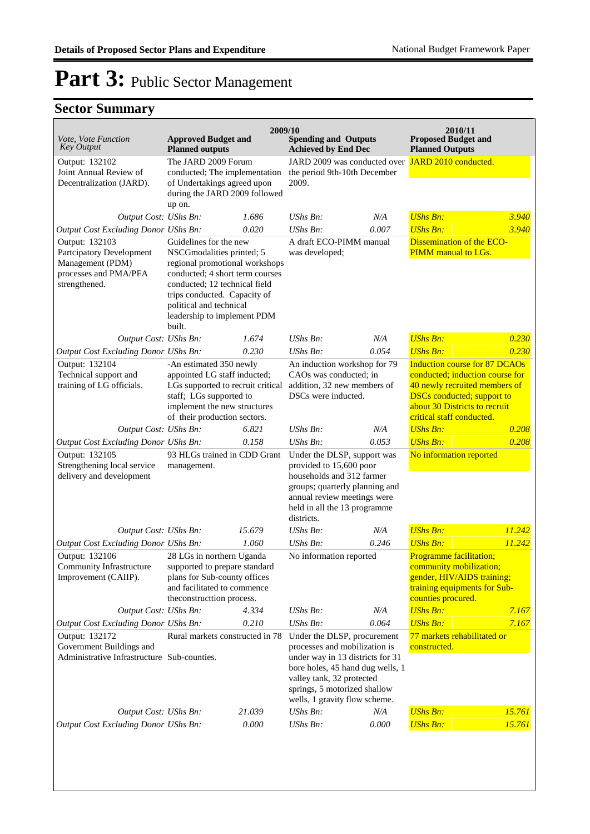| Vote, Vote Function<br><b>Key Output</b>                                                                 | <b>Approved Budget and</b><br><b>Planned outputs</b>                                                                                                                                                                                                          | 2009/10 | <b>Spending and Outputs</b><br><b>Achieved by End Dec</b>                                                                                                                                                                          |       | 2010/11<br><b>Proposed Budget and</b><br><b>Planned Outputs</b>                                                                                                                                             |        |
|----------------------------------------------------------------------------------------------------------|---------------------------------------------------------------------------------------------------------------------------------------------------------------------------------------------------------------------------------------------------------------|---------|------------------------------------------------------------------------------------------------------------------------------------------------------------------------------------------------------------------------------------|-------|-------------------------------------------------------------------------------------------------------------------------------------------------------------------------------------------------------------|--------|
| Output: 132102<br>Joint Annual Review of<br>Decentralization (JARD).                                     | The JARD 2009 Forum<br>conducted; The implementation<br>of Undertakings agreed upon<br>during the JARD 2009 followed<br>up on.                                                                                                                                |         | JARD 2009 was conducted over JARD 2010 conducted.<br>the period 9th-10th December<br>2009.                                                                                                                                         |       |                                                                                                                                                                                                             |        |
| Output Cost: UShs Bn:                                                                                    |                                                                                                                                                                                                                                                               | 1.686   | UShs Bn:                                                                                                                                                                                                                           | N/A   | <b>UShs Bn:</b>                                                                                                                                                                                             | 3.940  |
| Output Cost Excluding Donor UShs Bn:                                                                     |                                                                                                                                                                                                                                                               | 0.020   | $UShs Bn$ :                                                                                                                                                                                                                        | 0.007 | <b>UShs Bn:</b>                                                                                                                                                                                             | 3.940  |
| Output: 132103<br>Partcipatory Development<br>Management (PDM)<br>processes and PMA/PFA<br>strengthened. | Guidelines for the new<br>NSCGmodalities printed; 5<br>regional promotional workshops<br>conducted; 4 short term courses<br>conducted; 12 technical field<br>trips conducted. Capacity of<br>political and technical<br>leadership to implement PDM<br>built. |         | A draft ECO-PIMM manual<br>was developed;                                                                                                                                                                                          |       | <b>Dissemination of the ECO-</b><br>PIMM manual to LGs.                                                                                                                                                     |        |
| Output Cost: UShs Bn:                                                                                    |                                                                                                                                                                                                                                                               | 1.674   | $UShs Bn$ :                                                                                                                                                                                                                        | N/A   | <b>UShs Bn:</b>                                                                                                                                                                                             | 0.230  |
| Output Cost Excluding Donor UShs Bn:                                                                     |                                                                                                                                                                                                                                                               | 0.230   | UShs Bn:                                                                                                                                                                                                                           | 0.054 | <b>UShs Bn:</b>                                                                                                                                                                                             | 0.230  |
| Output: 132104<br>Technical support and<br>training of LG officials.                                     | -An estimated 350 newly<br>appointed LG staff inducted;<br>LGs supported to recruit critical<br>staff; LGs supported to<br>implement the new structures<br>of their production sectors.                                                                       |         | An induction workshop for 79<br>CAOs was conducted; in<br>addition, 32 new members of<br>DSCs were inducted.                                                                                                                       |       | <b>Induction course for 87 DCAOs</b><br>conducted; induction course for<br>40 newly recruited members of<br><b>DSCs</b> conducted; support to<br>about 30 Districts to recruit<br>critical staff conducted. |        |
| Output Cost: UShs Bn:                                                                                    |                                                                                                                                                                                                                                                               | 6.821   | UShs Bn:                                                                                                                                                                                                                           | N/A   | <b>UShs Bn:</b>                                                                                                                                                                                             | 0.208  |
| Output Cost Excluding Donor UShs Bn:                                                                     |                                                                                                                                                                                                                                                               | 0.158   | UShs Bn:                                                                                                                                                                                                                           | 0.053 | <b>UShs Bn:</b>                                                                                                                                                                                             | 0.208  |
| Output: 132105<br>Strengthening local service<br>delivery and development                                | 93 HLGs trained in CDD Grant<br>management.                                                                                                                                                                                                                   |         | Under the DLSP, support was<br>provided to 15,600 poor<br>households and 312 farmer<br>groups; quarterly planning and<br>annual review meetings were<br>held in all the 13 programme<br>districts.                                 |       | No information reported                                                                                                                                                                                     |        |
| Output Cost: UShs Bn:                                                                                    |                                                                                                                                                                                                                                                               | 15.679  | UShs Bn:                                                                                                                                                                                                                           | N/A   | <b>UShs Bn:</b>                                                                                                                                                                                             | 11.242 |
| Output Cost Excluding Donor UShs Bn:                                                                     |                                                                                                                                                                                                                                                               | 1.060   | UShs Bn:                                                                                                                                                                                                                           | 0.246 | <b>UShs Bn:</b>                                                                                                                                                                                             | 11.242 |
| Output: 132106<br>Community Infrastructure<br>Improvement (CAIIP).                                       | 28 LGs in northern Uganda<br>supported to prepare standard<br>plans for Sub-county offices<br>and facilitated to commence<br>the<br>constructtion process.                                                                                                    |         | No information reported                                                                                                                                                                                                            |       | <b>Programme facilitation;</b><br>community mobilization;<br>gender, HIV/AIDS training;<br>training equipments for Sub-<br>counties procured.                                                               |        |
| Output Cost: UShs Bn:                                                                                    |                                                                                                                                                                                                                                                               | 4.334   | UShs Bn:                                                                                                                                                                                                                           | N/A   | <b>UShs Bn:</b>                                                                                                                                                                                             | 7.167  |
| Output Cost Excluding Donor UShs Bn:                                                                     |                                                                                                                                                                                                                                                               | 0.210   | $UShs Bn$ :                                                                                                                                                                                                                        | 0.064 | <b>UShs Bn:</b>                                                                                                                                                                                             | 7.167  |
| Output: 132172<br>Government Buildings and<br>Administrative Infrastructure Sub-counties.                | Rural markets constructed in 78                                                                                                                                                                                                                               |         | Under the DLSP, procurement<br>processes and mobilization is<br>under way in 13 districts for 31<br>bore holes, 45 hand dug wells, 1<br>valley tank, 32 protected<br>springs, 5 motorized shallow<br>wells, 1 gravity flow scheme. |       | 77 markets rehabilitated or<br>constructed.                                                                                                                                                                 |        |
| Output Cost: UShs Bn:                                                                                    |                                                                                                                                                                                                                                                               | 21.039  | UShs Bn:                                                                                                                                                                                                                           | N/A   | <b>UShs Bn:</b>                                                                                                                                                                                             | 15.761 |
| <b>Output Cost Excluding Donor UShs Bn:</b>                                                              |                                                                                                                                                                                                                                                               | 0.000   | UShs Bn:                                                                                                                                                                                                                           | 0.000 | <b>UShs Bn:</b>                                                                                                                                                                                             | 15.761 |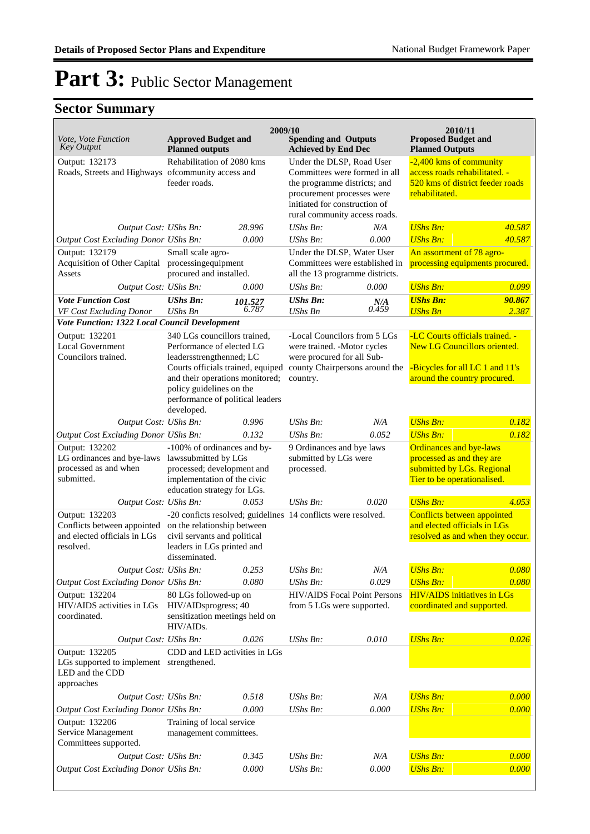| <i>Vote, Vote Function</i><br><b>Key Output</b>                                             | <b>Approved Budget and</b><br><b>Planned outputs</b>                                                                                               |                            | 2009/10<br><b>Spending and Outputs</b><br><b>Achieved by End Dec</b>                            |                                                                                                                                                                                            | 2010/11<br><b>Proposed Budget and</b><br><b>Planned Outputs</b>                                                          |                                                                                              |
|---------------------------------------------------------------------------------------------|----------------------------------------------------------------------------------------------------------------------------------------------------|----------------------------|-------------------------------------------------------------------------------------------------|--------------------------------------------------------------------------------------------------------------------------------------------------------------------------------------------|--------------------------------------------------------------------------------------------------------------------------|----------------------------------------------------------------------------------------------|
| Output: 132173<br>Roads, Streets and Highways of community access and                       | feeder roads.                                                                                                                                      | Rehabilitation of 2080 kms |                                                                                                 | Under the DLSP, Road User<br>Committees were formed in all<br>the programme districts; and<br>procurement processes were<br>initiated for construction of<br>rural community access roads. |                                                                                                                          | -2,400 kms of community<br>access roads rehabilitated. -<br>520 kms of district feeder roads |
| Output Cost: UShs Bn:                                                                       |                                                                                                                                                    | 28.996                     | UShs Bn:                                                                                        | N/A                                                                                                                                                                                        | <b>UShs Bn:</b>                                                                                                          | 40.587                                                                                       |
| Output Cost Excluding Donor UShs Bn:                                                        |                                                                                                                                                    | 0.000                      | UShs Bn:                                                                                        | 0.000                                                                                                                                                                                      | <b>UShs Bn:</b>                                                                                                          | 40.587                                                                                       |
| Output: 132179<br>Acquisition of Other Capital<br>Assets                                    | Small scale agro-<br>processingequipment<br>procured and installed.                                                                                |                            | Under the DLSP, Water User<br>Committees were established in<br>all the 13 programme districts. |                                                                                                                                                                                            | An assortment of 78 agro-<br>processing equipments procured.                                                             |                                                                                              |
| Output Cost: UShs Bn:                                                                       |                                                                                                                                                    | 0.000                      | UShs Bn:                                                                                        | 0.000                                                                                                                                                                                      | <b>UShs Bn:</b>                                                                                                          | 0.099                                                                                        |
| <b>Vote Function Cost</b><br>VF Cost Excluding Donor                                        | <b>UShs Bn:</b><br><b>UShs Bn</b>                                                                                                                  | 101.527<br>6.787           | <b>UShs Bn:</b><br><b>UShs Bn</b>                                                               | N/A<br>0.459                                                                                                                                                                               | <b>UShs Bn:</b><br><b>UShs Bn</b>                                                                                        | 90.867<br>2.387                                                                              |
| Vote Function: 1322 Local Council Development                                               |                                                                                                                                                    |                            |                                                                                                 |                                                                                                                                                                                            |                                                                                                                          |                                                                                              |
| Output: 132201<br><b>Local Government</b><br>Councilors trained.                            | 340 LGs councillors trained,<br>Performance of elected LG<br>leadersstrengthenned; LC                                                              |                            | -Local Councilors from 5 LGs<br>were trained. - Motor cycles<br>were procured for all Sub-      |                                                                                                                                                                                            | -LC Courts officials trained. -<br><b>New LG Councillors oriented.</b>                                                   |                                                                                              |
|                                                                                             | Courts officials trained, equiped<br>and their operations monitored;<br>policy guidelines on the<br>performance of political leaders<br>developed. |                            | county Chairpersons around the<br>country.                                                      |                                                                                                                                                                                            | -Bicycles for all LC 1 and 11's<br>around the country procured.                                                          |                                                                                              |
| Output Cost: UShs Bn:                                                                       |                                                                                                                                                    | 0.996                      | UShs Bn:                                                                                        | N/A                                                                                                                                                                                        | <b>UShs Bn:</b>                                                                                                          | 0.182                                                                                        |
| Output Cost Excluding Donor UShs Bn:                                                        |                                                                                                                                                    | 0.132                      | $UShs Bn$ :                                                                                     | 0.052                                                                                                                                                                                      | <b>UShs Bn:</b>                                                                                                          | 0.182                                                                                        |
| Output: 132202<br>LG ordinances and bye-laws<br>processed as and when<br>submitted.         | -100% of ordinances and by-<br>lawssubmitted by LGs<br>processed; development and<br>implementation of the civic<br>education strategy for LGs.    |                            | 9 Ordinances and bye laws<br>submitted by LGs were<br>processed.                                |                                                                                                                                                                                            | <b>Ordinances and bye-laws</b><br>processed as and they are<br>submitted by LGs. Regional<br>Tier to be operationalised. |                                                                                              |
| Output Cost: UShs Bn:                                                                       |                                                                                                                                                    | 0.053                      | UShs Bn:                                                                                        | 0.020                                                                                                                                                                                      | <b>UShs Bn:</b>                                                                                                          | 4.053                                                                                        |
| Output: 132203<br>Conflicts between appointed<br>and elected officials in LGs<br>resolved.  | on the relationship between<br>civil servants and political<br>leaders in LGs printed and<br>disseminated.                                         |                            | -20 conficts resolved; guidelines 14 conflicts were resolved.                                   |                                                                                                                                                                                            | Conflicts between appointed<br>and elected officials in LGs<br>resolved as and when they occur.                          |                                                                                              |
| Output Cost: UShs Bn:                                                                       |                                                                                                                                                    | 0.253                      | UShs Bn:                                                                                        | N/A                                                                                                                                                                                        | <b>UShs Bn:</b>                                                                                                          | 0.080                                                                                        |
| Output Cost Excluding Donor UShs Bn:                                                        |                                                                                                                                                    | 0.080                      | UShs Bn:                                                                                        | 0.029                                                                                                                                                                                      | <b>UShs Bn:</b>                                                                                                          | 0.080                                                                                        |
| Output: 132204<br>HIV/AIDS activities in LGs<br>coordinated.                                | 80 LGs followed-up on<br>HIV/AIDsprogress; 40<br>sensitization meetings held on<br>HIV/AIDs.                                                       |                            | HIV/AIDS Focal Point Persons<br>from 5 LGs were supported.                                      |                                                                                                                                                                                            | <b>HIV/AIDS</b> initiatives in LGs<br>coordinated and supported.                                                         |                                                                                              |
| Output Cost: UShs Bn:                                                                       |                                                                                                                                                    | 0.026                      | UShs Bn:                                                                                        | 0.010                                                                                                                                                                                      | <b>UShs Bn:</b>                                                                                                          | 0.026                                                                                        |
| Output: 132205<br>LGs supported to implement strengthened.<br>LED and the CDD<br>approaches | CDD and LED activities in LGs                                                                                                                      |                            |                                                                                                 |                                                                                                                                                                                            |                                                                                                                          |                                                                                              |
| Output Cost: UShs Bn:                                                                       |                                                                                                                                                    | 0.518                      | UShs Bn:                                                                                        | N/A                                                                                                                                                                                        | <b>UShs Bn:</b>                                                                                                          | 0.000                                                                                        |
| <b>Output Cost Excluding Donor UShs Bn:</b>                                                 |                                                                                                                                                    | 0.000                      | UShs Bn:                                                                                        | 0.000                                                                                                                                                                                      | <b>UShs Bn:</b>                                                                                                          | 0.000                                                                                        |
| Output: 132206<br>Service Management<br>Committees supported.                               | Training of local service<br>management committees.                                                                                                |                            |                                                                                                 |                                                                                                                                                                                            |                                                                                                                          |                                                                                              |
| Output Cost: UShs Bn:                                                                       |                                                                                                                                                    | 0.345                      | UShs Bn:                                                                                        | N/A                                                                                                                                                                                        | <b>UShs Bn:</b>                                                                                                          | 0.000                                                                                        |
| <b>Output Cost Excluding Donor UShs Bn:</b>                                                 |                                                                                                                                                    | 0.000                      | UShs Bn:                                                                                        | 0.000                                                                                                                                                                                      | <b>UShs Bn:</b>                                                                                                          | 0.000                                                                                        |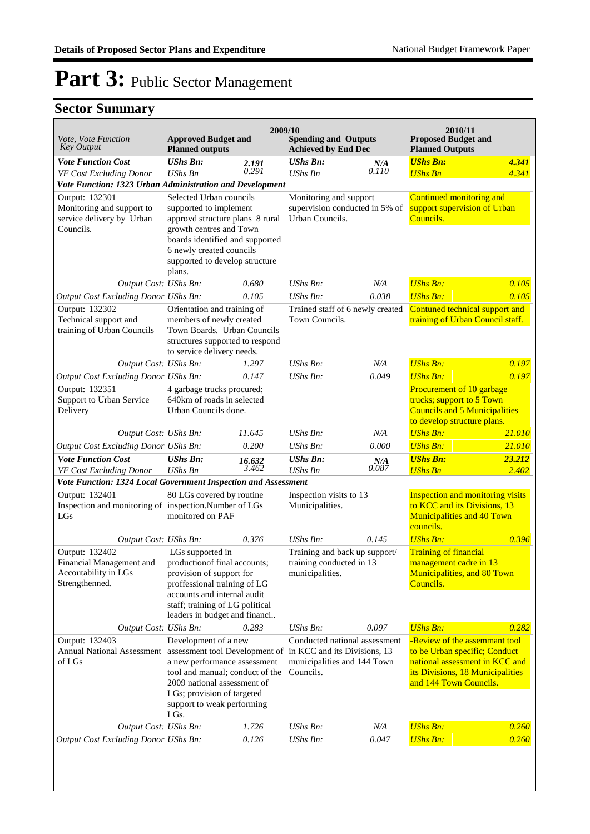| Vote, Vote Function                                                                 | <b>Approved Budget and</b>                                       | 2009/10        |                                                           | 2010/11<br><b>Proposed Budget and</b> |                                                                         |                              |
|-------------------------------------------------------------------------------------|------------------------------------------------------------------|----------------|-----------------------------------------------------------|---------------------------------------|-------------------------------------------------------------------------|------------------------------|
| <b>Key Output</b>                                                                   | <b>Planned outputs</b>                                           |                | <b>Spending and Outputs</b><br><b>Achieved by End Dec</b> |                                       | <b>Planned Outputs</b>                                                  |                              |
| <b>Vote Function Cost</b>                                                           | <b>UShs Bn:</b>                                                  | 2.191<br>0.291 | <b>UShs Bn:</b>                                           | N/A<br>0.110                          | <b>UShs Bn:</b>                                                         | 4.341                        |
| VF Cost Excluding Donor<br>Vote Function: 1323 Urban Administration and Development | <b>UShs Bn</b>                                                   |                | <b>UShs Bn</b>                                            |                                       | <b>UShs Bn</b>                                                          | 4.341                        |
| Output: 132301                                                                      | Selected Urban councils                                          |                | Monitoring and support                                    |                                       | Continued monitoring and                                                |                              |
| Monitoring and support to                                                           | supported to implement                                           |                |                                                           | supervision conducted in 5% of        |                                                                         | support supervision of Urban |
| service delivery by Urban                                                           | approvd structure plans 8 rural                                  |                | Urban Councils.                                           |                                       | Councils.                                                               |                              |
| Councils.                                                                           | growth centres and Town<br>boards identified and supported       |                |                                                           |                                       |                                                                         |                              |
|                                                                                     | 6 newly created councils                                         |                |                                                           |                                       |                                                                         |                              |
|                                                                                     | supported to develop structure                                   |                |                                                           |                                       |                                                                         |                              |
|                                                                                     | plans.                                                           |                |                                                           |                                       |                                                                         |                              |
| Output Cost: UShs Bn:                                                               |                                                                  | 0.680<br>0.105 | $UShs Bn$ :<br>UShs Bn:                                   | N/A<br>0.038                          | <b>UShs Bn:</b><br><b>UShs Bn:</b>                                      | 0.105<br>0.105               |
| Output Cost Excluding Donor UShs Bn:<br>Output: 132302                              | Orientation and training of                                      |                | Trained staff of 6 newly created                          |                                       | Contuned technical support and                                          |                              |
| Technical support and                                                               | members of newly created                                         |                | Town Councils.                                            |                                       | training of Urban Council staff.                                        |                              |
| training of Urban Councils                                                          | Town Boards. Urban Councils                                      |                |                                                           |                                       |                                                                         |                              |
|                                                                                     | structures supported to respond<br>to service delivery needs.    |                |                                                           |                                       |                                                                         |                              |
| Output Cost: UShs Bn:                                                               |                                                                  | 1.297          | $UShs Bn$ :                                               | N/A                                   | <b>UShs Bn:</b>                                                         | 0.197                        |
| Output Cost Excluding Donor UShs Bn:                                                |                                                                  | 0.147          | UShs Bn:                                                  | 0.049                                 | <b>UShs Bn:</b>                                                         | 0.197                        |
| Output: 132351                                                                      | 4 garbage trucks procured;                                       |                |                                                           |                                       | Procurement of 10 garbage                                               |                              |
| Support to Urban Service<br>Delivery                                                | 640km of roads in selected<br>Urban Councils done.               |                |                                                           |                                       | trucks; support to 5 Town<br><b>Councils and 5 Municipalities</b>       |                              |
|                                                                                     |                                                                  |                |                                                           |                                       | to develop structure plans.                                             |                              |
| Output Cost: UShs Bn:                                                               |                                                                  | 11.645         | UShs Bn:                                                  | N/A                                   | <b>UShs Bn:</b>                                                         | 21.010                       |
| Output Cost Excluding Donor UShs Bn:                                                |                                                                  | 0.200          | UShs Bn:                                                  | 0.000                                 | <b>UShs Bn:</b>                                                         | 21.010                       |
| <b>Vote Function Cost</b>                                                           | <b>UShs Bn:</b>                                                  | 16.632         | <b>UShs Bn:</b>                                           | N/A                                   | <b>UShs Bn:</b>                                                         | 23.212                       |
| VF Cost Excluding Donor                                                             | <b>UShs Bn</b>                                                   | 3.462          | <b>UShs Bn</b>                                            | 0.087                                 | <b>UShs Bn</b>                                                          | 2.402                        |
| Vote Function: 1324 Local Government Inspection and Assessment<br>Output: 132401    | 80 LGs covered by routine                                        |                |                                                           |                                       |                                                                         |                              |
| Inspection and monitoring of inspection.Number of LGs                               |                                                                  |                | Inspection visits to 13<br>Municipalities.                |                                       | <b>Inspection and monitoring visits</b><br>to KCC and its Divisions, 13 |                              |
| LGs                                                                                 | monitored on PAF                                                 |                |                                                           |                                       | <b>Municipalities and 40 Town</b>                                       |                              |
|                                                                                     |                                                                  |                |                                                           |                                       | councils.                                                               |                              |
| Output Cost: UShs Bn:                                                               |                                                                  | 0.376          | UShs Bn:                                                  | 0.145                                 | <b>UShs Bn:</b>                                                         | 0.396                        |
| Output: 132402                                                                      | LGs supported in                                                 |                | Training and back up support/                             |                                       | <b>Training of financial</b><br>management cadre in 13                  |                              |
| Financial Management and<br>Accoutability in LGs                                    | production of final accounts;<br>provision of support for        |                | training conducted in 13<br>municipalities.               |                                       | Municipalities, and 80 Town                                             |                              |
| Strengthenned.                                                                      | proffessional training of LG                                     |                |                                                           |                                       | Councils.                                                               |                              |
|                                                                                     | accounts and internal audit                                      |                |                                                           |                                       |                                                                         |                              |
|                                                                                     | staff; training of LG political<br>leaders in budget and financi |                |                                                           |                                       |                                                                         |                              |
| Output Cost: UShs Bn:                                                               |                                                                  | 0.283          | UShs Bn:                                                  | 0.097                                 | <b>UShs Bn:</b>                                                         | 0.282                        |
| Output: 132403                                                                      | Development of a new                                             |                | Conducted national assessment                             |                                       | -Review of the assemmant tool                                           |                              |
| Annual National Assessment assessment tool Development of                           |                                                                  |                | in KCC and its Divisions, 13                              |                                       | to be Urban specific; Conduct                                           |                              |
| of LGs                                                                              | a new performance assessment<br>tool and manual; conduct of the  |                | municipalities and 144 Town<br>Councils.                  |                                       | national assessment in KCC and<br>its Divisions, 18 Municipalities      |                              |
|                                                                                     | 2009 national assessment of                                      |                |                                                           |                                       | and 144 Town Councils.                                                  |                              |
|                                                                                     | LGs; provision of targeted                                       |                |                                                           |                                       |                                                                         |                              |
|                                                                                     | support to weak performing<br>LGs.                               |                |                                                           |                                       |                                                                         |                              |
| Output Cost: UShs Bn:                                                               |                                                                  | 1.726          | UShs Bn:                                                  | N/A                                   | <b>UShs Bn:</b>                                                         | 0.260                        |
| <b>Output Cost Excluding Donor UShs Bn:</b>                                         |                                                                  | 0.126          | UShs Bn:                                                  | 0.047                                 | <b>UShs Bn:</b>                                                         | 0.260                        |
|                                                                                     |                                                                  |                |                                                           |                                       |                                                                         |                              |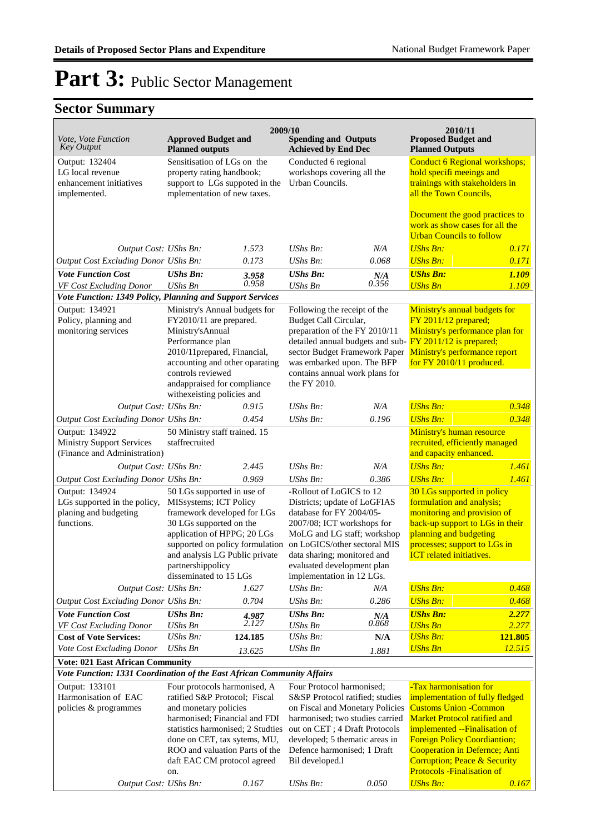| Vote, Vote Function<br><b>Key Output</b>                                              | <b>Approved Budget and</b><br><b>Planned outputs</b>                                                                                                                                                                                                                 | 2009/10                                                                                                                   | <b>Spending and Outputs</b><br><b>Achieved by End Dec</b>                                                                                                                                                                                                           |                                                                       | 2010/11<br><b>Proposed Budget and</b><br><b>Planned Outputs</b>                                                                                                                                                                                                                                                                    |                                                                 |
|---------------------------------------------------------------------------------------|----------------------------------------------------------------------------------------------------------------------------------------------------------------------------------------------------------------------------------------------------------------------|---------------------------------------------------------------------------------------------------------------------------|---------------------------------------------------------------------------------------------------------------------------------------------------------------------------------------------------------------------------------------------------------------------|-----------------------------------------------------------------------|------------------------------------------------------------------------------------------------------------------------------------------------------------------------------------------------------------------------------------------------------------------------------------------------------------------------------------|-----------------------------------------------------------------|
| Output: 132404<br>LG local revenue<br>enhancement initiatives<br>implemented.         |                                                                                                                                                                                                                                                                      | Sensitisation of LGs on the<br>property rating handbook;<br>support to LGs suppoted in the<br>mplementation of new taxes. |                                                                                                                                                                                                                                                                     | Conducted 6 regional<br>workshops covering all the<br>Urban Councils. |                                                                                                                                                                                                                                                                                                                                    | Conduct 6 Regional workshops;<br>trainings with stakeholders in |
|                                                                                       |                                                                                                                                                                                                                                                                      |                                                                                                                           |                                                                                                                                                                                                                                                                     |                                                                       | Document the good practices to<br>work as show cases for all the<br><b>Urban Councils to follow</b>                                                                                                                                                                                                                                |                                                                 |
| Output Cost: UShs Bn:                                                                 |                                                                                                                                                                                                                                                                      | 1.573                                                                                                                     | UShs Bn:                                                                                                                                                                                                                                                            | N/A                                                                   | <b>UShs Bn:</b>                                                                                                                                                                                                                                                                                                                    | 0.171                                                           |
| Output Cost Excluding Donor UShs Bn:                                                  |                                                                                                                                                                                                                                                                      | 0.173                                                                                                                     | UShs Bn:                                                                                                                                                                                                                                                            | 0.068                                                                 | <b>UShs Bn:</b>                                                                                                                                                                                                                                                                                                                    | 0.171                                                           |
| <b>Vote Function Cost</b><br>VF Cost Excluding Donor                                  | <b>UShs Bn:</b><br><b>UShs Bn</b>                                                                                                                                                                                                                                    | 3.958<br>0.958                                                                                                            | <b>UShs Bn:</b><br><b>UShs Bn</b>                                                                                                                                                                                                                                   | N/A<br>0.356                                                          | <b>UShs Bn:</b><br><b>UShs Bn</b>                                                                                                                                                                                                                                                                                                  | 1.109<br>1.109                                                  |
| Vote Function: 1349 Policy, Planning and Support Services                             |                                                                                                                                                                                                                                                                      |                                                                                                                           |                                                                                                                                                                                                                                                                     |                                                                       |                                                                                                                                                                                                                                                                                                                                    |                                                                 |
| Output: 134921<br>Policy, planning and<br>monitoring services                         | Ministry's Annual budgets for<br>FY2010/11 are prepared.<br>Ministry's Annual<br>Performance plan<br>2010/11prepared, Financial,<br>accounting and other oparating<br>controls reviewed<br>andappraised for compliance<br>with exeisting policies and                |                                                                                                                           | Following the receipt of the<br>Budget Call Circular,<br>preparation of the FY 2010/11<br>detailed annual budgets and sub- FY 2011/12 is prepared;<br>sector Budget Framework Paper<br>was embarked upon. The BFP<br>contains annual work plans for<br>the FY 2010. |                                                                       | Ministry's annual budgets for<br>FY 2011/12 prepared;<br>Ministry's performance plan for<br>Ministry's performance report<br>for FY 2010/11 produced.                                                                                                                                                                              |                                                                 |
| Output Cost: UShs Bn:                                                                 |                                                                                                                                                                                                                                                                      | 0.915                                                                                                                     | UShs Bn:                                                                                                                                                                                                                                                            | N/A                                                                   | <b>UShs Bn:</b>                                                                                                                                                                                                                                                                                                                    | 0.348                                                           |
| Output Cost Excluding Donor UShs Bn:                                                  |                                                                                                                                                                                                                                                                      | 0.454                                                                                                                     | UShs Bn:                                                                                                                                                                                                                                                            | 0.196                                                                 | <b>UShs Bn:</b>                                                                                                                                                                                                                                                                                                                    | 0.348                                                           |
| Output: 134922<br><b>Ministry Support Services</b><br>(Finance and Administration)    | 50 Ministry staff trained. 15<br>staffrecruited                                                                                                                                                                                                                      |                                                                                                                           |                                                                                                                                                                                                                                                                     |                                                                       | Ministry's human resource<br>recruited, efficiently managed<br>and capacity enhanced.                                                                                                                                                                                                                                              |                                                                 |
| Output Cost: UShs Bn:                                                                 |                                                                                                                                                                                                                                                                      | 2.445                                                                                                                     | UShs Bn:                                                                                                                                                                                                                                                            | N/A                                                                   | <b>UShs Bn:</b>                                                                                                                                                                                                                                                                                                                    | 1.461                                                           |
| Output Cost Excluding Donor UShs Bn:                                                  |                                                                                                                                                                                                                                                                      | 0.969                                                                                                                     | $UShs Bn$ :                                                                                                                                                                                                                                                         | 0.386                                                                 | <b>UShs Bn:</b>                                                                                                                                                                                                                                                                                                                    | 1.461                                                           |
| Output: 134924<br>LGs supported in the policy,<br>planing and budgeting<br>functions. | 50 LGs supported in use of<br>MISsystems; ICT Policy<br>framework developed for LGs<br>30 LGs supported on the<br>application of HPPG; 20 LGs<br>supported on policy formulation<br>and analysis LG Public private<br>partnershippolicy                              |                                                                                                                           | -Rollout of LoGICS to 12<br>Districts; update of LoGFIAS<br>database for FY 2004/05-<br>2007/08; ICT workshops for<br>MoLG and LG staff; workshop<br>on LoGICS/other sectoral MIS<br>data sharing; monitored and                                                    |                                                                       | 30 LGs supported in policy<br>formulation and analysis;<br>monitoring and provision of<br>back-up support to LGs in their<br>planning and budgeting<br>processes; support to LGs in<br><b>ICT</b> related initiatives.                                                                                                             |                                                                 |
|                                                                                       | disseminated to 15 LGs                                                                                                                                                                                                                                               |                                                                                                                           | evaluated development plan<br>implementation in 12 LGs.                                                                                                                                                                                                             |                                                                       |                                                                                                                                                                                                                                                                                                                                    |                                                                 |
| Output Cost: UShs Bn:                                                                 |                                                                                                                                                                                                                                                                      | 1.627                                                                                                                     | UShs Bn:                                                                                                                                                                                                                                                            | N/A                                                                   | <b>UShs Bn:</b>                                                                                                                                                                                                                                                                                                                    | 0.468                                                           |
| Output Cost Excluding Donor UShs Bn:                                                  |                                                                                                                                                                                                                                                                      | 0.704                                                                                                                     | UShs Bn:                                                                                                                                                                                                                                                            | 0.286                                                                 | <b>UShs Bn:</b>                                                                                                                                                                                                                                                                                                                    | 0.468                                                           |
| <b>Vote Function Cost</b><br>VF Cost Excluding Donor                                  | <b>UShs Bn:</b><br><b>UShs Bn</b>                                                                                                                                                                                                                                    | 4.987<br>2.127                                                                                                            | <b>UShs Bn:</b><br><b>UShs Bn</b>                                                                                                                                                                                                                                   | N/A<br>0.868                                                          | <b>UShs Bn:</b><br><b>UShs Bn</b>                                                                                                                                                                                                                                                                                                  | 2.277<br>2.277                                                  |
| <b>Cost of Vote Services:</b>                                                         | UShs Bn:                                                                                                                                                                                                                                                             | 124.185                                                                                                                   | $UShs Bn$ :                                                                                                                                                                                                                                                         | N/A                                                                   | <b>UShs Bn:</b>                                                                                                                                                                                                                                                                                                                    | 121.805                                                         |
| Vote Cost Excluding Donor                                                             | UShs Bn                                                                                                                                                                                                                                                              | 13.625                                                                                                                    | <b>UShs Bn</b>                                                                                                                                                                                                                                                      | 1.881                                                                 | <b>UShs Bn</b>                                                                                                                                                                                                                                                                                                                     | 12.515                                                          |
| <b>Vote: 021 East African Community</b>                                               |                                                                                                                                                                                                                                                                      |                                                                                                                           |                                                                                                                                                                                                                                                                     |                                                                       |                                                                                                                                                                                                                                                                                                                                    |                                                                 |
| Vote Function: 1331 Coordination of the East African Community Affairs                |                                                                                                                                                                                                                                                                      |                                                                                                                           |                                                                                                                                                                                                                                                                     |                                                                       |                                                                                                                                                                                                                                                                                                                                    |                                                                 |
| Output: 133101<br>Harmonisation of EAC<br>policies & programmes                       | Four protocols harmonised, A<br>ratified S&P Protocol; Fiscal<br>and monetary policies<br>harmonised; Financial and FDI<br>statistics harmonised; 2 Studties<br>done on CET, tax sytems, MU,<br>ROO and valuation Parts of the<br>daft EAC CM protocol agreed<br>on. |                                                                                                                           | Four Protocol harmonised;<br>S&SP Protocol ratified; studies<br>on Fiscal and Monetary Policies<br>harmonised; two studies carried<br>out on CET; 4 Draft Protocols<br>developed; 5 thematic areas in<br>Defence harmonised; 1 Draft<br>Bil developed.l             |                                                                       | -Tax harmonisation for<br>implementation of fully fledged<br><b>Customs Union - Common</b><br><b>Market Protocol ratified and</b><br>implemented --Finalisation of<br><b>Foreign Policy Coordiantion;</b><br><b>Cooperation in Defernce; Anti</b><br><b>Corruption; Peace &amp; Security</b><br><b>Protocols - Finalisation of</b> |                                                                 |
| Output Cost: UShs Bn:                                                                 |                                                                                                                                                                                                                                                                      | 0.167                                                                                                                     | UShs Bn:                                                                                                                                                                                                                                                            | 0.050                                                                 | <b>UShs Bn:</b>                                                                                                                                                                                                                                                                                                                    | 0.167                                                           |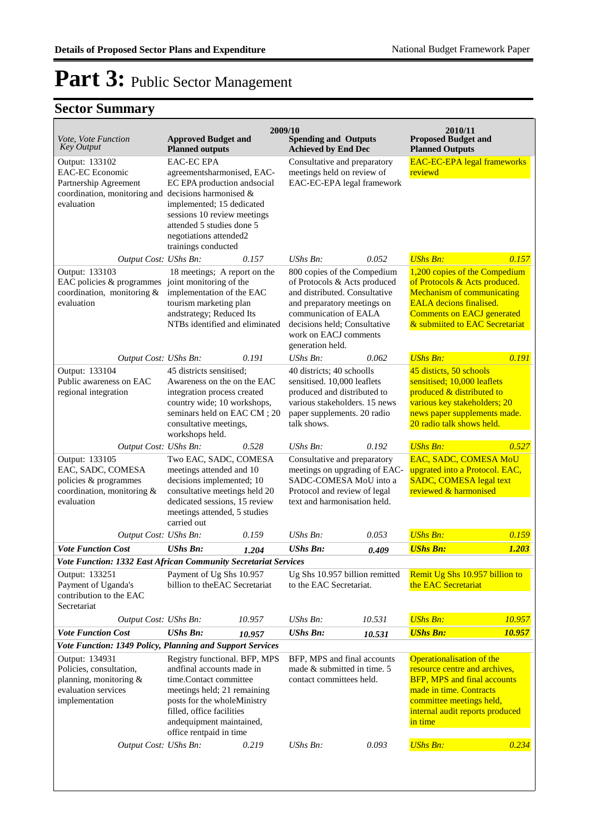| Vote, Vote Function<br><b>Key Output</b>                                                                                                  | <b>Approved Budget and</b><br><b>Planned outputs</b>                                                                                                                                                                                   |                                                                                                                                                                                                     | 2009/10<br><b>Spending and Outputs</b><br><b>Achieved by End Dec</b>                                                                                                                                                              |                                                                                          | 2010/11<br><b>Proposed Budget and</b><br><b>Planned Outputs</b>                                                                                                                                              |        |
|-------------------------------------------------------------------------------------------------------------------------------------------|----------------------------------------------------------------------------------------------------------------------------------------------------------------------------------------------------------------------------------------|-----------------------------------------------------------------------------------------------------------------------------------------------------------------------------------------------------|-----------------------------------------------------------------------------------------------------------------------------------------------------------------------------------------------------------------------------------|------------------------------------------------------------------------------------------|--------------------------------------------------------------------------------------------------------------------------------------------------------------------------------------------------------------|--------|
| Output: 133102<br><b>EAC-EC</b> Economic<br>Partnership Agreement<br>coordination, monitoring and decisions harmonised $\&$<br>evaluation | <b>EAC-EC EPA</b>                                                                                                                                                                                                                      | agreementsharmonised, EAC-<br>EC EPA production andsocial<br>implemented; 15 dedicated<br>sessions 10 review meetings<br>attended 5 studies done 5<br>negotiations attended2<br>trainings conducted |                                                                                                                                                                                                                                   | Consultative and preparatory<br>meetings held on review of<br>EAC-EC-EPA legal framework | <b>EAC-EC-EPA legal frameworks</b><br>reviewd                                                                                                                                                                |        |
| Output Cost: UShs Bn:                                                                                                                     |                                                                                                                                                                                                                                        | 0.157                                                                                                                                                                                               | UShs Bn:                                                                                                                                                                                                                          | 0.052                                                                                    | <b>UShs Bn:</b>                                                                                                                                                                                              | 0.157  |
| Output: 133103<br>EAC policies $&$ programmes joint monitoring of the<br>coordination, monitoring &<br>evaluation                         | 18 meetings; A report on the<br>implementation of the EAC<br>tourism marketing plan<br>andstrategy; Reduced Its<br>NTBs identified and eliminated                                                                                      |                                                                                                                                                                                                     | 800 copies of the Compedium<br>of Protocols & Acts produced<br>and distributed. Consultative<br>and preparatory meetings on<br>communication of EALA<br>decisions held; Consultative<br>work on EACJ comments<br>generation held. |                                                                                          | 1,200 copies of the Compedium<br>of Protocols & Acts produced.<br><b>Mechanism of communicating</b><br><b>EALA</b> decions finalised.<br><b>Comments on EACJ generated</b><br>& submiited to EAC Secretariat |        |
| Output Cost: UShs Bn:                                                                                                                     |                                                                                                                                                                                                                                        | 0.191                                                                                                                                                                                               | UShs Bn:                                                                                                                                                                                                                          | 0.062                                                                                    | <b>UShs Bn:</b>                                                                                                                                                                                              | 0.191  |
| Output: 133104<br>Public awareness on EAC<br>regional integration                                                                         | 45 districts sensitised;<br>Awareness on the on the EAC<br>integration process created<br>country wide; 10 workshops,<br>seminars held on EAC CM; 20<br>consultative meetings,<br>workshops held.                                      |                                                                                                                                                                                                     | 40 districts; 40 schoolls<br>sensitised. 10,000 leaflets<br>produced and distributed to<br>various stakeholders. 15 news<br>paper supplements. 20 radio<br>talk shows.                                                            |                                                                                          | 45 disticts, 50 schools<br>sensitised; 10,000 leaflets<br>produced & distributed to<br>various key stakeholders; 20<br>news paper supplements made.<br>20 radio talk shows held.                             |        |
| Output Cost: UShs Bn:                                                                                                                     |                                                                                                                                                                                                                                        | 0.528                                                                                                                                                                                               | $UShs Bn$ :                                                                                                                                                                                                                       | 0.192                                                                                    | <b>UShs Bn:</b>                                                                                                                                                                                              | 0.527  |
| Output: 133105<br>EAC, SADC, COMESA<br>policies & programmes<br>coordination, monitoring &<br>evaluation                                  | Two EAC, SADC, COMESA<br>meetings attended and 10<br>decisions implemented; 10<br>consultative meetings held 20<br>dedicated sessions, 15 review<br>meetings attended, 5 studies<br>carried out                                        |                                                                                                                                                                                                     | Consultative and preparatory<br>meetings on upgrading of EAC-<br>SADC-COMESA MoU into a<br>Protocol and review of legal<br>text and harmonisation held.                                                                           |                                                                                          | EAC, SADC, COMESA MoU<br>upgrated into a Protocol. EAC,<br><b>SADC, COMESA legal text</b><br>reviewed & harmonised                                                                                           |        |
| Output Cost: UShs Bn:                                                                                                                     |                                                                                                                                                                                                                                        | 0.159                                                                                                                                                                                               | UShs Bn:                                                                                                                                                                                                                          | 0.053                                                                                    | <b>UShs Bn:</b>                                                                                                                                                                                              | 0.159  |
| <b>Vote Function Cost</b>                                                                                                                 | <b>UShs Bn:</b>                                                                                                                                                                                                                        | 1.204                                                                                                                                                                                               | <b>UShs Bn:</b>                                                                                                                                                                                                                   | 0.409                                                                                    | <b>UShs Bn:</b>                                                                                                                                                                                              | 1.203  |
| Vote Function: 1332 East African Community Secretariat Services                                                                           |                                                                                                                                                                                                                                        |                                                                                                                                                                                                     |                                                                                                                                                                                                                                   |                                                                                          |                                                                                                                                                                                                              |        |
| Output: 133251<br>Payment of Uganda's<br>contribution to the EAC<br>Secretariat                                                           | Payment of Ug Shs 10.957<br>billion to the EAC Secretariat                                                                                                                                                                             |                                                                                                                                                                                                     | Ug Shs 10.957 billion remitted<br>to the EAC Secretariat.                                                                                                                                                                         |                                                                                          | Remit Ug Shs 10.957 billion to<br>the EAC Secretariat                                                                                                                                                        |        |
| Output Cost: UShs Bn:                                                                                                                     |                                                                                                                                                                                                                                        | 10.957                                                                                                                                                                                              | UShs Bn:                                                                                                                                                                                                                          | 10.531                                                                                   | <b>UShs Bn:</b>                                                                                                                                                                                              | 10.957 |
| <b>Vote Function Cost</b>                                                                                                                 | <b>UShs Bn:</b>                                                                                                                                                                                                                        | 10.957                                                                                                                                                                                              | <b>UShs Bn:</b>                                                                                                                                                                                                                   | 10.531                                                                                   | <b>UShs Bn:</b>                                                                                                                                                                                              | 10.957 |
| Vote Function: 1349 Policy, Planning and Support Services                                                                                 |                                                                                                                                                                                                                                        |                                                                                                                                                                                                     |                                                                                                                                                                                                                                   |                                                                                          |                                                                                                                                                                                                              |        |
| Output: 134931<br>Policies, consultation,<br>planning, monitoring &<br>evaluation services<br>implementation<br>Output Cost: UShs Bn:     | Registry functional. BFP, MPS<br>andfinal accounts made in<br>time.Contact committee<br>meetings held; 21 remaining<br>posts for the wholeMinistry<br>filled, office facilities<br>andequipment maintained,<br>office rentpaid in time |                                                                                                                                                                                                     | BFP, MPS and final accounts<br>made & submitted in time. 5<br>contact committees held.                                                                                                                                            |                                                                                          | Operationalisation of the<br>resource centre and archives,<br><b>BFP, MPS and final accounts</b><br>made in time. Contracts<br>committee meetings held,<br>internal audit reports produced<br>in time        |        |
|                                                                                                                                           |                                                                                                                                                                                                                                        | 0.219                                                                                                                                                                                               | UShs Bn:                                                                                                                                                                                                                          | 0.093                                                                                    | <b>UShs Bn:</b>                                                                                                                                                                                              | 0.234  |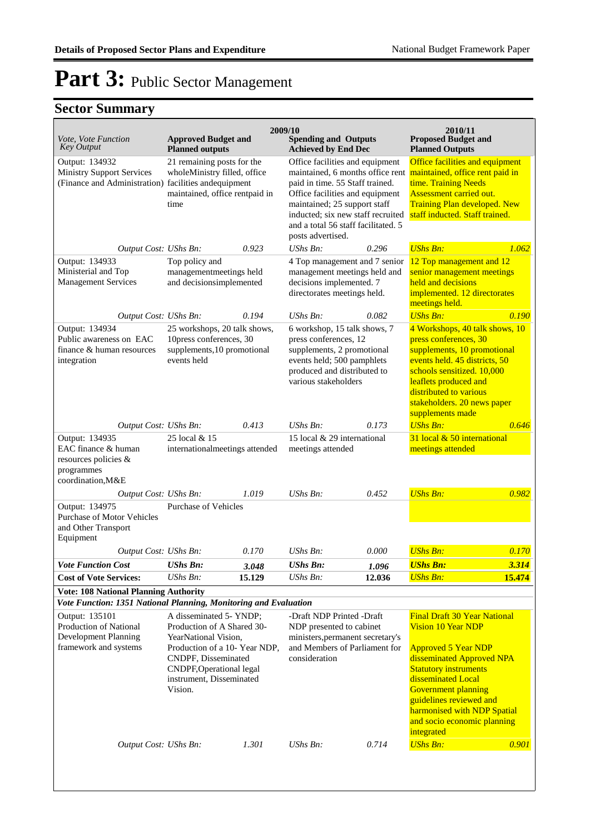| <i>Vote, Vote Function</i><br><b>Key Output</b>                                                             | <b>Approved Budget and</b>                                                                                                                                                                               |                                                     | 2009/10<br><b>Spending and Outputs</b>                                                                                                                                   |        | 2010/11<br><b>Proposed Budget and</b>                                                                                                                                                                                                                                                                           |              |
|-------------------------------------------------------------------------------------------------------------|----------------------------------------------------------------------------------------------------------------------------------------------------------------------------------------------------------|-----------------------------------------------------|--------------------------------------------------------------------------------------------------------------------------------------------------------------------------|--------|-----------------------------------------------------------------------------------------------------------------------------------------------------------------------------------------------------------------------------------------------------------------------------------------------------------------|--------------|
|                                                                                                             | <b>Planned outputs</b>                                                                                                                                                                                   |                                                     | <b>Achieved by End Dec</b>                                                                                                                                               |        | <b>Planned Outputs</b>                                                                                                                                                                                                                                                                                          |              |
| Output: 134932<br><b>Ministry Support Services</b><br>(Finance and Administration) facilities and equipment | 21 remaining posts for the<br>wholeMinistry filled, office                                                                                                                                               |                                                     | Office facilities and equipment<br>maintained, 6 months office rent<br>paid in time. 55 Staff trained.                                                                   |        | Office facilities and equipment<br>maintained, office rent paid in<br>time. Training Needs                                                                                                                                                                                                                      |              |
|                                                                                                             | maintained, office rentpaid in<br>time                                                                                                                                                                   |                                                     | Office facilities and equipment<br>maintained; 25 support staff<br>inducted; six new staff recruited                                                                     |        | Assessment carried out.<br><b>Training Plan developed. New</b><br>staff inducted. Staff trained.                                                                                                                                                                                                                |              |
|                                                                                                             |                                                                                                                                                                                                          |                                                     | and a total 56 staff facilitated. 5<br>posts advertised.                                                                                                                 |        |                                                                                                                                                                                                                                                                                                                 |              |
| Output Cost: UShs Bn:                                                                                       |                                                                                                                                                                                                          | 0.923                                               | $\mathit{UShs}\, \mathit{Bn}$ :                                                                                                                                          | 0.296  | <b>UShs Bn:</b>                                                                                                                                                                                                                                                                                                 | 1.062        |
| Output: 134933<br>Ministerial and Top<br><b>Management Services</b>                                         | Top policy and<br>managementmeetings held<br>and decisionsimplemented                                                                                                                                    |                                                     | 4 Top management and 7 senior<br>management meetings held and<br>decisions implemented. 7<br>directorates meetings held.                                                 |        | 12 Top management and 12<br>senior management meetings<br>held and decisions<br>implemented. 12 directorates                                                                                                                                                                                                    |              |
| Output Cost: UShs Bn:                                                                                       |                                                                                                                                                                                                          | 0.194                                               | UShs Bn:                                                                                                                                                                 | 0.082  | meetings held.<br><b>UShs Bn:</b>                                                                                                                                                                                                                                                                               | 0.190        |
|                                                                                                             |                                                                                                                                                                                                          |                                                     |                                                                                                                                                                          |        |                                                                                                                                                                                                                                                                                                                 |              |
| Output: 134934<br>Public awareness on EAC<br>finance & human resources<br>integration                       | 25 workshops, 20 talk shows,<br>10press conferences, 30<br>supplements, 10 promotional<br>events held                                                                                                    |                                                     | 6 workshop, 15 talk shows, 7<br>press conferences, 12<br>supplements, 2 promotional<br>events held; 500 pamphlets<br>produced and distributed to<br>various stakeholders |        | 4 Workshops, 40 talk shows, 10<br>press conferences, 30<br>supplements, 10 promotional<br>events held. 45 districts, 50<br>schools sensitized. 10,000<br>leaflets produced and<br>distributed to various<br>stakeholders. 20 news paper<br>supplements made                                                     |              |
| Output Cost: UShs Bn:                                                                                       |                                                                                                                                                                                                          | 0.413                                               | $UShs Bn$ :                                                                                                                                                              | 0.173  | <b>UShs Bn:</b>                                                                                                                                                                                                                                                                                                 | 0.646        |
| Output: 134935                                                                                              | 25 local & 15                                                                                                                                                                                            |                                                     | 15 local & 29 international                                                                                                                                              |        | 31 local & 50 international                                                                                                                                                                                                                                                                                     |              |
| EAC finance & human<br>resources policies &<br>programmes<br>coordination, M&E                              |                                                                                                                                                                                                          | internationalmeetings attended<br>meetings attended |                                                                                                                                                                          |        | meetings attended                                                                                                                                                                                                                                                                                               |              |
| Output Cost: UShs Bn:                                                                                       |                                                                                                                                                                                                          | 1.019                                               | $\mathit{UShs}\, \mathit{Bn}$ :                                                                                                                                          | 0.452  | <b>UShs Bn:</b>                                                                                                                                                                                                                                                                                                 | 0.982        |
| Output: 134975<br><b>Purchase of Motor Vehicles</b><br>and Other Transport<br>Equipment                     | <b>Purchase of Vehicles</b>                                                                                                                                                                              |                                                     |                                                                                                                                                                          |        |                                                                                                                                                                                                                                                                                                                 |              |
| Output Cost: UShs Bn:                                                                                       |                                                                                                                                                                                                          | 0.170                                               | $\mathit{UShs}\, \mathit{Bn}$ :                                                                                                                                          | 0.000  | <b>UShs Bn:</b>                                                                                                                                                                                                                                                                                                 | 0.170        |
| Vote Function Cost                                                                                          | UShs Bn:                                                                                                                                                                                                 | 3.048                                               | UShs Bn:                                                                                                                                                                 | 1.096  | <b>UShs Bn:</b>                                                                                                                                                                                                                                                                                                 | <u>3.314</u> |
| <b>Cost of Vote Services:</b>                                                                               | UShs Bn:                                                                                                                                                                                                 | 15.129                                              | UShs Bn:                                                                                                                                                                 | 12.036 | <b>UShs Bn:</b>                                                                                                                                                                                                                                                                                                 | 15.474       |
| <b>Vote: 108 National Planning Authority</b>                                                                |                                                                                                                                                                                                          |                                                     |                                                                                                                                                                          |        |                                                                                                                                                                                                                                                                                                                 |              |
| Vote Function: 1351 National Planning, Monitoring and Evaluation                                            |                                                                                                                                                                                                          |                                                     |                                                                                                                                                                          |        |                                                                                                                                                                                                                                                                                                                 |              |
| Output: 135101<br>Production of National<br>Development Planning<br>framework and systems                   | A disseminated 5- YNDP;<br>Production of A Shared 30-<br>YearNational Vision,<br>Production of a 10- Year NDP,<br>CNDPF, Disseminated<br>CNDPF, Operational legal<br>instrument, Disseminated<br>Vision. |                                                     | -Draft NDP Printed -Draft<br>NDP presented to cabinet<br>ministers, permanent secretary's<br>and Members of Parliament for<br>consideration                              |        | Final Draft 30 Year National<br><b>Vision 10 Year NDP</b><br><b>Approved 5 Year NDP</b><br>disseminated Approved NPA<br><b>Statutory instruments</b><br>disseminated Local<br><b>Government planning</b><br>guidelines reviewed and<br>harmonised with NDP Spatial<br>and socio economic planning<br>integrated |              |
| Output Cost: UShs Bn:                                                                                       |                                                                                                                                                                                                          | 1.301                                               | $\mathit{UShs}\, \mathit{Bn}$ :                                                                                                                                          | 0.714  | <b>UShs Bn:</b>                                                                                                                                                                                                                                                                                                 | 0.901        |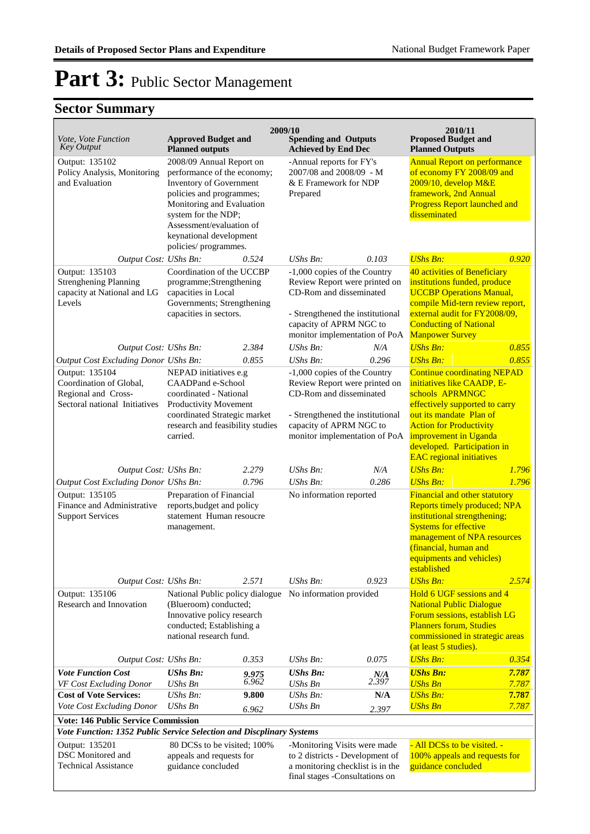## **Sector Summary**

| Vote, Vote Function<br><b>Key Output</b>                                                                           | <b>Approved Budget and</b><br><b>Planned outputs</b>                                                                                                                                                                                              | 2009/10        | <b>Spending and Outputs</b><br><b>Achieved by End Dec</b>                                                                                                                                |                                                  | 2010/11<br><b>Proposed Budget and</b><br><b>Planned Outputs</b>                                                                                                                                                                                                               |                                                                                                         |
|--------------------------------------------------------------------------------------------------------------------|---------------------------------------------------------------------------------------------------------------------------------------------------------------------------------------------------------------------------------------------------|----------------|------------------------------------------------------------------------------------------------------------------------------------------------------------------------------------------|--------------------------------------------------|-------------------------------------------------------------------------------------------------------------------------------------------------------------------------------------------------------------------------------------------------------------------------------|---------------------------------------------------------------------------------------------------------|
| Output: 135102<br>Policy Analysis, Monitoring<br>and Evaluation                                                    | 2008/09 Annual Report on<br>performance of the economy;<br>Inventory of Government<br>policies and programmes;<br>Monitoring and Evaluation<br>system for the NDP;<br>Assessment/evaluation of<br>keynational development<br>policies/programmes. |                | -Annual reports for FY's<br>Prepared                                                                                                                                                     | 2007/08 and 2008/09 - M<br>& E Framework for NDP |                                                                                                                                                                                                                                                                               | <b>Annual Report on performance</b><br>of economy FY 2008/09 and<br><b>Progress Report launched and</b> |
| Output Cost: UShs Bn:                                                                                              |                                                                                                                                                                                                                                                   | 0.524          | $UShs Bn$ :                                                                                                                                                                              | 0.103                                            | <b>UShs Bn:</b>                                                                                                                                                                                                                                                               | 0.920                                                                                                   |
| Output: 135103<br><b>Strenghening Planning</b><br>capacity at National and LG<br>Levels                            | Coordination of the UCCBP<br>programme;Strengthening<br>capacities in Local<br>Governments; Strengthening<br>capacities in sectors.                                                                                                               |                | -1,000 copies of the Country<br>Review Report were printed on<br>CD-Rom and disseminated<br>- Strengthened the institutional<br>capacity of APRM NGC to<br>monitor implementation of PoA |                                                  | 40 activities of Beneficiary<br>institutions funded, produce<br><b>UCCBP Operations Manual,</b><br>compile Mid-tern review report,<br>external audit for FY2008/09,<br><b>Conducting of National</b><br><b>Manpower Survey</b>                                                |                                                                                                         |
| Output Cost: UShs Bn:                                                                                              |                                                                                                                                                                                                                                                   | 2.384          | $UShs Bn$ :                                                                                                                                                                              | N/A                                              | <b>UShs Bn:</b>                                                                                                                                                                                                                                                               | 0.855                                                                                                   |
| Output Cost Excluding Donor UShs Bn:                                                                               |                                                                                                                                                                                                                                                   | 0.855          | $UShs Bn$ :                                                                                                                                                                              | 0.296                                            | <b>UShs Bn:</b>                                                                                                                                                                                                                                                               | 0.855                                                                                                   |
| Output: 135104<br>Coordination of Global,<br>Regional and Cross-<br>Sectoral national Initiatives                  | NEPAD initiatives e.g<br>CAADPand e-School<br>coordinated - National<br>Productivity Movement<br>coordinated Strategic market<br>research and feasibility studies<br>carried.                                                                     |                | -1,000 copies of the Country<br>Review Report were printed on<br>CD-Rom and disseminated<br>- Strengthened the institutional<br>capacity of APRM NGC to<br>monitor implementation of PoA |                                                  | <b>Continue coordinating NEPAD</b><br>initiatives like CAADP, E-<br>schools APRMNGC<br>effectively supported to carry<br>out its mandate Plan of<br><b>Action for Productivity</b><br>improvement in Uganda<br>developed. Participation in<br><b>EAC</b> regional initiatives |                                                                                                         |
| Output Cost: UShs Bn:                                                                                              |                                                                                                                                                                                                                                                   | 2.279          | UShs Bn:                                                                                                                                                                                 | N/A                                              | <b>UShs Bn:</b>                                                                                                                                                                                                                                                               | 1.796                                                                                                   |
| Output Cost Excluding Donor UShs Bn:                                                                               |                                                                                                                                                                                                                                                   | 0.796          | UShs Bn:                                                                                                                                                                                 | 0.286                                            | <b>UShs Bn:</b>                                                                                                                                                                                                                                                               | 1.796                                                                                                   |
| Output: 135105<br>Finance and Administrative<br><b>Support Services</b>                                            | Preparation of Financial<br>reports, budget and policy<br>statement Human resoucre<br>management.                                                                                                                                                 |                | No information reported                                                                                                                                                                  |                                                  | Financial and other statutory<br>Reports timely produced; NPA<br>institutional strengthening;<br><b>Systems for effective</b><br>management of NPA resources<br>(financial, human and<br>equipments and vehicles)<br>established                                              |                                                                                                         |
| Output Cost: UShs Bn:                                                                                              |                                                                                                                                                                                                                                                   | 2.571          | <b>UShs Bn:</b>                                                                                                                                                                          | 0.923                                            | <b>UShs Bn:</b>                                                                                                                                                                                                                                                               | 2.574                                                                                                   |
| Output: 135106<br>Research and Innovation                                                                          | National Public policy dialogue<br>(Blueroom) conducted;<br>Innovative policy research<br>conducted; Establishing a<br>national research fund.                                                                                                    |                | No information provided                                                                                                                                                                  |                                                  | Hold 6 UGF sessions and 4<br><b>National Public Dialogue</b><br>Forum sessions, establish LG<br><b>Planners forum, Studies</b><br>commissioned in strategic areas<br>(at least 5 studies).                                                                                    |                                                                                                         |
| Output Cost: UShs Bn:                                                                                              |                                                                                                                                                                                                                                                   | 0.353          | UShs Bn:                                                                                                                                                                                 | 0.075                                            | <b>UShs Bn:</b>                                                                                                                                                                                                                                                               | 0.354                                                                                                   |
| <b>Vote Function Cost</b><br>VF Cost Excluding Donor                                                               | <b>UShs Bn:</b><br><b>UShs Bn</b>                                                                                                                                                                                                                 | 9.975<br>6.962 | <b>UShs Bn:</b><br>UShs Bn                                                                                                                                                               | $N/A$ <sub>2.397</sub>                           | <b>UShs Bn:</b><br><b>UShs Bn</b>                                                                                                                                                                                                                                             | 7.787<br>7.787                                                                                          |
| <b>Cost of Vote Services:</b>                                                                                      | UShs Bn:                                                                                                                                                                                                                                          | 9.800          | <b>UShs Bn:</b>                                                                                                                                                                          | N/A                                              | <b>UShs Bn:</b>                                                                                                                                                                                                                                                               | 7.787                                                                                                   |
| Vote Cost Excluding Donor                                                                                          | <b>UShs Bn</b>                                                                                                                                                                                                                                    | 6.962          | <b>UShs Bn</b>                                                                                                                                                                           | 2.397                                            | <b>UShs Bn</b>                                                                                                                                                                                                                                                                | 7.787                                                                                                   |
| <b>Vote: 146 Public Service Commission</b><br>Vote Function: 1352 Public Service Selection and Discplinary Systems |                                                                                                                                                                                                                                                   |                |                                                                                                                                                                                          |                                                  |                                                                                                                                                                                                                                                                               |                                                                                                         |
| Output: 135201                                                                                                     | 80 DCSs to be visited; 100%                                                                                                                                                                                                                       |                | -Monitoring Visits were made                                                                                                                                                             |                                                  | - All DCSs to be visited. -                                                                                                                                                                                                                                                   |                                                                                                         |
| DSC Monitored and                                                                                                  | appeals and requests for                                                                                                                                                                                                                          |                | to 2 districts - Development of                                                                                                                                                          |                                                  | 100% appeals and requests for                                                                                                                                                                                                                                                 |                                                                                                         |
| <b>Technical Assistance</b>                                                                                        | guidance concluded                                                                                                                                                                                                                                |                | a monitoring checklist is in the                                                                                                                                                         |                                                  | guidance concluded                                                                                                                                                                                                                                                            |                                                                                                         |

final stages -Consultations on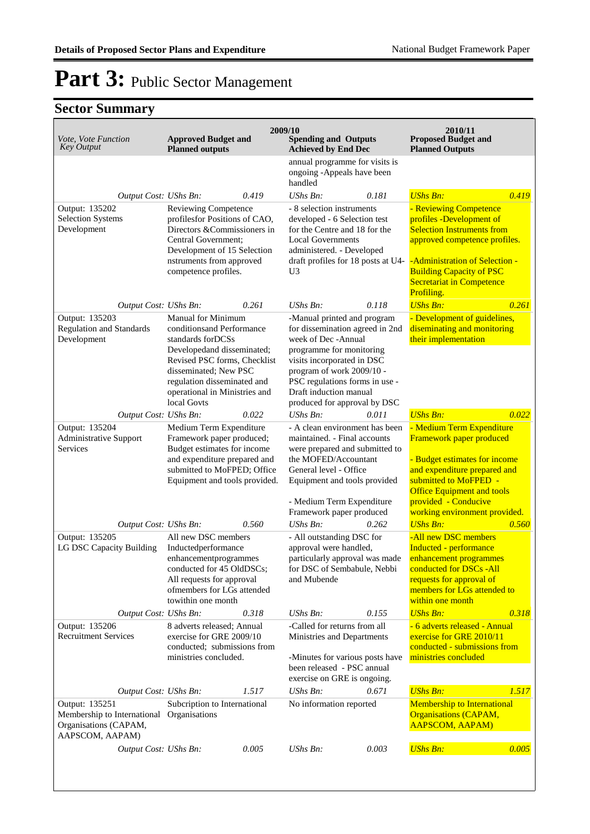| Vote, Vote Function<br><b>Key Output</b>                                                                | <b>Approved Budget and</b><br><b>Planned outputs</b>                                                                                                                                                                                        |       | 2009/10<br><b>Spending and Outputs</b><br><b>Achieved by End Dec</b>                                                                                                                                                                                                     |       | 2010/11<br><b>Proposed Budget and</b><br><b>Planned Outputs</b>                                                                                                                                                                                 |       |
|---------------------------------------------------------------------------------------------------------|---------------------------------------------------------------------------------------------------------------------------------------------------------------------------------------------------------------------------------------------|-------|--------------------------------------------------------------------------------------------------------------------------------------------------------------------------------------------------------------------------------------------------------------------------|-------|-------------------------------------------------------------------------------------------------------------------------------------------------------------------------------------------------------------------------------------------------|-------|
|                                                                                                         |                                                                                                                                                                                                                                             |       | annual programme for visits is<br>ongoing -Appeals have been<br>handled                                                                                                                                                                                                  |       |                                                                                                                                                                                                                                                 |       |
| Output Cost: UShs Bn:                                                                                   |                                                                                                                                                                                                                                             | 0.419 | UShs Bn:                                                                                                                                                                                                                                                                 | 0.181 | <b>UShs Bn:</b>                                                                                                                                                                                                                                 | 0.419 |
| Output: 135202<br><b>Selection Systems</b><br>Development                                               | Reviewing Competence<br>profilesfor Positions of CAO,<br>Directors &Commissioners in<br>Central Government;<br>Development of 15 Selection<br>nstruments from approved<br>competence profiles.                                              |       | - 8 selection instruments<br>developed - 6 Selection test<br>for the Centre and 18 for the<br><b>Local Governments</b><br>administered. - Developed<br>draft profiles for 18 posts at U4-<br>U <sub>3</sub>                                                              |       | - Reviewing Competence<br>profiles -Development of<br><b>Selection Instruments from</b><br>approved competence profiles.<br>-Administration of Selection -<br><b>Building Capacity of PSC</b><br><b>Secretariat in Competence</b><br>Profiling. |       |
| Output Cost: UShs Bn:                                                                                   |                                                                                                                                                                                                                                             | 0.261 | UShs Bn:                                                                                                                                                                                                                                                                 | 0.118 | <b>UShs Bn:</b>                                                                                                                                                                                                                                 | 0.261 |
| Output: 135203<br><b>Regulation and Standards</b><br>Development                                        | Manual for Minimum<br>conditionsand Performance<br>standards for DCSs<br>Developedand disseminated;<br>Revised PSC forms, Checklist<br>disseminated; New PSC<br>regulation disseminated and<br>operational in Ministries and<br>local Govts |       | -Manual printed and program<br>for dissemination agreed in 2nd<br>week of Dec -Annual<br>programme for monitoring<br>visits incorporated in DSC<br>program of work 2009/10 -<br>PSC regulations forms in use -<br>Draft induction manual<br>produced for approval by DSC |       | - Development of guidelines,<br>diseminating and monitoring<br>their implementation                                                                                                                                                             |       |
| Output Cost: UShs Bn:                                                                                   |                                                                                                                                                                                                                                             | 0.022 | UShs Bn:                                                                                                                                                                                                                                                                 | 0.011 | <b>UShs Bn:</b>                                                                                                                                                                                                                                 | 0.022 |
| Output: 135204<br><b>Administrative Support</b><br>Services                                             | Medium Term Expenditure<br>Framework paper produced;<br>Budget estimates for income<br>and expenditure prepared and<br>submitted to MoFPED; Office<br>Equipment and tools provided.                                                         |       | - A clean environment has been<br>maintained. - Final accounts<br>were prepared and submitted to<br>the MOFED/Accountant<br>General level - Office<br>Equipment and tools provided<br>- Medium Term Expenditure<br>Framework paper produced                              |       | - Medium Term Expenditure<br>Framework paper produced<br>- Budget estimates for income<br>and expenditure prepared and<br>submitted to MoFPED -<br><b>Office Equipment and tools</b><br>provided - Conducive<br>working environment provided.   |       |
| Output Cost: UShs Bn:                                                                                   |                                                                                                                                                                                                                                             | 0.560 | UShs Bn:                                                                                                                                                                                                                                                                 | 0.262 | <b>UShs Bn:</b>                                                                                                                                                                                                                                 | 0.560 |
| Output: 135205<br>LG DSC Capacity Building                                                              | All new DSC members<br>Inductedperformance<br>enhancementprogrammes<br>conducted for 45 OldDSCs;<br>All requests for approval<br>ofmembers for LGs attended<br>towithin one month                                                           |       | - All outstanding DSC for<br>approval were handled,<br>particularly approval was made<br>for DSC of Sembabule, Nebbi<br>and Mubende                                                                                                                                      |       | -All new DSC members<br>Inducted - performance<br>enhancement programmes<br>conducted for DSCs -All<br>requests for approval of<br>members for LGs attended to<br>within one month                                                              |       |
| Output Cost: UShs Bn:                                                                                   |                                                                                                                                                                                                                                             | 0.318 | UShs Bn:                                                                                                                                                                                                                                                                 | 0.155 | <b>UShs Bn:</b>                                                                                                                                                                                                                                 | 0.318 |
| Output: 135206<br><b>Recruitment Services</b>                                                           | 8 adverts released; Annual<br>exercise for GRE 2009/10<br>conducted; submissions from<br>ministries concluded.                                                                                                                              |       | -Called for returns from all<br>Ministries and Departments<br>-Minutes for various posts have<br>been released - PSC annual<br>exercise on GRE is ongoing.                                                                                                               |       | - 6 adverts released - Annual<br>exercise for GRE 2010/11<br>conducted - submissions from<br>ministries concluded                                                                                                                               |       |
| Output Cost: UShs Bn:                                                                                   |                                                                                                                                                                                                                                             | 1.517 | $\mathit{UShs}\, \mathit{Bn}$ :                                                                                                                                                                                                                                          | 0.671 | <b>UShs Bn:</b>                                                                                                                                                                                                                                 | 1.517 |
| Output: 135251<br>Membership to International Organisations<br>Organisations (CAPAM,<br>AAPSCOM, AAPAM) | Subcription to International                                                                                                                                                                                                                |       | No information reported                                                                                                                                                                                                                                                  |       | <b>Membership to International</b><br><b>Organisations (CAPAM,</b><br>AAPSCOM, AAPAM)                                                                                                                                                           |       |
| Output Cost: UShs Bn:                                                                                   |                                                                                                                                                                                                                                             | 0.005 | UShs Bn:                                                                                                                                                                                                                                                                 | 0.003 | <b>UShs Bn:</b>                                                                                                                                                                                                                                 | 0.005 |